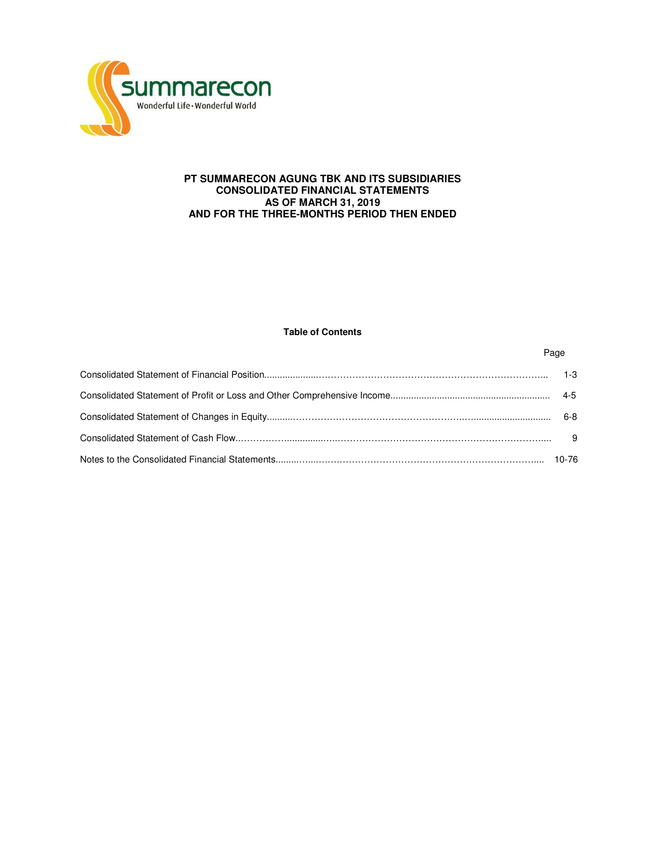

# **PT SUMMARECON AGUNG TBK AND ITS SUBSIDIARIES CONSOLIDATED FINANCIAL STATEMENTS AS OF MARCH 31, 2019 AND FOR THE THREE-MONTHS PERIOD THEN ENDED**

# **Table of Contents**

Page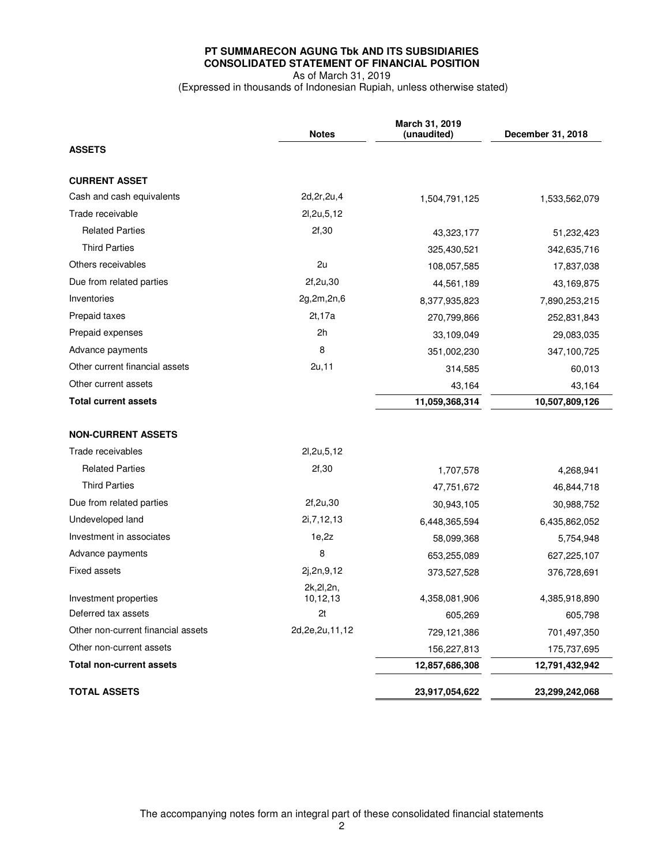# **PT SUMMARECON AGUNG Tbk AND ITS SUBSIDIARIES CONSOLIDATED STATEMENT OF FINANCIAL POSITION**  As of March 31, 2019

(Expressed in thousands of Indonesian Rupiah, unless otherwise stated)

|                                    | <b>Notes</b>            | March 31, 2019<br>(unaudited) | December 31, 2018 |
|------------------------------------|-------------------------|-------------------------------|-------------------|
| <b>ASSETS</b>                      |                         |                               |                   |
| <b>CURRENT ASSET</b>               |                         |                               |                   |
| Cash and cash equivalents          | 2d, 2r, 2u, 4           | 1,504,791,125                 | 1,533,562,079     |
| Trade receivable                   | 21,2u,5,12              |                               |                   |
| <b>Related Parties</b>             | 2f,30                   | 43.323.177                    | 51,232,423        |
| <b>Third Parties</b>               |                         | 325,430,521                   | 342,635,716       |
| Others receivables                 | 2u                      | 108,057,585                   | 17,837,038        |
| Due from related parties           | 2f, 2u, 30              | 44,561,189                    | 43,169,875        |
| Inventories                        | 2g,2m,2n,6              | 8,377,935,823                 | 7,890,253,215     |
| Prepaid taxes                      | 2t, 17a                 | 270,799,866                   | 252,831,843       |
| Prepaid expenses                   | 2 <sub>h</sub>          | 33,109,049                    | 29,083,035        |
| Advance payments                   | 8                       | 351,002,230                   | 347,100,725       |
| Other current financial assets     | 2u,11                   | 314,585                       | 60,013            |
| Other current assets               |                         | 43,164                        | 43,164            |
| <b>Total current assets</b>        |                         | 11,059,368,314                | 10,507,809,126    |
|                                    |                         |                               |                   |
| <b>NON-CURRENT ASSETS</b>          |                         |                               |                   |
| Trade receivables                  | 21,2u,5,12              |                               |                   |
| <b>Related Parties</b>             | 2f,30                   | 1,707,578                     | 4,268,941         |
| <b>Third Parties</b>               |                         | 47,751,672                    | 46,844,718        |
| Due from related parties           | 2f, 2u, 30              | 30,943,105                    | 30,988,752        |
| Undeveloped land                   | 2i, 7, 12, 13           | 6,448,365,594                 | 6,435,862,052     |
| Investment in associates           | 1e,2z                   | 58,099,368                    | 5,754,948         |
| Advance payments                   | 8                       | 653,255,089                   | 627,225,107       |
| Fixed assets                       | 2j,2n,9,12              | 373,527,528                   | 376,728,691       |
| Investment properties              | 2k, 2l, 2n,<br>10,12,13 | 4,358,081,906                 | 4,385,918,890     |
| Deferred tax assets                | 2t                      | 605,269                       | 605,798           |
| Other non-current financial assets | 2d, 2e, 2u, 11, 12      | 729,121,386                   | 701,497,350       |
| Other non-current assets           |                         | 156,227,813                   | 175,737,695       |
| <b>Total non-current assets</b>    |                         | 12,857,686,308                | 12,791,432,942    |
| <b>TOTAL ASSETS</b>                |                         | 23,917,054,622                | 23,299,242,068    |
|                                    |                         |                               |                   |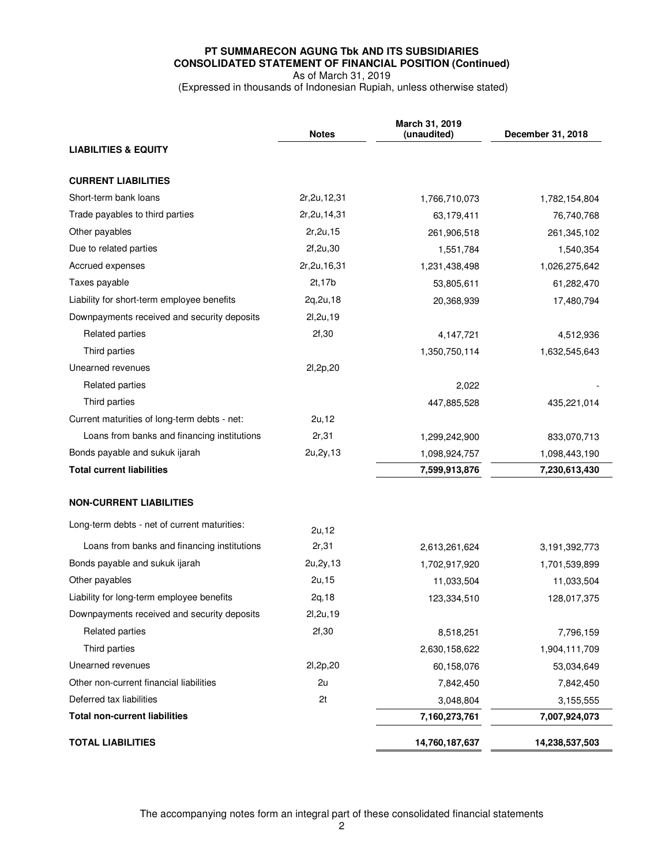# **PT SUMMARECON AGUNG Tbk AND ITS SUBSIDIARIES CONSOLIDATED STATEMENT OF FINANCIAL POSITION (Continued)**  As of March 31, 2019

(Expressed in thousands of Indonesian Rupiah, unless otherwise stated)

|                                              | <b>Notes</b>   | March 31, 2019<br>(unaudited) | December 31, 2018 |
|----------------------------------------------|----------------|-------------------------------|-------------------|
| <b>LIABILITIES &amp; EQUITY</b>              |                |                               |                   |
|                                              |                |                               |                   |
| <b>CURRENT LIABILITIES</b>                   |                |                               |                   |
| Short-term bank loans                        | 2r, 2u, 12, 31 | 1,766,710,073                 | 1,782,154,804     |
| Trade payables to third parties              | 2r, 2u, 14, 31 | 63,179,411                    | 76,740,768        |
| Other payables                               | 2r, 2u, 15     | 261,906,518                   | 261,345,102       |
| Due to related parties                       | 2f,2u,30       | 1,551,784                     | 1,540,354         |
| Accrued expenses                             | 2r, 2u, 16, 31 | 1,231,438,498                 | 1,026,275,642     |
| Taxes payable                                | 2t, 17b        | 53,805,611                    | 61,282,470        |
| Liability for short-term employee benefits   | 2q, 2u, 18     | 20,368,939                    | 17,480,794        |
| Downpayments received and security deposits  | 21, 2u, 19     |                               |                   |
| <b>Related parties</b>                       | 2f,30          | 4,147,721                     | 4,512,936         |
| Third parties                                |                | 1,350,750,114                 | 1,632,545,643     |
| Unearned revenues                            | 21,2p,20       |                               |                   |
| <b>Related parties</b>                       |                | 2,022                         |                   |
| Third parties                                |                | 447,885,528                   | 435,221,014       |
| Current maturities of long-term debts - net: | 2u, 12         |                               |                   |
| Loans from banks and financing institutions  | 2r,31          | 1,299,242,900                 | 833,070,713       |
| Bonds payable and sukuk ijarah               | 2u, 2y, 13     | 1,098,924,757                 | 1,098,443,190     |
| <b>Total current liabilities</b>             |                | 7,599,913,876                 | 7,230,613,430     |
| <b>NON-CURRENT LIABILITIES</b>               |                |                               |                   |
| Long-term debts - net of current maturities: | 2u, 12         |                               |                   |
| Loans from banks and financing institutions  | 2r,31          | 2,613,261,624                 | 3,191,392,773     |
| Bonds payable and sukuk ijarah               | 2u, 2y, 13     | 1,702,917,920                 | 1,701,539,899     |
| Other payables                               | 2u, 15         | 11,033,504                    | 11,033,504        |
| Liability for long-term employee benefits    | 2q, 18         | 123,334,510                   | 128,017,375       |
| Downpayments received and security deposits  | 2l, 2u, 19     |                               |                   |
| <b>Related parties</b>                       | 2f,30          | 8,518,251                     | 7,796,159         |
| Third parties                                |                | 2,630,158,622                 | 1,904,111,709     |
| Unearned revenues                            | 21,2p,20       | 60,158,076                    | 53,034,649        |
| Other non-current financial liabilities      | 2u             | 7,842,450                     | 7,842,450         |
| Deferred tax liabilities                     | 2t             | 3,048,804                     | 3,155,555         |
| <b>Total non-current liabilities</b>         |                | 7,160,273,761                 | 7,007,924,073     |
| <b>TOTAL LIABILITIES</b>                     |                | 14,760,187,637                | 14,238,537,503    |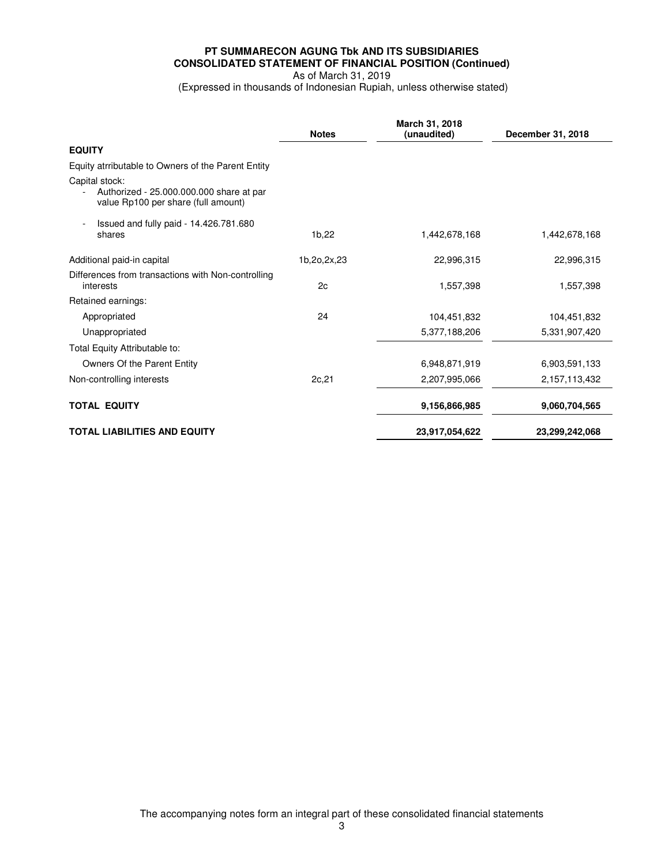# **PT SUMMARECON AGUNG Tbk AND ITS SUBSIDIARIES CONSOLIDATED STATEMENT OF FINANCIAL POSITION (Continued)**  As of March 31, 2019

(Expressed in thousands of Indonesian Rupiah, unless otherwise stated)

|                                                                                                   | <b>Notes</b> | March 31, 2018<br>(unaudited) | December 31, 2018 |
|---------------------------------------------------------------------------------------------------|--------------|-------------------------------|-------------------|
| <b>EQUITY</b>                                                                                     |              |                               |                   |
| Equity atrributable to Owners of the Parent Entity                                                |              |                               |                   |
| Capital stock:<br>Authorized - 25.000.000.000 share at par<br>value Rp100 per share (full amount) |              |                               |                   |
| Issued and fully paid - 14.426.781.680<br>shares                                                  | 1b,22        | 1,442,678.168                 | 1,442,678,168     |
| Additional paid-in capital                                                                        | 1b,2o,2x,23  | 22,996,315                    | 22,996,315        |
| Differences from transactions with Non-controlling<br>interests                                   | 2c           | 1,557,398                     | 1,557,398         |
| Retained earnings:                                                                                |              |                               |                   |
| Appropriated                                                                                      | 24           | 104,451,832                   | 104,451,832       |
| Unappropriated                                                                                    |              | 5,377,188,206                 | 5,331,907,420     |
| Total Equity Attributable to:                                                                     |              |                               |                   |
| Owners Of the Parent Entity                                                                       |              | 6,948,871,919                 | 6,903,591,133     |
| Non-controlling interests                                                                         | 2c, 21       | 2,207,995,066                 | 2,157,113,432     |
| <b>TOTAL EQUITY</b>                                                                               |              | 9,156,866,985                 | 9,060,704,565     |
| <b>TOTAL LIABILITIES AND EQUITY</b>                                                               |              | 23,917,054,622                | 23,299,242,068    |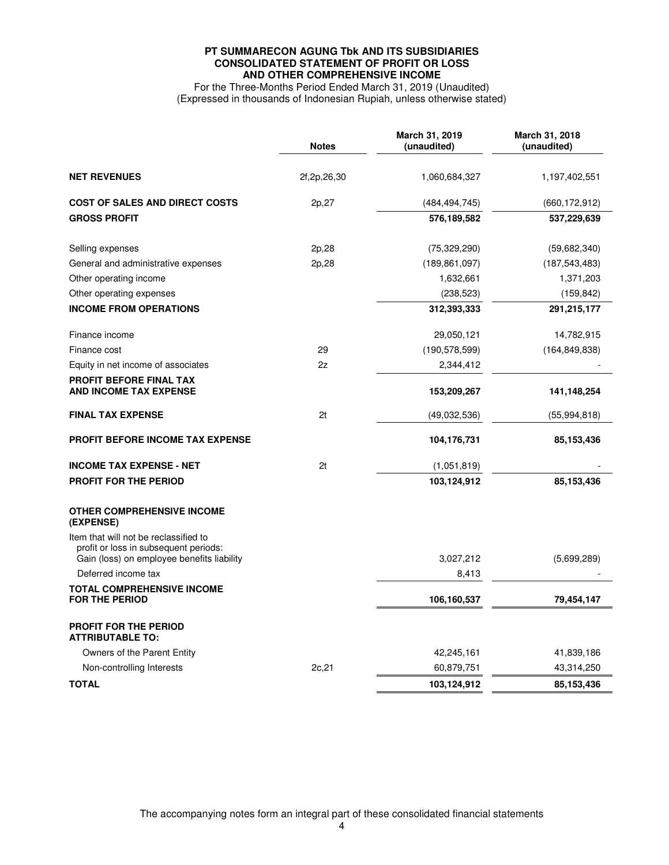# **PT SUMMARECON AGUNG Tbk AND ITS SUBSIDIARIES CONSOLIDATED STATEMENT OF PROFIT OR LOSS AND OTHER COMPREHENSIVE INCOME**

For the Three-Months Period Ended March 31, 2019 (Unaudited) (Expressed in thousands of Indonesian Rupiah, unless otherwise stated)

|                                                                                                                              | <b>Notes</b>   | March 31, 2019<br>(unaudited) | March 31, 2018<br>(unaudited) |
|------------------------------------------------------------------------------------------------------------------------------|----------------|-------------------------------|-------------------------------|
| <b>NET REVENUES</b>                                                                                                          | 2f, 2p, 26, 30 | 1,060,684,327                 | 1,197,402,551                 |
| <b>COST OF SALES AND DIRECT COSTS</b>                                                                                        | 2p,27          | (484, 494, 745)               | (660, 172, 912)               |
| <b>GROSS PROFIT</b>                                                                                                          |                | 576,189,582                   | 537,229,639                   |
| Selling expenses                                                                                                             | 2p,28          | (75, 329, 290)                | (59,682,340)                  |
| General and administrative expenses                                                                                          | 2p,28          | (189, 861, 097)               | (187, 543, 483)               |
| Other operating income                                                                                                       |                | 1,632,661                     | 1,371,203                     |
| Other operating expenses                                                                                                     |                | (238, 523)                    | (159, 842)                    |
| <b>INCOME FROM OPERATIONS</b>                                                                                                |                | 312,393,333                   | 291,215,177                   |
| Finance income                                                                                                               |                | 29,050,121                    | 14,782,915                    |
| Finance cost                                                                                                                 | 29             | (190, 578, 599)               | (164, 849, 838)               |
| Equity in net income of associates                                                                                           | 2z             | 2,344,412                     |                               |
| PROFIT BEFORE FINAL TAX<br><b>AND INCOME TAX EXPENSE</b>                                                                     |                | 153,209,267                   | 141,148,254                   |
| <b>FINAL TAX EXPENSE</b>                                                                                                     | 2t             | (49,032,536)                  | (55, 994, 818)                |
| <b>PROFIT BEFORE INCOME TAX EXPENSE</b>                                                                                      |                | 104,176,731                   | 85,153,436                    |
| <b>INCOME TAX EXPENSE - NET</b>                                                                                              | 2t             | (1,051,819)                   |                               |
| <b>PROFIT FOR THE PERIOD</b>                                                                                                 |                | 103,124,912                   | 85,153,436                    |
| <b>OTHER COMPREHENSIVE INCOME</b><br>(EXPENSE)                                                                               |                |                               |                               |
| Item that will not be reclassified to<br>profit or loss in subsequent periods:<br>Gain (loss) on employee benefits liability |                | 3,027,212                     | (5,699,289)                   |
| Deferred income tax                                                                                                          |                | 8,413                         |                               |
| <b>TOTAL COMPREHENSIVE INCOME</b>                                                                                            |                |                               |                               |
| <b>FOR THE PERIOD</b>                                                                                                        |                | 106,160,537                   | 79,454,147                    |
| <b>PROFIT FOR THE PERIOD</b><br><b>ATTRIBUTABLE TO:</b>                                                                      |                |                               |                               |
| Owners of the Parent Entity                                                                                                  |                | 42,245,161                    | 41,839,186                    |
| Non-controlling Interests                                                                                                    | 2c, 21         | 60,879,751                    | 43,314,250                    |
| <b>TOTAL</b>                                                                                                                 |                | 103,124,912                   | 85,153,436                    |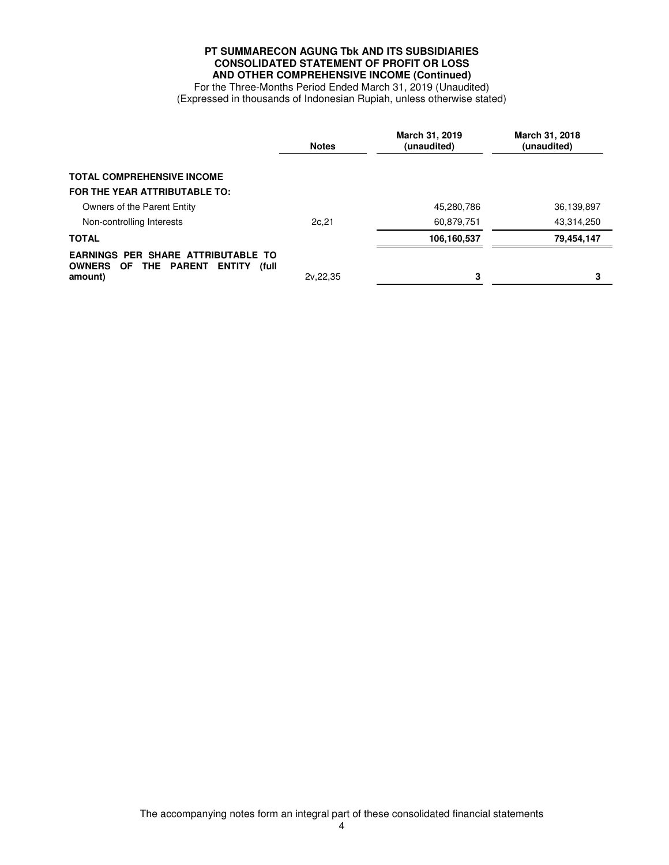# **PT SUMMARECON AGUNG Tbk AND ITS SUBSIDIARIES CONSOLIDATED STATEMENT OF PROFIT OR LOSS AND OTHER COMPREHENSIVE INCOME (Continued)**

For the Three-Months Period Ended March 31, 2019 (Unaudited) (Expressed in thousands of Indonesian Rupiah, unless otherwise stated)

|                                                                                                                             | <b>Notes</b> | March 31, 2019<br>(unaudited) | March 31, 2018<br>(unaudited) |
|-----------------------------------------------------------------------------------------------------------------------------|--------------|-------------------------------|-------------------------------|
| <b>TOTAL COMPREHENSIVE INCOME</b>                                                                                           |              |                               |                               |
| FOR THE YEAR ATTRIBUTABLE TO:                                                                                               |              |                               |                               |
| Owners of the Parent Entity                                                                                                 |              | 45,280,786                    | 36,139,897                    |
| Non-controlling Interests                                                                                                   | 2c, 21       | 60,879,751                    | 43,314,250                    |
| <b>TOTAL</b>                                                                                                                |              | 106,160,537                   | 79,454,147                    |
| <b>EARNINGS PER SHARE ATTRIBUTABLE TO</b><br><b>OWNERS</b><br><b>THE PARENT</b><br>OF.<br><b>ENTITY</b><br>(full<br>amount) | 2v.22.35     | 3                             | 3                             |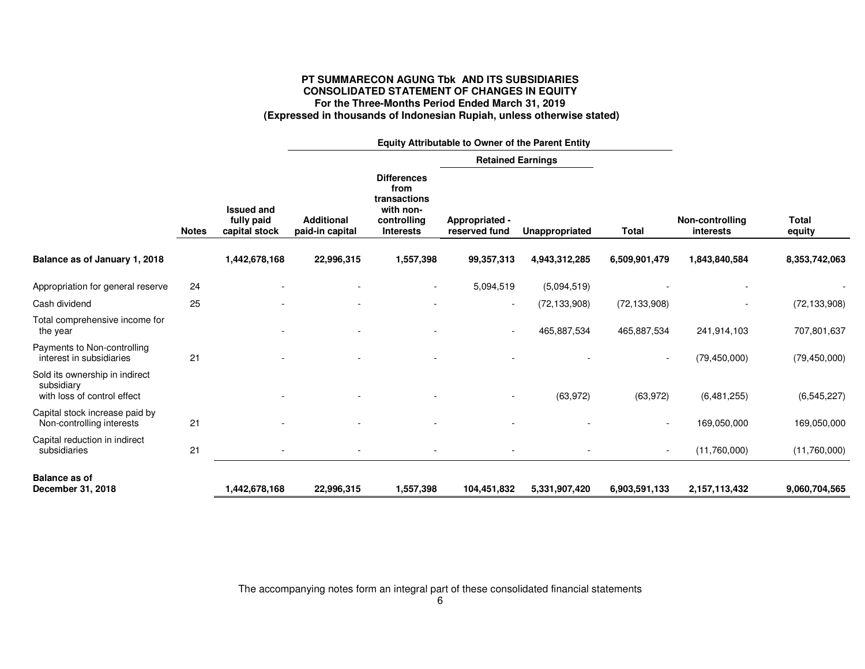# **PT SUMMARECON AGUNG Tbk AND ITS SUBSIDIARIES CONSOLIDATED STATEMENT OF CHANGES IN EQUITY For the Three-Months Period Ended March 31, 2019 (Expressed in thousands of Indonesian Rupiah, unless otherwise stated)**

|                                                                             |              |                                                  | Equity Attributable to Owner of the Parent Entity |                                                                                            |                                 |                |                          |                              |                        |  |  |
|-----------------------------------------------------------------------------|--------------|--------------------------------------------------|---------------------------------------------------|--------------------------------------------------------------------------------------------|---------------------------------|----------------|--------------------------|------------------------------|------------------------|--|--|
|                                                                             |              |                                                  |                                                   |                                                                                            |                                 |                | <b>Retained Earnings</b> |                              |                        |  |  |
|                                                                             | <b>Notes</b> | <b>Issued and</b><br>fully paid<br>capital stock | <b>Additional</b><br>paid-in capital              | <b>Differences</b><br>from<br>transactions<br>with non-<br>controlling<br><b>Interests</b> | Appropriated -<br>reserved fund | Unappropriated | <b>Total</b>             | Non-controlling<br>interests | <b>Total</b><br>equity |  |  |
| Balance as of January 1, 2018                                               |              | 1,442,678,168                                    | 22,996,315                                        | 1,557,398                                                                                  | 99,357,313                      | 4,943,312,285  | 6,509,901,479            | 1,843,840,584                | 8,353,742,063          |  |  |
| Appropriation for general reserve                                           | 24           |                                                  |                                                   |                                                                                            | 5,094,519                       | (5,094,519)    |                          |                              |                        |  |  |
| Cash dividend                                                               | 25           |                                                  |                                                   |                                                                                            | $\sim$                          | (72, 133, 908) | (72, 133, 908)           |                              | (72, 133, 908)         |  |  |
| Total comprehensive income for<br>the year                                  |              |                                                  |                                                   |                                                                                            |                                 | 465,887,534    | 465,887,534              | 241,914,103                  | 707,801,637            |  |  |
| Payments to Non-controlling<br>interest in subsidiaries                     | 21           |                                                  |                                                   |                                                                                            |                                 |                | $\overline{\phantom{a}}$ | (79, 450, 000)               | (79, 450, 000)         |  |  |
| Sold its ownership in indirect<br>subsidiary<br>with loss of control effect |              |                                                  |                                                   |                                                                                            |                                 | (63, 972)      | (63, 972)                | (6,481,255)                  | (6, 545, 227)          |  |  |
| Capital stock increase paid by<br>Non-controlling interests                 | 21           |                                                  |                                                   |                                                                                            |                                 |                | $\overline{\phantom{a}}$ | 169,050,000                  | 169,050,000            |  |  |
| Capital reduction in indirect<br>subsidiaries                               | 21           |                                                  |                                                   |                                                                                            |                                 |                | $\overline{\phantom{a}}$ | (11,760,000)                 | (11,760,000)           |  |  |
| <b>Balance as of</b><br>December 31, 2018                                   |              | 1,442,678,168                                    | 22,996,315                                        | 1,557,398                                                                                  | 104,451,832                     | 5,331,907,420  | 6,903,591,133            | 2,157,113,432                | 9,060,704,565          |  |  |

The accompanying notes form an integral part of these consolidated financial statements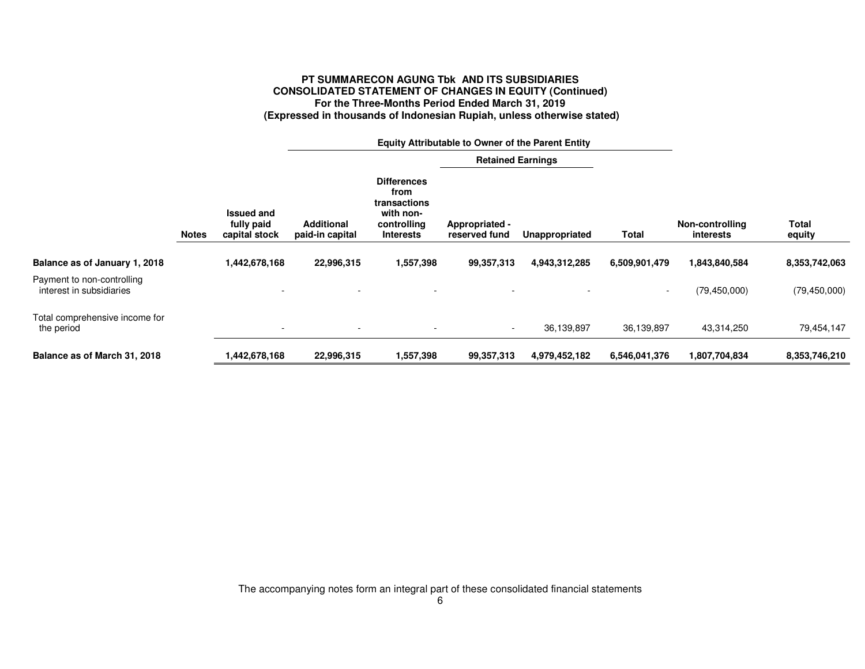# **PT SUMMARECON AGUNG Tbk AND ITS SUBSIDIARIES CONSOLIDATED STATEMENT OF CHANGES IN EQUITY (Continued) For the Three-Months Period Ended March 31, 2019 (Expressed in thousands of Indonesian Rupiah, unless otherwise stated)**

|                                                        |              |                                                  | <b>Equity Attributable to Owner of the Parent Entity</b> |                                                                                            |                                 |                |                          |                              |                 |
|--------------------------------------------------------|--------------|--------------------------------------------------|----------------------------------------------------------|--------------------------------------------------------------------------------------------|---------------------------------|----------------|--------------------------|------------------------------|-----------------|
|                                                        |              |                                                  |                                                          |                                                                                            | <b>Retained Earnings</b>        |                |                          |                              |                 |
|                                                        | <b>Notes</b> | <b>Issued and</b><br>fully paid<br>capital stock | <b>Additional</b><br>paid-in capital                     | <b>Differences</b><br>from<br>transactions<br>with non-<br>controlling<br><b>Interests</b> | Appropriated -<br>reserved fund | Unappropriated | <b>Total</b>             | Non-controlling<br>interests | Total<br>equity |
|                                                        |              |                                                  |                                                          |                                                                                            |                                 |                |                          |                              |                 |
| Balance as of January 1, 2018                          |              | 1,442,678,168                                    | 22,996,315                                               | 1,557,398                                                                                  | 99,357,313                      | 4,943,312,285  | 6,509,901,479            | 1,843,840,584                | 8,353,742,063   |
| Payment to non-controlling<br>interest in subsidiaries |              |                                                  |                                                          |                                                                                            |                                 |                | $\overline{\phantom{0}}$ | (79, 450, 000)               | (79, 450, 000)  |
| Total comprehensive income for<br>the period           |              | $\overline{\phantom{a}}$                         | $\overline{\phantom{a}}$                                 | $\sim$                                                                                     | $\sim$                          | 36,139,897     | 36,139,897               | 43,314,250                   | 79,454,147      |
| Balance as of March 31, 2018                           |              | 1,442,678,168                                    | 22,996,315                                               | 1,557,398                                                                                  | 99,357,313                      | 4,979,452,182  | 6,546,041,376            | 1,807,704,834                | 8,353,746,210   |

The accompanying notes form an integral part of these consolidated financial statements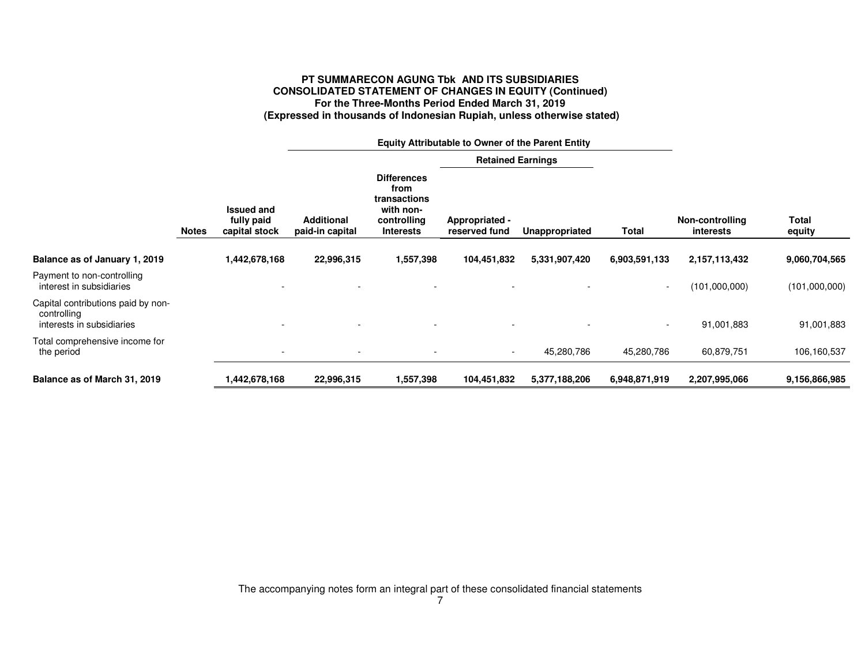# **PT SUMMARECON AGUNG Tbk AND ITS SUBSIDIARIES CONSOLIDATED STATEMENT OF CHANGES IN EQUITY (Continued) For the Three-Months Period Ended March 31, 2019 (Expressed in thousands of Indonesian Rupiah, unless otherwise stated)**

|                                                                                |              |                                                  | <b>Equity Attributable to Owner of the Parent Entity</b> |                                                                                            |                                 |                |                          |                                     |                 |
|--------------------------------------------------------------------------------|--------------|--------------------------------------------------|----------------------------------------------------------|--------------------------------------------------------------------------------------------|---------------------------------|----------------|--------------------------|-------------------------------------|-----------------|
|                                                                                |              |                                                  |                                                          |                                                                                            | <b>Retained Earnings</b>        |                |                          |                                     |                 |
|                                                                                | <b>Notes</b> | <b>Issued and</b><br>fully paid<br>capital stock | <b>Additional</b><br>paid-in capital                     | <b>Differences</b><br>from<br>transactions<br>with non-<br>controlling<br><b>Interests</b> | Appropriated -<br>reserved fund | Unappropriated | Total                    | Non-controlling<br><i>interests</i> | Total<br>equity |
| Balance as of January 1, 2019                                                  |              | 1,442,678,168                                    | 22,996,315                                               | 1,557,398                                                                                  | 104,451,832                     | 5,331,907,420  | 6,903,591,133            | 2,157,113,432                       | 9,060,704,565   |
| Payment to non-controlling<br>interest in subsidiaries                         |              |                                                  |                                                          |                                                                                            |                                 |                | $\overline{\phantom{a}}$ | (101,000,000)                       | (101,000,000)   |
| Capital contributions paid by non-<br>controlling<br>interests in subsidiaries |              |                                                  |                                                          |                                                                                            |                                 |                | $\overline{\phantom{a}}$ | 91,001,883                          | 91,001,883      |
| Total comprehensive income for<br>the period                                   |              | $\overline{\phantom{a}}$                         |                                                          |                                                                                            | $\sim$                          | 45,280,786     | 45,280,786               | 60,879,751                          | 106,160,537     |
| Balance as of March 31, 2019                                                   |              | 1,442,678,168                                    | 22,996,315                                               | 1,557,398                                                                                  | 104,451,832                     | 5,377,188,206  | 6,948,871,919            | 2,207,995,066                       | 9,156,866,985   |

The accompanying notes form an integral part of these consolidated financial statements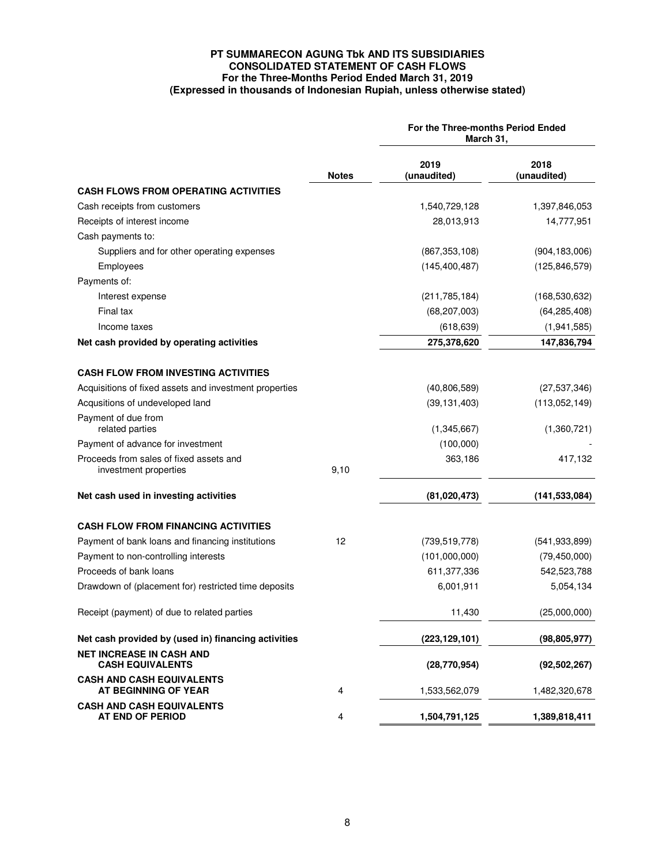# **PT SUMMARECON AGUNG Tbk AND ITS SUBSIDIARIES CONSOLIDATED STATEMENT OF CASH FLOWS For the Three-Months Period Ended March 31, 2019 (Expressed in thousands of Indonesian Rupiah, unless otherwise stated)**

|                                                                  |              | For the Three-months Period Ended<br>March 31, |                     |  |  |
|------------------------------------------------------------------|--------------|------------------------------------------------|---------------------|--|--|
|                                                                  | <b>Notes</b> | 2019<br>(unaudited)                            | 2018<br>(unaudited) |  |  |
| <b>CASH FLOWS FROM OPERATING ACTIVITIES</b>                      |              |                                                |                     |  |  |
| Cash receipts from customers                                     |              | 1,540,729,128                                  | 1,397,846,053       |  |  |
| Receipts of interest income                                      |              | 28,013,913                                     | 14,777,951          |  |  |
| Cash payments to:                                                |              |                                                |                     |  |  |
| Suppliers and for other operating expenses                       |              | (867, 353, 108)                                | (904, 183, 006)     |  |  |
| Employees                                                        |              | (145, 400, 487)                                | (125, 846, 579)     |  |  |
| Payments of:                                                     |              |                                                |                     |  |  |
| Interest expense                                                 |              | (211, 785, 184)                                | (168, 530, 632)     |  |  |
| Final tax                                                        |              | (68, 207, 003)                                 | (64, 285, 408)      |  |  |
| Income taxes                                                     |              | (618, 639)                                     | (1, 941, 585)       |  |  |
| Net cash provided by operating activities                        |              | 275,378,620                                    | 147,836,794         |  |  |
| <b>CASH FLOW FROM INVESTING ACTIVITIES</b>                       |              |                                                |                     |  |  |
| Acquisitions of fixed assets and investment properties           |              | (40,806,589)                                   | (27, 537, 346)      |  |  |
| Acqusitions of undeveloped land                                  |              | (39, 131, 403)                                 | (113,052,149)       |  |  |
| Payment of due from                                              |              |                                                |                     |  |  |
| related parties                                                  |              | (1,345,667)                                    | (1,360,721)         |  |  |
| Payment of advance for investment                                |              | (100,000)                                      |                     |  |  |
| Proceeds from sales of fixed assets and<br>investment properties | 9,10         | 363,186                                        | 417,132             |  |  |
| Net cash used in investing activities                            |              | (81,020,473)                                   | (141, 533, 084)     |  |  |
| <b>CASH FLOW FROM FINANCING ACTIVITIES</b>                       |              |                                                |                     |  |  |
| Payment of bank loans and financing institutions                 | 12           | (739, 519, 778)                                | (541, 933, 899)     |  |  |
| Payment to non-controlling interests                             |              | (101,000,000)                                  | (79, 450, 000)      |  |  |
| Proceeds of bank loans                                           |              | 611,377,336                                    | 542,523,788         |  |  |
| Drawdown of (placement for) restricted time deposits             |              | 6,001,911                                      | 5,054,134           |  |  |
| Receipt (payment) of due to related parties                      |              | 11,430                                         | (25,000,000)        |  |  |
| Net cash provided by (used in) financing activities              |              | (223, 129, 101)                                | (98, 805, 977)      |  |  |
| <b>NET INCREASE IN CASH AND</b><br><b>CASH EQUIVALENTS</b>       |              | (28, 770, 954)                                 | (92, 502, 267)      |  |  |
| <b>CASH AND CASH EQUIVALENTS</b><br>AT BEGINNING OF YEAR         | 4            | 1,533,562,079                                  | 1,482,320,678       |  |  |
| <b>CASH AND CASH EQUIVALENTS</b><br>AT END OF PERIOD             | 4            | 1,504,791,125                                  | 1,389,818,411       |  |  |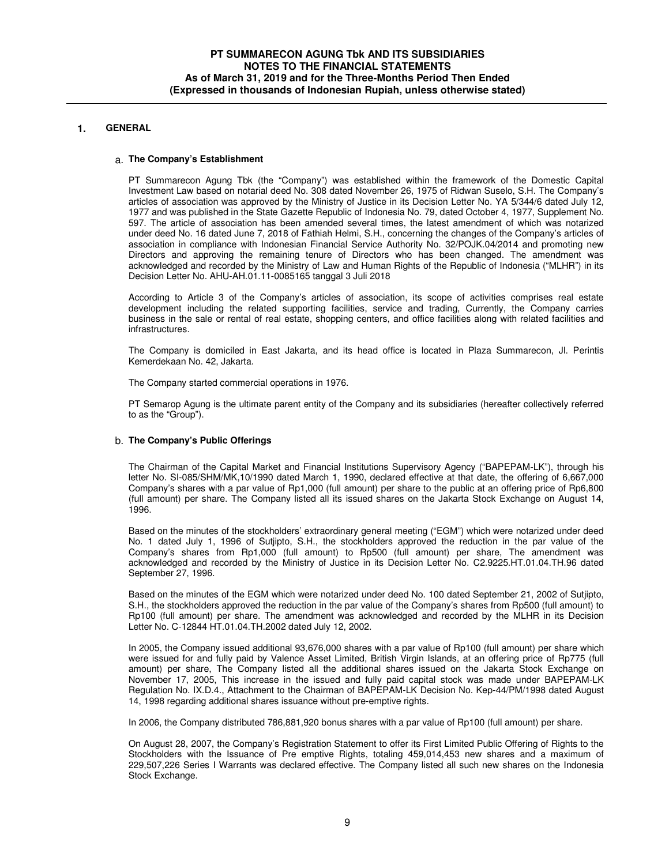# **1. GENERAL**

### a. **The Company's Establishment**

PT Summarecon Agung Tbk (the "Company") was established within the framework of the Domestic Capital Investment Law based on notarial deed No. 308 dated November 26, 1975 of Ridwan Suselo, S.H. The Company's articles of association was approved by the Ministry of Justice in its Decision Letter No. YA 5/344/6 dated July 12, 1977 and was published in the State Gazette Republic of Indonesia No. 79, dated October 4, 1977, Supplement No. 597. The article of association has been amended several times, the latest amendment of which was notarized under deed No. 16 dated June 7, 2018 of Fathiah Helmi, S.H., concerning the changes of the Company's articles of association in compliance with Indonesian Financial Service Authority No. 32/POJK.04/2014 and promoting new Directors and approving the remaining tenure of Directors who has been changed. The amendment was acknowledged and recorded by the Ministry of Law and Human Rights of the Republic of Indonesia ("MLHR") in its Decision Letter No. AHU-AH.01.11-0085165 tanggal 3 Juli 2018

According to Article 3 of the Company's articles of association, its scope of activities comprises real estate development including the related supporting facilities, service and trading, Currently, the Company carries business in the sale or rental of real estate, shopping centers, and office facilities along with related facilities and infrastructures.

The Company is domiciled in East Jakarta, and its head office is located in Plaza Summarecon, Jl. Perintis Kemerdekaan No. 42, Jakarta.

The Company started commercial operations in 1976.

PT Semarop Agung is the ultimate parent entity of the Company and its subsidiaries (hereafter collectively referred to as the "Group").

### b. **The Company's Public Offerings**

The Chairman of the Capital Market and Financial Institutions Supervisory Agency ("BAPEPAM-LK"), through his letter No. SI-085/SHM/MK,10/1990 dated March 1, 1990, declared effective at that date, the offering of 6,667,000 Company's shares with a par value of Rp1,000 (full amount) per share to the public at an offering price of Rp6,800 (full amount) per share. The Company listed all its issued shares on the Jakarta Stock Exchange on August 14, 1996.

Based on the minutes of the stockholders' extraordinary general meeting ("EGM") which were notarized under deed No. 1 dated July 1, 1996 of Sutjipto, S.H., the stockholders approved the reduction in the par value of the Company's shares from Rp1,000 (full amount) to Rp500 (full amount) per share, The amendment was acknowledged and recorded by the Ministry of Justice in its Decision Letter No. C2.9225.HT.01.04.TH.96 dated September 27, 1996.

Based on the minutes of the EGM which were notarized under deed No. 100 dated September 21, 2002 of Sutjipto, S.H., the stockholders approved the reduction in the par value of the Company's shares from Rp500 (full amount) to Rp100 (full amount) per share. The amendment was acknowledged and recorded by the MLHR in its Decision Letter No. C-12844 HT.01.04.TH.2002 dated July 12, 2002.

In 2005, the Company issued additional 93,676,000 shares with a par value of Rp100 (full amount) per share which were issued for and fully paid by Valence Asset Limited, British Virgin Islands, at an offering price of Rp775 (full amount) per share, The Company listed all the additional shares issued on the Jakarta Stock Exchange on November 17, 2005, This increase in the issued and fully paid capital stock was made under BAPEPAM-LK Regulation No. IX.D.4., Attachment to the Chairman of BAPEPAM-LK Decision No. Kep-44/PM/1998 dated August 14, 1998 regarding additional shares issuance without pre-emptive rights.

In 2006, the Company distributed 786,881,920 bonus shares with a par value of Rp100 (full amount) per share.

On August 28, 2007, the Company's Registration Statement to offer its First Limited Public Offering of Rights to the Stockholders with the Issuance of Pre emptive Rights, totaling 459,014,453 new shares and a maximum of 229,507,226 Series I Warrants was declared effective. The Company listed all such new shares on the Indonesia Stock Exchange.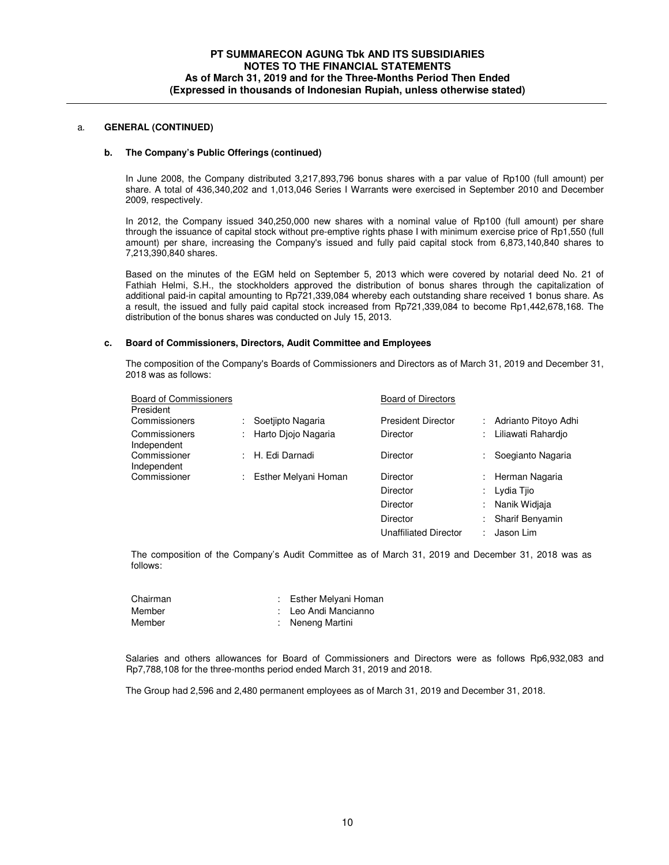### **b. The Company's Public Offerings (continued)**

In June 2008, the Company distributed 3,217,893,796 bonus shares with a par value of Rp100 (full amount) per share. A total of 436,340,202 and 1,013,046 Series I Warrants were exercised in September 2010 and December 2009, respectively.

In 2012, the Company issued 340,250,000 new shares with a nominal value of Rp100 (full amount) per share through the issuance of capital stock without pre-emptive rights phase I with minimum exercise price of Rp1,550 (full amount) per share, increasing the Company's issued and fully paid capital stock from 6,873,140,840 shares to 7,213,390,840 shares.

Based on the minutes of the EGM held on September 5, 2013 which were covered by notarial deed No. 21 of Fathiah Helmi, S.H., the stockholders approved the distribution of bonus shares through the capitalization of additional paid-in capital amounting to Rp721,339,084 whereby each outstanding share received 1 bonus share. As a result, the issued and fully paid capital stock increased from Rp721,339,084 to become Rp1,442,678,168. The distribution of the bonus shares was conducted on July 15, 2013.

#### **c. Board of Commissioners, Directors, Audit Committee and Employees**

The composition of the Company's Boards of Commissioners and Directors as of March 31, 2019 and December 31, 2018 was as follows:

| <b>Board of Commissioners</b><br>President |    |                      | <b>Board of Directors</b> |   |                      |
|--------------------------------------------|----|----------------------|---------------------------|---|----------------------|
| Commissioners                              | ÷. | Soetiipto Nagaria    | <b>President Director</b> |   | Adrianto Pitovo Adhi |
| Commissioners<br>Independent               | ÷. | Harto Diojo Nagaria  | <b>Director</b>           | ÷ | Liliawati Rahardio   |
| Commissioner<br>Independent                |    | : H. Edi Darnadi     | <b>Director</b>           |   | Soegianto Nagaria    |
| Commissioner                               | ÷  | Esther Melyani Homan | <b>Director</b>           |   | Herman Nagaria       |
|                                            |    |                      | <b>Director</b>           |   | Lydia Tiio           |
|                                            |    |                      | <b>Director</b>           | ÷ | Nanik Widiaja        |
|                                            |    |                      | <b>Director</b>           | ÷ | Sharif Benyamin      |
|                                            |    |                      | Unaffiliated Director     |   | Jason Lim            |

The composition of the Company's Audit Committee as of March 31, 2019 and December 31, 2018 was as follows:

| Chairman | : Esther Melyani Homan |
|----------|------------------------|
| Member   | : Leo Andi Mancianno   |
| Member   | : Neneng Martini       |

Salaries and others allowances for Board of Commissioners and Directors were as follows Rp6,932,083 and Rp7,788,108 for the three-months period ended March 31, 2019 and 2018.

The Group had 2,596 and 2,480 permanent employees as of March 31, 2019 and December 31, 2018.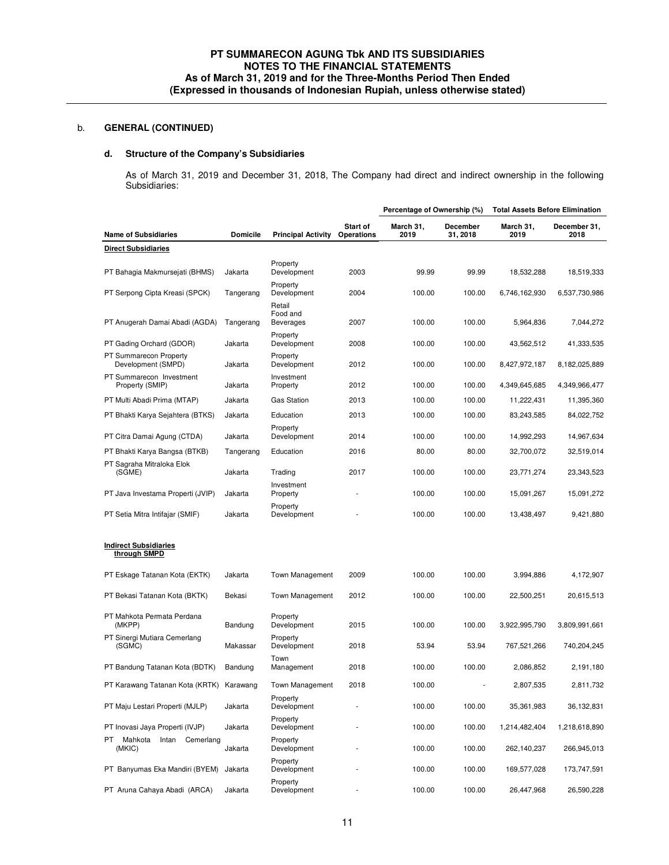# **d. Structure of the Company's Subsidiaries**

As of March 31, 2019 and December 31, 2018, The Company had direct and indirect ownership in the following Subsidiaries:

|                                               |                 |                                        |                               | Percentage of Ownership (%) |                      | <b>Total Assets Before Elimination</b> |                      |
|-----------------------------------------------|-----------------|----------------------------------------|-------------------------------|-----------------------------|----------------------|----------------------------------------|----------------------|
| <b>Name of Subsidiaries</b>                   | <b>Domicile</b> | <b>Principal Activity</b>              | <b>Start of</b><br>Operations | March 31,<br>2019           | December<br>31, 2018 | March 31,<br>2019                      | December 31,<br>2018 |
| <b>Direct Subsidiaries</b>                    |                 |                                        |                               |                             |                      |                                        |                      |
| PT Bahagia Makmursejati (BHMS)                | Jakarta         | Property<br>Development                | 2003                          | 99.99                       | 99.99                | 18,532,288                             | 18,519,333           |
| PT Serpong Cipta Kreasi (SPCK)                | Tangerang       | Property<br>Development                | 2004                          | 100.00                      | 100.00               | 6,746,162,930                          | 6,537,730,986        |
| PT Anugerah Damai Abadi (AGDA)                | Tangerang       | Retail<br>Food and<br><b>Beverages</b> | 2007                          | 100.00                      | 100.00               | 5,964,836                              | 7,044,272            |
| PT Gading Orchard (GDOR)                      | Jakarta         | Property<br>Development                | 2008                          | 100.00                      | 100.00               | 43,562,512                             | 41,333,535           |
| PT Summarecon Property<br>Development (SMPD)  | Jakarta         | Property<br>Development                | 2012                          | 100.00                      | 100.00               | 8,427,972,187                          | 8,182,025,889        |
| PT Summarecon Investment<br>Property (SMIP)   | Jakarta         | Investment<br>Property                 | 2012                          | 100.00                      | 100.00               | 4,349,645,685                          | 4,349,966,477        |
| PT Multi Abadi Prima (MTAP)                   | Jakarta         | <b>Gas Station</b>                     | 2013                          | 100.00                      | 100.00               | 11,222,431                             | 11,395,360           |
| PT Bhakti Karya Sejahtera (BTKS)              | Jakarta         | Education                              | 2013                          | 100.00                      | 100.00               | 83,243,585                             | 84,022,752           |
| PT Citra Damai Agung (CTDA)                   | Jakarta         | Property<br>Development                | 2014                          | 100.00                      | 100.00               | 14,992,293                             | 14,967,634           |
| PT Bhakti Karya Bangsa (BTKB)                 | Tangerang       | Education                              | 2016                          | 80.00                       | 80.00                | 32,700,072                             | 32,519,014           |
| PT Sagraha Mitraloka Elok<br>(SGME)           | Jakarta         | Trading                                | 2017                          | 100.00                      | 100.00               | 23,771,274                             | 23,343,523           |
| PT Java Investama Properti (JVIP)             | Jakarta         | Investment<br>Property                 |                               | 100.00                      | 100.00               | 15,091,267                             | 15,091,272           |
| PT Setia Mitra Intifajar (SMIF)               | Jakarta         | Property<br>Development                |                               | 100.00                      | 100.00               | 13,438,497                             | 9,421,880            |
| <b>Indirect Subsidiaries</b><br>through SMPD  |                 |                                        |                               |                             |                      |                                        |                      |
| PT Eskage Tatanan Kota (EKTK)                 | Jakarta         | <b>Town Management</b>                 | 2009                          | 100.00                      | 100.00               | 3,994,886                              | 4,172,907            |
| PT Bekasi Tatanan Kota (BKTK)                 | Bekasi          | Town Management                        | 2012                          | 100.00                      | 100.00               | 22,500,251                             | 20,615,513           |
| PT Mahkota Permata Perdana<br>(MKPP)          | Bandung         | Property<br>Development                | 2015                          | 100.00                      | 100.00               | 3,922,995,790                          | 3,809,991,661        |
| PT Sinergi Mutiara Cemerlang<br>(SGMC)        | Makassar        | Property<br>Development                | 2018                          | 53.94                       | 53.94                | 767,521,266                            | 740,204,245          |
| PT Bandung Tatanan Kota (BDTK)                | Bandung         | Town<br>Management                     | 2018                          | 100.00                      | 100.00               | 2,086,852                              | 2,191,180            |
| PT Karawang Tatanan Kota (KRTK)               | Karawang        | Town Management                        | 2018                          | 100.00                      |                      | 2,807,535                              | 2,811,732            |
| PT Maju Lestari Properti (MJLP)               | Jakarta         | Property<br>Development                |                               | 100.00                      | 100.00               | 35,361,983                             | 36,132,831           |
| PT Inovasi Jaya Properti (IVJP)               | Jakarta         | Property<br>Development                |                               | 100.00                      | 100.00               | 1,214,482,404                          | 1,218,618,890        |
| Mahkota<br>PT<br>Intan<br>Cemerlang<br>(MKIC) | Jakarta         | Property<br>Development                |                               | 100.00                      | 100.00               | 262,140,237                            | 266,945,013          |
| PT Banyumas Eka Mandiri (BYEM)                | Jakarta         | Property<br>Development                |                               | 100.00                      | 100.00               | 169,577,028                            | 173,747,591          |
| PT Aruna Cahaya Abadi (ARCA)                  | Jakarta         | Property<br>Development                |                               | 100.00                      | 100.00               | 26,447,968                             | 26,590,228           |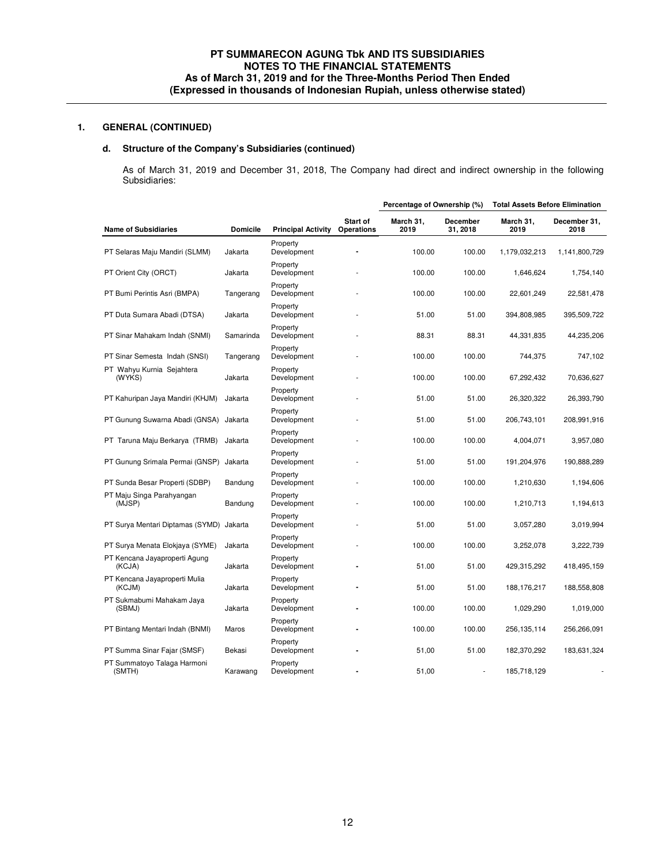# **d. Structure of the Company's Subsidiaries (continued)**

As of March 31, 2019 and December 31, 2018, The Company had direct and indirect ownership in the following Subsidiaries:

|                                         |                 |                           |                        | Percentage of Ownership (%) |                      | <b>Total Assets Before Elimination</b> |                      |  |
|-----------------------------------------|-----------------|---------------------------|------------------------|-----------------------------|----------------------|----------------------------------------|----------------------|--|
| <b>Name of Subsidiaries</b>             | <b>Domicile</b> | <b>Principal Activity</b> | Start of<br>Operations | March 31,<br>2019           | December<br>31, 2018 | March 31,<br>2019                      | December 31,<br>2018 |  |
| PT Selaras Maju Mandiri (SLMM)          | Jakarta         | Property<br>Development   |                        | 100.00                      | 100.00               | 1,179,032,213                          | 1,141,800,729        |  |
| PT Orient City (ORCT)                   | Jakarta         | Property<br>Development   |                        | 100.00                      | 100.00               | 1,646,624                              | 1,754,140            |  |
| PT Bumi Perintis Asri (BMPA)            | Tangerang       | Property<br>Development   |                        | 100.00                      | 100.00               | 22,601,249                             | 22,581,478           |  |
| PT Duta Sumara Abadi (DTSA)             | Jakarta         | Property<br>Development   |                        | 51.00                       | 51.00                | 394,808,985                            | 395,509,722          |  |
| PT Sinar Mahakam Indah (SNMI)           | Samarinda       | Property<br>Development   |                        | 88.31                       | 88.31                | 44,331,835                             | 44,235,206           |  |
| PT Sinar Semesta Indah (SNSI)           | Tangerang       | Property<br>Development   |                        | 100.00                      | 100.00               | 744,375                                | 747,102              |  |
| PT Wahyu Kurnia Sejahtera<br>(WYKS)     | Jakarta         | Property<br>Development   |                        | 100.00                      | 100.00               | 67,292,432                             | 70,636,627           |  |
| PT Kahuripan Jaya Mandiri (KHJM)        | Jakarta         | Property<br>Development   |                        | 51.00                       | 51.00                | 26,320,322                             | 26,393,790           |  |
| PT Gunung Suwarna Abadi (GNSA)          | Jakarta         | Property<br>Development   |                        | 51.00                       | 51.00                | 206,743,101                            | 208,991,916          |  |
| PT Taruna Maju Berkarya (TRMB)          | Jakarta         | Property<br>Development   |                        | 100.00                      | 100.00               | 4,004,071                              | 3,957,080            |  |
| PT Gunung Srimala Permai (GNSP)         | Jakarta         | Property<br>Development   |                        | 51.00                       | 51.00                | 191,204,976                            | 190,888,289          |  |
| PT Sunda Besar Properti (SDBP)          | Bandung         | Property<br>Development   |                        | 100.00                      | 100.00               | 1,210,630                              | 1,194,606            |  |
| PT Maju Singa Parahyangan<br>(MJSP)     | Bandung         | Property<br>Development   |                        | 100.00                      | 100.00               | 1,210,713                              | 1,194,613            |  |
| PT Surya Mentari Diptamas (SYMD)        | Jakarta         | Property<br>Development   |                        | 51.00                       | 51.00                | 3,057,280                              | 3,019,994            |  |
| PT Surya Menata Elokjaya (SYME)         | Jakarta         | Property<br>Development   |                        | 100.00                      | 100.00               | 3,252,078                              | 3,222,739            |  |
| PT Kencana Jayaproperti Agung<br>(KCJA) | Jakarta         | Property<br>Development   |                        | 51.00                       | 51.00                | 429,315,292                            | 418,495,159          |  |
| PT Kencana Jayaproperti Mulia<br>(KCJM) | Jakarta         | Property<br>Development   |                        | 51.00                       | 51.00                | 188, 176, 217                          | 188,558,808          |  |
| PT Sukmabumi Mahakam Jaya<br>(SBMJ)     | Jakarta         | Property<br>Development   |                        | 100.00                      | 100.00               | 1,029,290                              | 1,019,000            |  |
| PT Bintang Mentari Indah (BNMI)         | Maros           | Property<br>Development   |                        | 100.00                      | 100.00               | 256,135,114                            | 256,266,091          |  |
| PT Summa Sinar Fajar (SMSF)             | Bekasi          | Property<br>Development   |                        | 51,00                       | 51.00                | 182,370,292                            | 183,631,324          |  |
| PT Summatoyo Talaga Harmoni<br>(SMTH)   | Karawang        | Property<br>Development   |                        | 51,00                       |                      | 185,718,129                            |                      |  |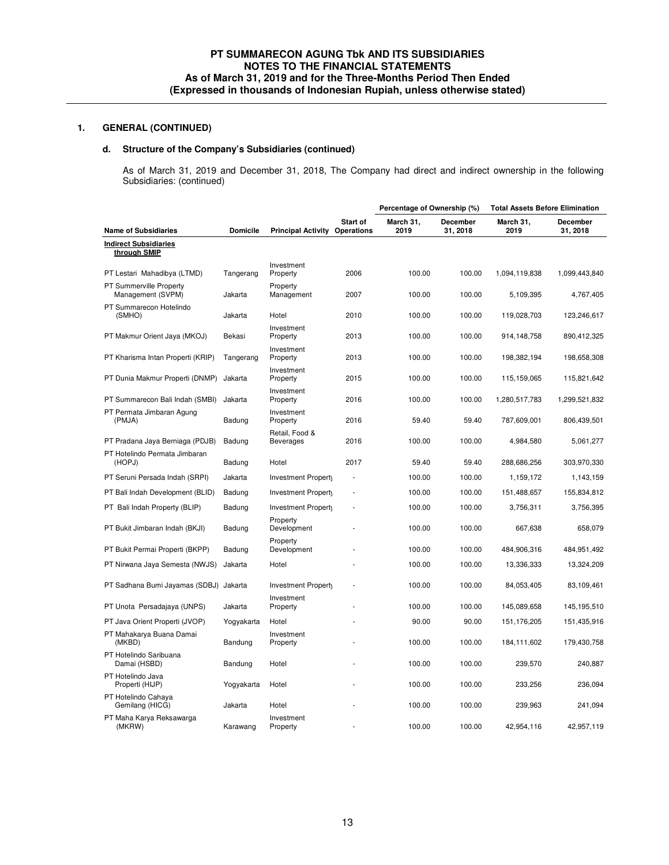# **d. Structure of the Company's Subsidiaries (continued)**

As of March 31, 2019 and December 31, 2018, The Company had direct and indirect ownership in the following Subsidiaries: (continued)

|                                              |                 |                                    |                        | Percentage of Ownership (%) |                             | <b>Total Assets Before Elimination</b> |                             |
|----------------------------------------------|-----------------|------------------------------------|------------------------|-----------------------------|-----------------------------|----------------------------------------|-----------------------------|
| <b>Name of Subsidiaries</b>                  | <b>Domicile</b> | <b>Principal Activity</b>          | Start of<br>Operations | March 31,<br>2019           | <b>December</b><br>31, 2018 | March 31,<br>2019                      | <b>December</b><br>31, 2018 |
| <b>Indirect Subsidiaries</b><br>through SMIP |                 |                                    |                        |                             |                             |                                        |                             |
| PT Lestari Mahadibya (LTMD)                  | Tangerang       | Investment<br>Property             | 2006                   | 100.00                      | 100.00                      | 1,094,119,838                          | 1,099,443,840               |
| PT Summerville Property<br>Management (SVPM) | Jakarta         | Property<br>Management             | 2007                   | 100.00                      | 100.00                      | 5,109,395                              | 4,767,405                   |
| PT Summarecon Hotelindo<br>(SMHO)            | Jakarta         | Hotel                              | 2010                   | 100.00                      | 100.00                      | 119,028,703                            | 123,246,617                 |
| PT Makmur Orient Jaya (MKOJ)                 | Bekasi          | Investment<br>Property             | 2013                   | 100.00                      | 100.00                      | 914,148,758                            | 890,412,325                 |
| PT Kharisma Intan Properti (KRIP)            | Tangerang       | Investment<br>Property             | 2013                   | 100.00                      | 100.00                      | 198,382,194                            | 198,658,308                 |
| PT Dunia Makmur Properti (DNMP)              | Jakarta         | Investment<br>Property             | 2015                   | 100.00                      | 100.00                      | 115,159,065                            | 115,821,642                 |
| PT Summarecon Bali Indah (SMBI)              | Jakarta         | Investment<br>Property             | 2016                   | 100.00                      | 100.00                      | 1,280,517,783                          | 1,299,521,832               |
| PT Permata Jimbaran Agung<br>(PMJA)          | Badung          | Investment<br>Property             | 2016                   | 59.40                       | 59.40                       | 787,609,001                            | 806,439,501                 |
| PT Pradana Jaya Berniaga (PDJB)              | Badung          | Retail, Food &<br><b>Beverages</b> | 2016                   | 100.00                      | 100.00                      | 4,984,580                              | 5,061,277                   |
| PT Hotelindo Permata Jimbaran<br>(HOPJ)      | Badung          | Hotel                              | 2017                   | 59.40                       | 59.40                       | 288,686,256                            | 303,970,330                 |
| PT Seruni Persada Indah (SRPI)               | Jakarta         | Investment Property                |                        | 100.00                      | 100.00                      | 1,159,172                              | 1,143,159                   |
| PT Bali Indah Development (BLID)             | Badung          | Investment Property                |                        | 100.00                      | 100.00                      | 151,488,657                            | 155,834,812                 |
| PT Bali Indah Property (BLIP)                | Badung          | Investment Property                |                        | 100.00                      | 100.00                      | 3,756,311                              | 3,756,395                   |
| PT Bukit Jimbaran Indah (BKJI)               | Badung          | Property<br>Development            |                        | 100.00                      | 100.00                      | 667,638                                | 658,079                     |
| PT Bukit Permai Properti (BKPP)              | Badung          | Property<br>Development            |                        | 100.00                      | 100.00                      | 484,906,316                            | 484, 951, 492               |
| PT Nirwana Jaya Semesta (NWJS)               | Jakarta         | Hotel                              |                        | 100.00                      | 100.00                      | 13,336,333                             | 13,324,209                  |
| PT Sadhana Bumi Jayamas (SDBJ) Jakarta       |                 | Investment Property                |                        | 100.00                      | 100.00                      | 84,053,405                             | 83,109,461                  |
| PT Unota Persadajaya (UNPS)                  | Jakarta         | Investment<br>Property             |                        | 100.00                      | 100.00                      | 145,089,658                            | 145,195,510                 |
| PT Java Orient Properti (JVOP)               | Yogyakarta      | Hotel                              |                        | 90.00                       | 90.00                       | 151,176,205                            | 151,435,916                 |
| PT Mahakarya Buana Damai<br>(MKBD)           | Bandung         | Investment<br>Property             |                        | 100.00                      | 100.00                      | 184, 111, 602                          | 179,430,758                 |
| PT Hotelindo Saribuana<br>Damai (HSBD)       | Bandung         | Hotel                              |                        | 100.00                      | 100.00                      | 239,570                                | 240,887                     |
| PT Hotelindo Java<br>Properti (HIJP)         | Yogyakarta      | Hotel                              |                        | 100.00                      | 100.00                      | 233,256                                | 236,094                     |
| PT Hotelindo Cahaya<br>Gemilang (HICG)       | Jakarta         | Hotel                              |                        | 100.00                      | 100.00                      | 239,963                                | 241,094                     |
| PT Maha Karya Reksawarga<br>(MKRW)           | Karawang        | Investment<br>Property             |                        | 100.00                      | 100.00                      | 42,954,116                             | 42,957,119                  |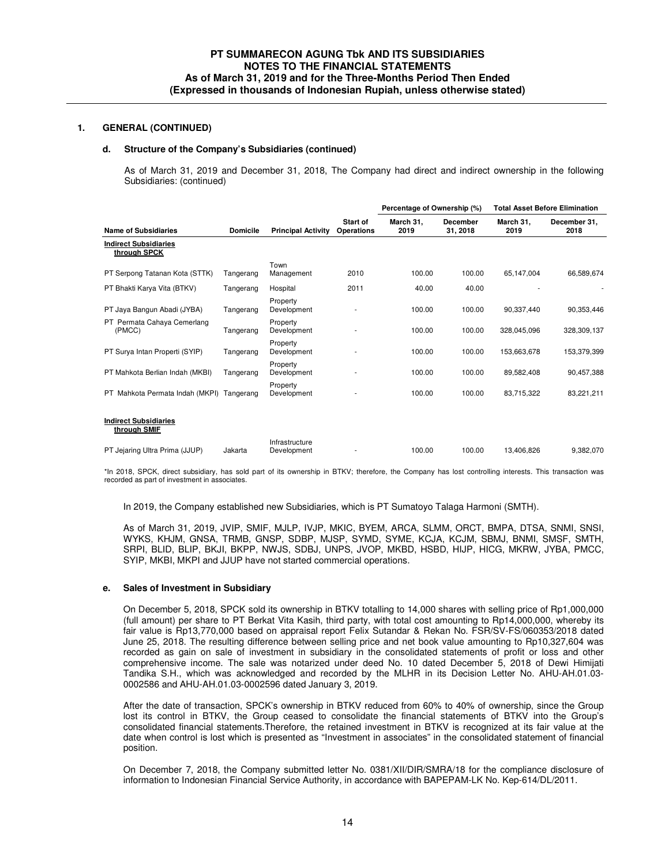### **d. Structure of the Company's Subsidiaries (continued)**

As of March 31, 2019 and December 31, 2018, The Company had direct and indirect ownership in the following Subsidiaries: (continued)

|                                              |                 |                               |                                      | Percentage of Ownership (%) |                             | <b>Total Asset Before Elimination</b> |                      |
|----------------------------------------------|-----------------|-------------------------------|--------------------------------------|-----------------------------|-----------------------------|---------------------------------------|----------------------|
| <b>Name of Subsidiaries</b>                  | <b>Domicile</b> | <b>Principal Activity</b>     | <b>Start of</b><br><b>Operations</b> | March 31,<br>2019           | <b>December</b><br>31, 2018 | March 31,<br>2019                     | December 31,<br>2018 |
| <b>Indirect Subsidiaries</b><br>through SPCK |                 |                               |                                      |                             |                             |                                       |                      |
| PT Serpong Tatanan Kota (STTK)               | Tangerang       | Town<br>Management            | 2010                                 | 100.00                      | 100.00                      | 65,147,004                            | 66,589,674           |
| PT Bhakti Karya Vita (BTKV)                  | Tangerang       | Hospital                      | 2011                                 | 40.00                       | 40.00                       |                                       |                      |
| PT Jaya Bangun Abadi (JYBA)                  | Tangerang       | Property<br>Development       |                                      | 100.00                      | 100.00                      | 90.337.440                            | 90,353,446           |
| PT Permata Cahaya Cemerlang<br>(PMCC)        | Tangerang       | Property<br>Development       |                                      | 100.00                      | 100.00                      | 328,045,096                           | 328,309,137          |
| PT Surya Intan Properti (SYIP)               | Tangerang       | Property<br>Development       |                                      | 100.00                      | 100.00                      | 153,663,678                           | 153,379,399          |
| PT Mahkota Berlian Indah (MKBI)              | Tangerang       | Property<br>Development       |                                      | 100.00                      | 100.00                      | 89,582,408                            | 90,457,388           |
| PT Mahkota Permata Indah (MKPI)              | Tangerang       | Property<br>Development       |                                      | 100.00                      | 100.00                      | 83,715,322                            | 83,221,211           |
| <b>Indirect Subsidiaries</b><br>through SMIF |                 |                               |                                      |                             |                             |                                       |                      |
| PT Jejaring Ultra Prima (JJUP)               | Jakarta         | Infrastructure<br>Development |                                      | 100.00                      | 100.00                      | 13,406,826                            | 9,382,070            |

\*In 2018, SPCK, direct subsidiary, has sold part of its ownership in BTKV; therefore, the Company has lost controlling interests. This transaction was recorded as part of investment in associates.

In 2019, the Company established new Subsidiaries, which is PT Sumatoyo Talaga Harmoni (SMTH).

As of March 31, 2019, JVIP, SMIF, MJLP, IVJP, MKIC, BYEM, ARCA, SLMM, ORCT, BMPA, DTSA, SNMI, SNSI, WYKS, KHJM, GNSA, TRMB, GNSP, SDBP, MJSP, SYMD, SYME, KCJA, KCJM, SBMJ, BNMI, SMSF, SMTH, SRPI, BLID, BLIP, BKJI, BKPP, NWJS, SDBJ, UNPS, JVOP, MKBD, HSBD, HIJP, HICG, MKRW, JYBA, PMCC, SYIP, MKBI, MKPI and JJUP have not started commercial operations.

#### **e. Sales of Investment in Subsidiary**

On December 5, 2018, SPCK sold its ownership in BTKV totalling to 14,000 shares with selling price of Rp1,000,000 (full amount) per share to PT Berkat Vita Kasih, third party, with total cost amounting to Rp14,000,000, whereby its fair value is Rp13,770,000 based on appraisal report Felix Sutandar & Rekan No. FSR/SV-FS/060353/2018 dated June 25, 2018. The resulting difference between selling price and net book value amounting to Rp10,327,604 was recorded as gain on sale of investment in subsidiary in the consolidated statements of profit or loss and other comprehensive income. The sale was notarized under deed No. 10 dated December 5, 2018 of Dewi Himijati Tandika S.H., which was acknowledged and recorded by the MLHR in its Decision Letter No. AHU-AH.01.03- 0002586 and AHU-AH.01.03-0002596 dated January 3, 2019.

After the date of transaction, SPCK's ownership in BTKV reduced from 60% to 40% of ownership, since the Group lost its control in BTKV, the Group ceased to consolidate the financial statements of BTKV into the Group's consolidated financial statements.Therefore, the retained investment in BTKV is recognized at its fair value at the date when control is lost which is presented as "Investment in associates" in the consolidated statement of financial position.

On December 7, 2018, the Company submitted letter No. 0381/XII/DIR/SMRA/18 for the compliance disclosure of information to Indonesian Financial Service Authority, in accordance with BAPEPAM-LK No. Kep-614/DL/2011.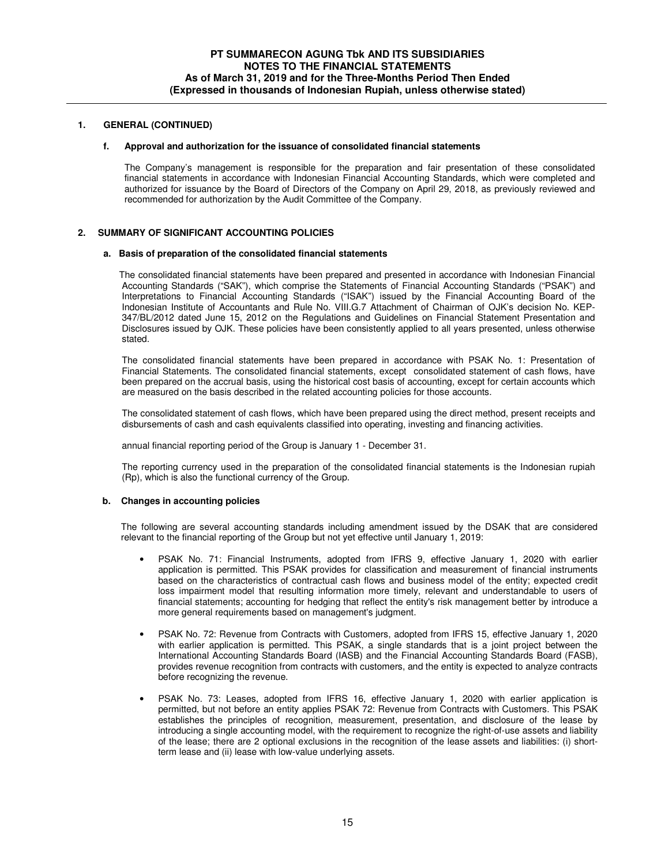### **f. Approval and authorization for the issuance of consolidated financial statements**

The Company's management is responsible for the preparation and fair presentation of these consolidated financial statements in accordance with Indonesian Financial Accounting Standards, which were completed and authorized for issuance by the Board of Directors of the Company on April 29, 2018, as previously reviewed and recommended for authorization by the Audit Committee of the Company.

## **2. SUMMARY OF SIGNIFICANT ACCOUNTING POLICIES**

#### **a. Basis of preparation of the consolidated financial statements**

The consolidated financial statements have been prepared and presented in accordance with Indonesian Financial Accounting Standards ("SAK"), which comprise the Statements of Financial Accounting Standards ("PSAK") and Interpretations to Financial Accounting Standards ("ISAK") issued by the Financial Accounting Board of the Indonesian Institute of Accountants and Rule No. VIII.G.7 Attachment of Chairman of OJK's decision No. KEP-347/BL/2012 dated June 15, 2012 on the Regulations and Guidelines on Financial Statement Presentation and Disclosures issued by OJK. These policies have been consistently applied to all years presented, unless otherwise stated.

The consolidated financial statements have been prepared in accordance with PSAK No. 1: Presentation of Financial Statements. The consolidated financial statements, except consolidated statement of cash flows, have been prepared on the accrual basis, using the historical cost basis of accounting, except for certain accounts which are measured on the basis described in the related accounting policies for those accounts.

The consolidated statement of cash flows, which have been prepared using the direct method, present receipts and disbursements of cash and cash equivalents classified into operating, investing and financing activities.

annual financial reporting period of the Group is January 1 - December 31.

The reporting currency used in the preparation of the consolidated financial statements is the Indonesian rupiah (Rp), which is also the functional currency of the Group.

### **b. Changes in accounting policies**

The following are several accounting standards including amendment issued by the DSAK that are considered relevant to the financial reporting of the Group but not yet effective until January 1, 2019:

- PSAK No. 71: Financial Instruments, adopted from IFRS 9, effective January 1, 2020 with earlier application is permitted. This PSAK provides for classification and measurement of financial instruments based on the characteristics of contractual cash flows and business model of the entity; expected credit loss impairment model that resulting information more timely, relevant and understandable to users of financial statements; accounting for hedging that reflect the entity's risk management better by introduce a more general requirements based on management's judgment.
- PSAK No. 72: Revenue from Contracts with Customers, adopted from IFRS 15, effective January 1, 2020 with earlier application is permitted. This PSAK, a single standards that is a joint project between the International Accounting Standards Board (IASB) and the Financial Accounting Standards Board (FASB), provides revenue recognition from contracts with customers, and the entity is expected to analyze contracts before recognizing the revenue.
- PSAK No. 73: Leases, adopted from IFRS 16, effective January 1, 2020 with earlier application is permitted, but not before an entity applies PSAK 72: Revenue from Contracts with Customers. This PSAK establishes the principles of recognition, measurement, presentation, and disclosure of the lease by introducing a single accounting model, with the requirement to recognize the right-of-use assets and liability of the lease; there are 2 optional exclusions in the recognition of the lease assets and liabilities: (i) shortterm lease and (ii) lease with low-value underlying assets.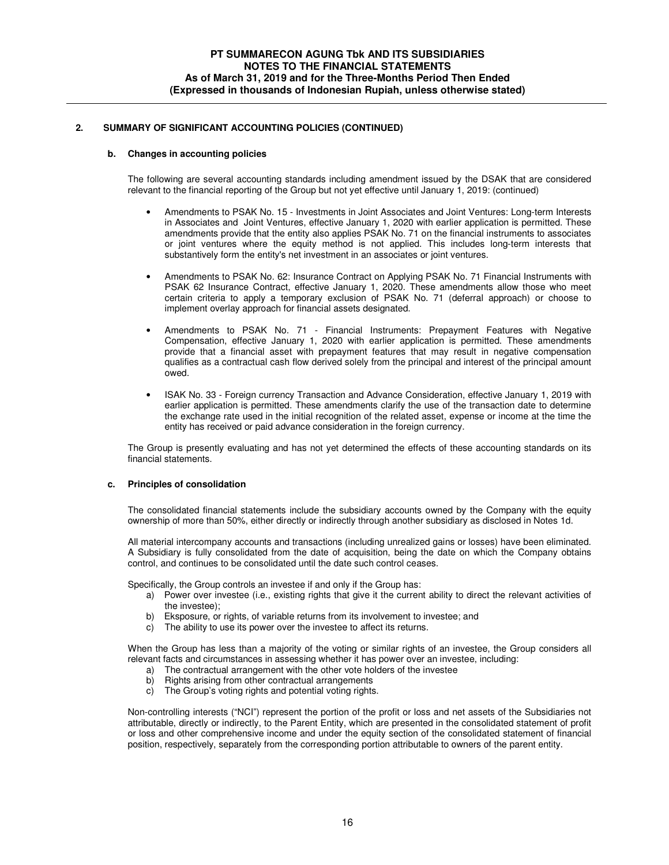### **b. Changes in accounting policies**

The following are several accounting standards including amendment issued by the DSAK that are considered relevant to the financial reporting of the Group but not yet effective until January 1, 2019: (continued)

- Amendments to PSAK No. 15 Investments in Joint Associates and Joint Ventures: Long-term Interests in Associates and Joint Ventures, effective January 1, 2020 with earlier application is permitted. These amendments provide that the entity also applies PSAK No. 71 on the financial instruments to associates or joint ventures where the equity method is not applied. This includes long-term interests that substantively form the entity's net investment in an associates or joint ventures.
- Amendments to PSAK No. 62: Insurance Contract on Applying PSAK No. 71 Financial Instruments with PSAK 62 Insurance Contract, effective January 1, 2020. These amendments allow those who meet certain criteria to apply a temporary exclusion of PSAK No. 71 (deferral approach) or choose to implement overlay approach for financial assets designated.
- Amendments to PSAK No. 71 Financial Instruments: Prepayment Features with Negative Compensation, effective January 1, 2020 with earlier application is permitted. These amendments provide that a financial asset with prepayment features that may result in negative compensation qualifies as a contractual cash flow derived solely from the principal and interest of the principal amount owed.
- ISAK No. 33 Foreign currency Transaction and Advance Consideration, effective January 1, 2019 with earlier application is permitted. These amendments clarify the use of the transaction date to determine the exchange rate used in the initial recognition of the related asset, expense or income at the time the entity has received or paid advance consideration in the foreign currency.

The Group is presently evaluating and has not yet determined the effects of these accounting standards on its financial statements.

### **c. Principles of consolidation**

The consolidated financial statements include the subsidiary accounts owned by the Company with the equity ownership of more than 50%, either directly or indirectly through another subsidiary as disclosed in Notes 1d.

All material intercompany accounts and transactions (including unrealized gains or losses) have been eliminated. A Subsidiary is fully consolidated from the date of acquisition, being the date on which the Company obtains control, and continues to be consolidated until the date such control ceases.

Specifically, the Group controls an investee if and only if the Group has:

- a) Power over investee (i.e., existing rights that give it the current ability to direct the relevant activities of the investee);
- b) Eksposure, or rights, of variable returns from its involvement to investee; and
- c) The ability to use its power over the investee to affect its returns.

When the Group has less than a majority of the voting or similar rights of an investee, the Group considers all relevant facts and circumstances in assessing whether it has power over an investee, including:

- a) The contractual arrangement with the other vote holders of the investee
- b) Rights arising from other contractual arrangements
- c) The Group's voting rights and potential voting rights.

Non-controlling interests ("NCI") represent the portion of the profit or loss and net assets of the Subsidiaries not attributable, directly or indirectly, to the Parent Entity, which are presented in the consolidated statement of profit or loss and other comprehensive income and under the equity section of the consolidated statement of financial position, respectively, separately from the corresponding portion attributable to owners of the parent entity.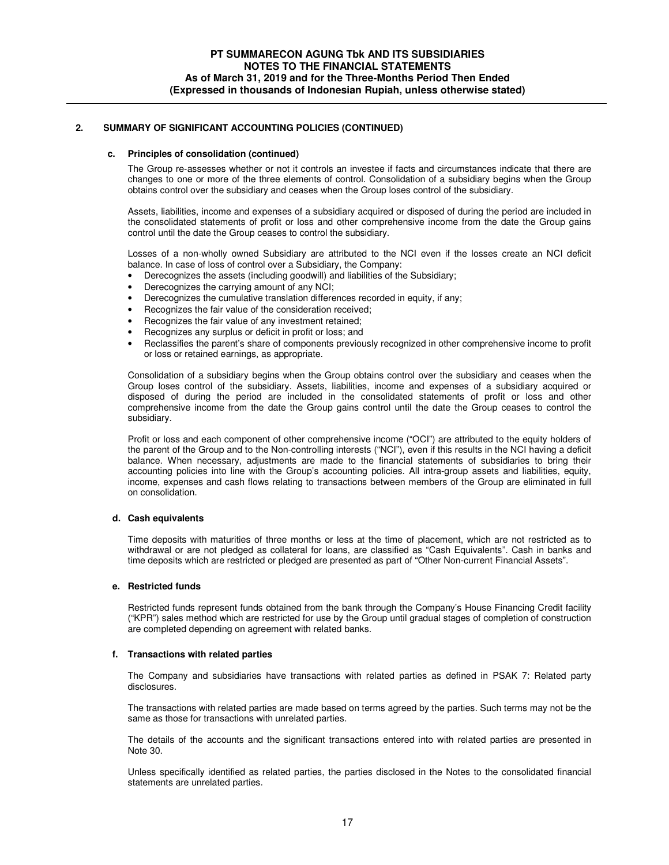### **c. Principles of consolidation (continued)**

The Group re-assesses whether or not it controls an investee if facts and circumstances indicate that there are changes to one or more of the three elements of control. Consolidation of a subsidiary begins when the Group obtains control over the subsidiary and ceases when the Group loses control of the subsidiary.

Assets, liabilities, income and expenses of a subsidiary acquired or disposed of during the period are included in the consolidated statements of profit or loss and other comprehensive income from the date the Group gains control until the date the Group ceases to control the subsidiary.

Losses of a non-wholly owned Subsidiary are attributed to the NCI even if the losses create an NCI deficit balance. In case of loss of control over a Subsidiary, the Company:

- Derecognizes the assets (including goodwill) and liabilities of the Subsidiary;
- Derecognizes the carrying amount of any NCI;
- Derecognizes the cumulative translation differences recorded in equity, if any;
- Recognizes the fair value of the consideration received;
- Recognizes the fair value of any investment retained;
- Recognizes any surplus or deficit in profit or loss; and
- Reclassifies the parent's share of components previously recognized in other comprehensive income to profit or loss or retained earnings, as appropriate.

Consolidation of a subsidiary begins when the Group obtains control over the subsidiary and ceases when the Group loses control of the subsidiary. Assets, liabilities, income and expenses of a subsidiary acquired or disposed of during the period are included in the consolidated statements of profit or loss and other comprehensive income from the date the Group gains control until the date the Group ceases to control the subsidiary.

Profit or loss and each component of other comprehensive income ("OCI") are attributed to the equity holders of the parent of the Group and to the Non-controlling interests ("NCI"), even if this results in the NCI having a deficit balance. When necessary, adjustments are made to the financial statements of subsidiaries to bring their accounting policies into line with the Group's accounting policies. All intra-group assets and liabilities, equity, income, expenses and cash flows relating to transactions between members of the Group are eliminated in full on consolidation.

### **d. Cash equivalents**

Time deposits with maturities of three months or less at the time of placement, which are not restricted as to withdrawal or are not pledged as collateral for loans, are classified as "Cash Equivalents". Cash in banks and time deposits which are restricted or pledged are presented as part of "Other Non-current Financial Assets".

### **e. Restricted funds**

Restricted funds represent funds obtained from the bank through the Company's House Financing Credit facility ("KPR") sales method which are restricted for use by the Group until gradual stages of completion of construction are completed depending on agreement with related banks.

#### **f. Transactions with related parties**

The Company and subsidiaries have transactions with related parties as defined in PSAK 7: Related party disclosures.

The transactions with related parties are made based on terms agreed by the parties. Such terms may not be the same as those for transactions with unrelated parties.

The details of the accounts and the significant transactions entered into with related parties are presented in Note 30.

Unless specifically identified as related parties, the parties disclosed in the Notes to the consolidated financial statements are unrelated parties.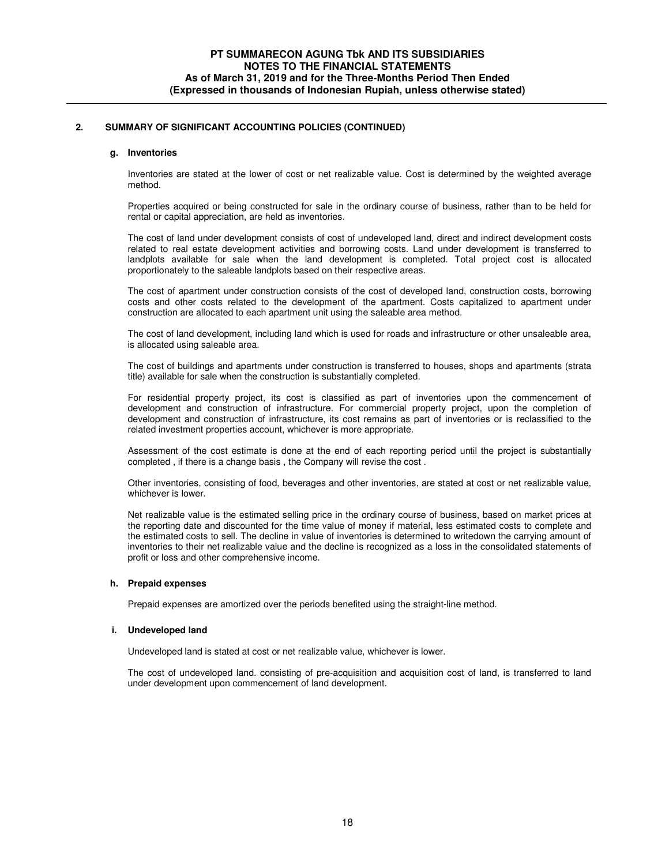### **g. Inventories**

Inventories are stated at the lower of cost or net realizable value. Cost is determined by the weighted average method.

Properties acquired or being constructed for sale in the ordinary course of business, rather than to be held for rental or capital appreciation, are held as inventories.

The cost of land under development consists of cost of undeveloped land, direct and indirect development costs related to real estate development activities and borrowing costs. Land under development is transferred to landplots available for sale when the land development is completed. Total project cost is allocated proportionately to the saleable landplots based on their respective areas.

The cost of apartment under construction consists of the cost of developed land, construction costs, borrowing costs and other costs related to the development of the apartment. Costs capitalized to apartment under construction are allocated to each apartment unit using the saleable area method.

The cost of land development, including land which is used for roads and infrastructure or other unsaleable area, is allocated using saleable area.

The cost of buildings and apartments under construction is transferred to houses, shops and apartments (strata title) available for sale when the construction is substantially completed.

For residential property project, its cost is classified as part of inventories upon the commencement of development and construction of infrastructure. For commercial property project, upon the completion of development and construction of infrastructure, its cost remains as part of inventories or is reclassified to the related investment properties account, whichever is more appropriate.

Assessment of the cost estimate is done at the end of each reporting period until the project is substantially completed , if there is a change basis , the Company will revise the cost .

Other inventories, consisting of food, beverages and other inventories, are stated at cost or net realizable value, whichever is lower.

Net realizable value is the estimated selling price in the ordinary course of business, based on market prices at the reporting date and discounted for the time value of money if material, less estimated costs to complete and the estimated costs to sell. The decline in value of inventories is determined to writedown the carrying amount of inventories to their net realizable value and the decline is recognized as a loss in the consolidated statements of profit or loss and other comprehensive income.

### **h. Prepaid expenses**

Prepaid expenses are amortized over the periods benefited using the straight-line method.

### **i. Undeveloped land**

Undeveloped land is stated at cost or net realizable value, whichever is lower.

The cost of undeveloped land. consisting of pre-acquisition and acquisition cost of land, is transferred to land under development upon commencement of land development.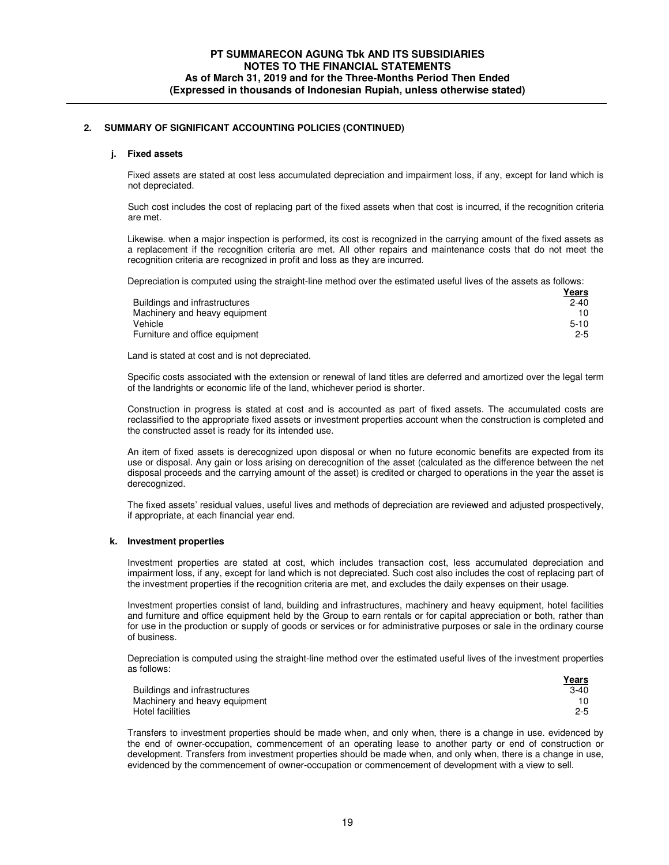#### **j. Fixed assets**

Fixed assets are stated at cost less accumulated depreciation and impairment loss, if any, except for land which is not depreciated.

Such cost includes the cost of replacing part of the fixed assets when that cost is incurred, if the recognition criteria are met.

Likewise. when a major inspection is performed, its cost is recognized in the carrying amount of the fixed assets as a replacement if the recognition criteria are met. All other repairs and maintenance costs that do not meet the recognition criteria are recognized in profit and loss as they are incurred.

Depreciation is computed using the straight-line method over the estimated useful lives of the assets as follows:

|                                | <b>Years</b> |
|--------------------------------|--------------|
| Buildings and infrastructures  | $2 - 40$     |
| Machinery and heavy equipment  | 10.          |
| Vehicle                        | $5 - 10$     |
| Furniture and office equipment | $2 - 5$      |

Land is stated at cost and is not depreciated.

Specific costs associated with the extension or renewal of land titles are deferred and amortized over the legal term of the landrights or economic life of the land, whichever period is shorter.

Construction in progress is stated at cost and is accounted as part of fixed assets. The accumulated costs are reclassified to the appropriate fixed assets or investment properties account when the construction is completed and the constructed asset is ready for its intended use.

An item of fixed assets is derecognized upon disposal or when no future economic benefits are expected from its use or disposal. Any gain or loss arising on derecognition of the asset (calculated as the difference between the net disposal proceeds and the carrying amount of the asset) is credited or charged to operations in the year the asset is derecognized.

The fixed assets' residual values, useful lives and methods of depreciation are reviewed and adjusted prospectively, if appropriate, at each financial year end.

### **k. Investment properties**

Investment properties are stated at cost, which includes transaction cost, less accumulated depreciation and impairment loss, if any, except for land which is not depreciated. Such cost also includes the cost of replacing part of the investment properties if the recognition criteria are met, and excludes the daily expenses on their usage.

Investment properties consist of land, building and infrastructures, machinery and heavy equipment, hotel facilities and furniture and office equipment held by the Group to earn rentals or for capital appreciation or both, rather than for use in the production or supply of goods or services or for administrative purposes or sale in the ordinary course of business.

Depreciation is computed using the straight-line method over the estimated useful lives of the investment properties as follows:

|                               | <u>Years</u> |
|-------------------------------|--------------|
| Buildings and infrastructures | $3-40$       |
| Machinery and heavy equipment | 10           |
| Hotel facilities              | $2 - 5$      |

Transfers to investment properties should be made when, and only when, there is a change in use. evidenced by the end of owner-occupation, commencement of an operating lease to another party or end of construction or development. Transfers from investment properties should be made when, and only when, there is a change in use, evidenced by the commencement of owner-occupation or commencement of development with a view to sell.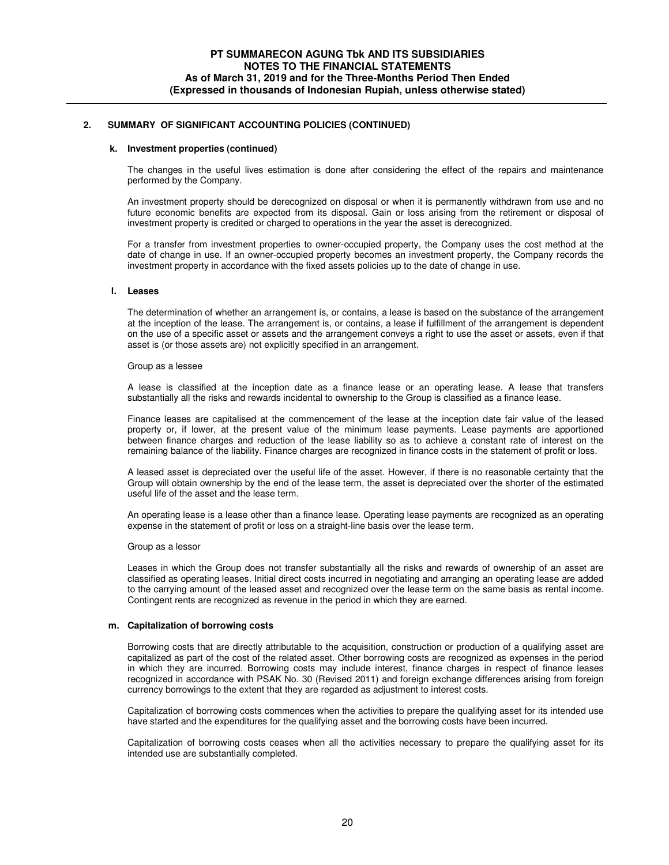### **k. Investment properties (continued)**

The changes in the useful lives estimation is done after considering the effect of the repairs and maintenance performed by the Company.

An investment property should be derecognized on disposal or when it is permanently withdrawn from use and no future economic benefits are expected from its disposal. Gain or loss arising from the retirement or disposal of investment property is credited or charged to operations in the year the asset is derecognized.

For a transfer from investment properties to owner-occupied property, the Company uses the cost method at the date of change in use. If an owner-occupied property becomes an investment property, the Company records the investment property in accordance with the fixed assets policies up to the date of change in use.

#### **l. Leases**

The determination of whether an arrangement is, or contains, a lease is based on the substance of the arrangement at the inception of the lease. The arrangement is, or contains, a lease if fulfillment of the arrangement is dependent on the use of a specific asset or assets and the arrangement conveys a right to use the asset or assets, even if that asset is (or those assets are) not explicitly specified in an arrangement.

#### Group as a lessee

A lease is classified at the inception date as a finance lease or an operating lease. A lease that transfers substantially all the risks and rewards incidental to ownership to the Group is classified as a finance lease.

Finance leases are capitalised at the commencement of the lease at the inception date fair value of the leased property or, if lower, at the present value of the minimum lease payments. Lease payments are apportioned between finance charges and reduction of the lease liability so as to achieve a constant rate of interest on the remaining balance of the liability. Finance charges are recognized in finance costs in the statement of profit or loss.

A leased asset is depreciated over the useful life of the asset. However, if there is no reasonable certainty that the Group will obtain ownership by the end of the lease term, the asset is depreciated over the shorter of the estimated useful life of the asset and the lease term.

An operating lease is a lease other than a finance lease. Operating lease payments are recognized as an operating expense in the statement of profit or loss on a straight-line basis over the lease term.

#### Group as a lessor

Leases in which the Group does not transfer substantially all the risks and rewards of ownership of an asset are classified as operating leases. Initial direct costs incurred in negotiating and arranging an operating lease are added to the carrying amount of the leased asset and recognized over the lease term on the same basis as rental income. Contingent rents are recognized as revenue in the period in which they are earned.

## **m. Capitalization of borrowing costs**

Borrowing costs that are directly attributable to the acquisition, construction or production of a qualifying asset are capitalized as part of the cost of the related asset. Other borrowing costs are recognized as expenses in the period in which they are incurred. Borrowing costs may include interest, finance charges in respect of finance leases recognized in accordance with PSAK No. 30 (Revised 2011) and foreign exchange differences arising from foreign currency borrowings to the extent that they are regarded as adjustment to interest costs.

Capitalization of borrowing costs commences when the activities to prepare the qualifying asset for its intended use have started and the expenditures for the qualifying asset and the borrowing costs have been incurred.

Capitalization of borrowing costs ceases when all the activities necessary to prepare the qualifying asset for its intended use are substantially completed.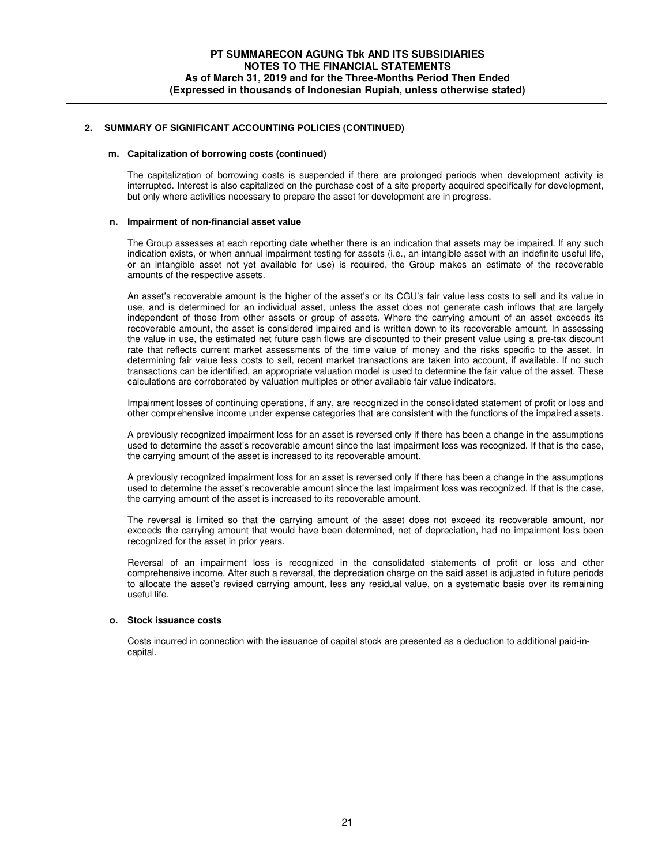#### **m. Capitalization of borrowing costs (continued)**

The capitalization of borrowing costs is suspended if there are prolonged periods when development activity is interrupted. Interest is also capitalized on the purchase cost of a site property acquired specifically for development, but only where activities necessary to prepare the asset for development are in progress.

### **n. Impairment of non-financial asset value**

The Group assesses at each reporting date whether there is an indication that assets may be impaired. If any such indication exists, or when annual impairment testing for assets (i.e., an intangible asset with an indefinite useful life, or an intangible asset not yet available for use) is required, the Group makes an estimate of the recoverable amounts of the respective assets.

An asset's recoverable amount is the higher of the asset's or its CGU's fair value less costs to sell and its value in use, and is determined for an individual asset, unless the asset does not generate cash inflows that are largely independent of those from other assets or group of assets. Where the carrying amount of an asset exceeds its recoverable amount, the asset is considered impaired and is written down to its recoverable amount. In assessing the value in use, the estimated net future cash flows are discounted to their present value using a pre-tax discount rate that reflects current market assessments of the time value of money and the risks specific to the asset. In determining fair value less costs to sell, recent market transactions are taken into account, if available. If no such transactions can be identified, an appropriate valuation model is used to determine the fair value of the asset. These calculations are corroborated by valuation multiples or other available fair value indicators.

Impairment losses of continuing operations, if any, are recognized in the consolidated statement of profit or loss and other comprehensive income under expense categories that are consistent with the functions of the impaired assets.

A previously recognized impairment loss for an asset is reversed only if there has been a change in the assumptions used to determine the asset's recoverable amount since the last impairment loss was recognized. If that is the case, the carrying amount of the asset is increased to its recoverable amount.

A previously recognized impairment loss for an asset is reversed only if there has been a change in the assumptions used to determine the asset's recoverable amount since the last impairment loss was recognized. If that is the case, the carrying amount of the asset is increased to its recoverable amount.

The reversal is limited so that the carrying amount of the asset does not exceed its recoverable amount, nor exceeds the carrying amount that would have been determined, net of depreciation, had no impairment loss been recognized for the asset in prior years.

Reversal of an impairment loss is recognized in the consolidated statements of profit or loss and other comprehensive income. After such a reversal, the depreciation charge on the said asset is adjusted in future periods to allocate the asset's revised carrying amount, less any residual value, on a systematic basis over its remaining useful life.

# **o. Stock issuance costs**

Costs incurred in connection with the issuance of capital stock are presented as a deduction to additional paid-incapital.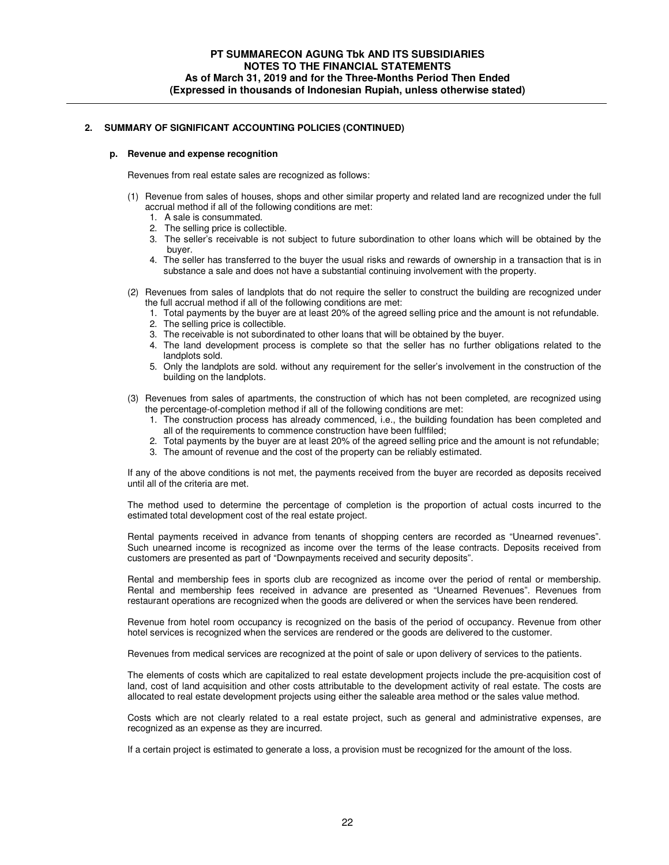### **p. Revenue and expense recognition**

Revenues from real estate sales are recognized as follows:

- (1) Revenue from sales of houses, shops and other similar property and related land are recognized under the full accrual method if all of the following conditions are met:
	- 1. A sale is consummated.
	- 2. The selling price is collectible.
	- 3. The seller's receivable is not subject to future subordination to other loans which will be obtained by the buyer.
	- 4. The seller has transferred to the buyer the usual risks and rewards of ownership in a transaction that is in substance a sale and does not have a substantial continuing involvement with the property.
- (2) Revenues from sales of landplots that do not require the seller to construct the building are recognized under the full accrual method if all of the following conditions are met:
	- 1. Total payments by the buyer are at least 20% of the agreed selling price and the amount is not refundable.
	- 2. The selling price is collectible.
	- The receivable is not subordinated to other loans that will be obtained by the buyer.
	- 4. The land development process is complete so that the seller has no further obligations related to the landplots sold.
	- 5. Only the landplots are sold. without any requirement for the seller's involvement in the construction of the building on the landplots.
- (3) Revenues from sales of apartments, the construction of which has not been completed, are recognized using the percentage-of-completion method if all of the following conditions are met:
	- 1. The construction process has already commenced, i.e., the building foundation has been completed and all of the requirements to commence construction have been fulffiled:
	- 2. Total payments by the buyer are at least 20% of the agreed selling price and the amount is not refundable;
	- 3. The amount of revenue and the cost of the property can be reliably estimated.

If any of the above conditions is not met, the payments received from the buyer are recorded as deposits received until all of the criteria are met.

The method used to determine the percentage of completion is the proportion of actual costs incurred to the estimated total development cost of the real estate project.

Rental payments received in advance from tenants of shopping centers are recorded as "Unearned revenues". Such unearned income is recognized as income over the terms of the lease contracts. Deposits received from customers are presented as part of "Downpayments received and security deposits".

Rental and membership fees in sports club are recognized as income over the period of rental or membership. Rental and membership fees received in advance are presented as "Unearned Revenues". Revenues from restaurant operations are recognized when the goods are delivered or when the services have been rendered.

Revenue from hotel room occupancy is recognized on the basis of the period of occupancy. Revenue from other hotel services is recognized when the services are rendered or the goods are delivered to the customer.

Revenues from medical services are recognized at the point of sale or upon delivery of services to the patients.

The elements of costs which are capitalized to real estate development projects include the pre-acquisition cost of land, cost of land acquisition and other costs attributable to the development activity of real estate. The costs are allocated to real estate development projects using either the saleable area method or the sales value method.

Costs which are not clearly related to a real estate project, such as general and administrative expenses, are recognized as an expense as they are incurred.

If a certain project is estimated to generate a loss, a provision must be recognized for the amount of the loss.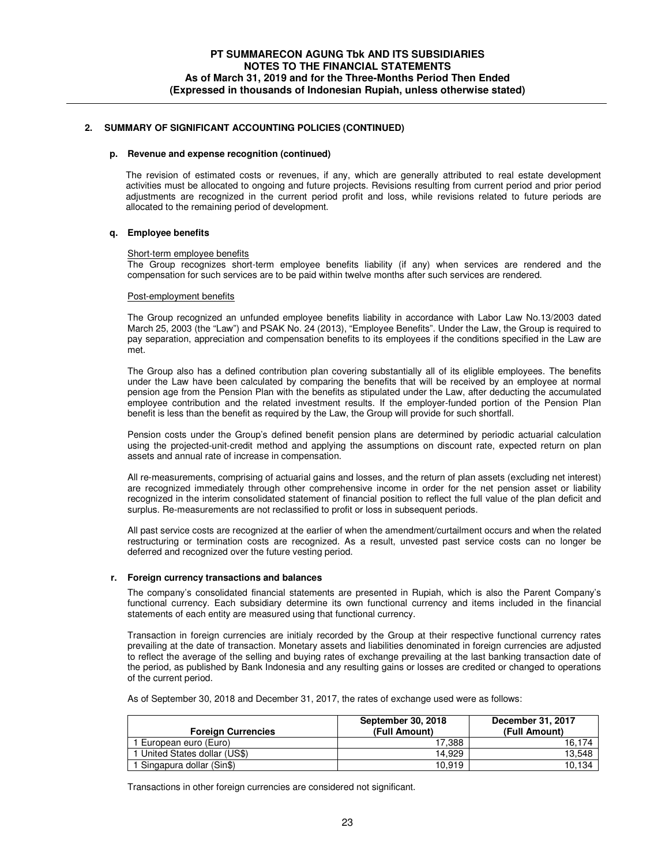#### **p. Revenue and expense recognition (continued)**

The revision of estimated costs or revenues, if any, which are generally attributed to real estate development activities must be allocated to ongoing and future projects. Revisions resulting from current period and prior period adjustments are recognized in the current period profit and loss, while revisions related to future periods are allocated to the remaining period of development.

### **q. Employee benefits**

#### Short-term employee benefits

The Group recognizes short-term employee benefits liability (if any) when services are rendered and the compensation for such services are to be paid within twelve months after such services are rendered.

#### Post-employment benefits

The Group recognized an unfunded employee benefits liability in accordance with Labor Law No.13/2003 dated March 25, 2003 (the "Law") and PSAK No. 24 (2013), "Employee Benefits". Under the Law, the Group is required to pay separation, appreciation and compensation benefits to its employees if the conditions specified in the Law are met.

The Group also has a defined contribution plan covering substantially all of its eliglible employees. The benefits under the Law have been calculated by comparing the benefits that will be received by an employee at normal pension age from the Pension Plan with the benefits as stipulated under the Law, after deducting the accumulated employee contribution and the related investment results. If the employer-funded portion of the Pension Plan benefit is less than the benefit as required by the Law, the Group will provide for such shortfall.

Pension costs under the Group's defined benefit pension plans are determined by periodic actuarial calculation using the projected-unit-credit method and applying the assumptions on discount rate, expected return on plan assets and annual rate of increase in compensation.

All re-measurements, comprising of actuarial gains and losses, and the return of plan assets (excluding net interest) are recognized immediately through other comprehensive income in order for the net pension asset or liability recognized in the interim consolidated statement of financial position to reflect the full value of the plan deficit and surplus. Re-measurements are not reclassified to profit or loss in subsequent periods.

All past service costs are recognized at the earlier of when the amendment/curtailment occurs and when the related restructuring or termination costs are recognized. As a result, unvested past service costs can no longer be deferred and recognized over the future vesting period.

### **r. Foreign currency transactions and balances**

The company's consolidated financial statements are presented in Rupiah, which is also the Parent Company's functional currency. Each subsidiary determine its own functional currency and items included in the financial statements of each entity are measured using that functional currency.

Transaction in foreign currencies are initialy recorded by the Group at their respective functional currency rates prevailing at the date of transaction. Monetary assets and liabilities denominated in foreign currencies are adjusted to reflect the average of the selling and buying rates of exchange prevailing at the last banking transaction date of the period, as published by Bank Indonesia and any resulting gains or losses are credited or changed to operations of the current period.

As of September 30, 2018 and December 31, 2017, the rates of exchange used were as follows:

|                               | September 30, 2018 | December 31, 2017 |
|-------------------------------|--------------------|-------------------|
| <b>Foreign Currencies</b>     | (Full Amount)      | (Full Amount)     |
| . European euro (Euro)        | 17.388             | 16.174            |
| 1 United States dollar (US\$) | 14.929             | 13,548            |
| Singapura dollar (Sin\$)      | 10.919             | 10,134            |

Transactions in other foreign currencies are considered not significant.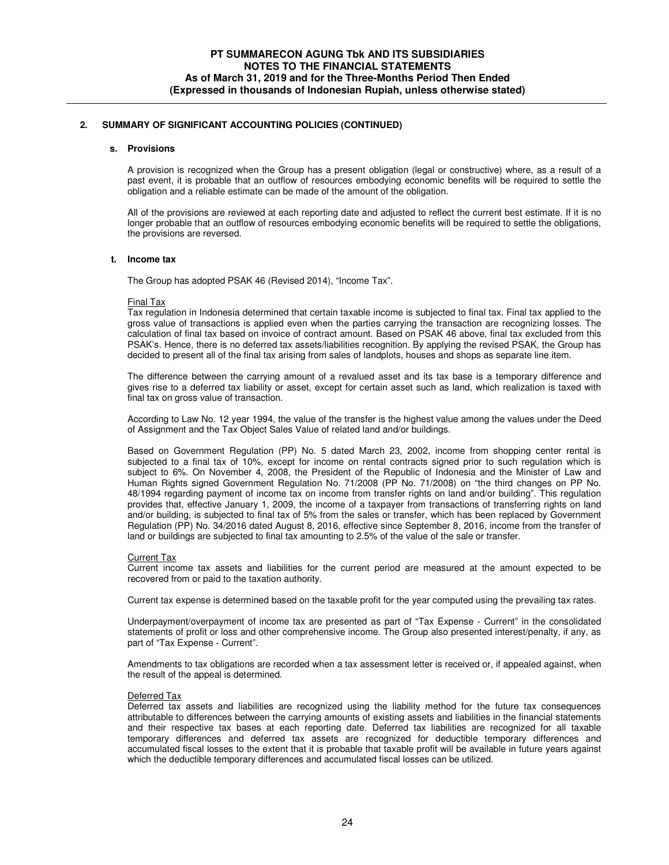### **s. Provisions**

A provision is recognized when the Group has a present obligation (legal or constructive) where, as a result of a past event, it is probable that an outflow of resources embodying economic benefits will be required to settle the obligation and a reliable estimate can be made of the amount of the obligation.

All of the provisions are reviewed at each reporting date and adjusted to reflect the current best estimate. If it is no longer probable that an outflow of resources embodying economic benefits will be required to settle the obligations, the provisions are reversed.

#### **t. Income tax**

The Group has adopted PSAK 46 (Revised 2014), "Income Tax".

#### Final Tax

Tax regulation in Indonesia determined that certain taxable income is subjected to final tax. Final tax applied to the gross value of transactions is applied even when the parties carrying the transaction are recognizing losses. The calculation of final tax based on invoice of contract amount. Based on PSAK 46 above, final tax excluded from this PSAK's. Hence, there is no deferred tax assets/liabilities recognition. By applying the revised PSAK, the Group has decided to present all of the final tax arising from sales of landplots, houses and shops as separate line item.

The difference between the carrying amount of a revalued asset and its tax base is a temporary difference and gives rise to a deferred tax liability or asset, except for certain asset such as land, which realization is taxed with final tax on gross value of transaction.

According to Law No. 12 year 1994, the value of the transfer is the highest value among the values under the Deed of Assignment and the Tax Object Sales Value of related land and/or buildings.

Based on Government Regulation (PP) No. 5 dated March 23, 2002, income from shopping center rental is subjected to a final tax of 10%, except for income on rental contracts signed prior to such regulation which is subject to 6%. On November 4, 2008, the President of the Republic of Indonesia and the Minister of Law and Human Rights signed Government Regulation No. 71/2008 (PP No. 71/2008) on "the third changes on PP No. 48/1994 regarding payment of income tax on income from transfer rights on land and/or building". This regulation provides that, effective January 1, 2009, the income of a taxpayer from transactions of transferring rights on land and/or building, is subjected to final tax of 5% from the sales or transfer, which has been replaced by Government Regulation (PP) No. 34/2016 dated August 8, 2016, effective since September 8, 2016, income from the transfer of land or buildings are subjected to final tax amounting to 2.5% of the value of the sale or transfer.

#### Current Tax

Current income tax assets and liabilities for the current period are measured at the amount expected to be recovered from or paid to the taxation authority.

Current tax expense is determined based on the taxable profit for the year computed using the prevailing tax rates.

Underpayment/overpayment of income tax are presented as part of "Tax Expense - Current" in the consolidated statements of profit or loss and other comprehensive income. The Group also presented interest/penalty, if any, as part of "Tax Expense - Current".

Amendments to tax obligations are recorded when a tax assessment letter is received or, if appealed against, when the result of the appeal is determined.

### Deferred Tax

Deferred tax assets and liabilities are recognized using the liability method for the future tax consequences attributable to differences between the carrying amounts of existing assets and liabilities in the financial statements and their respective tax bases at each reporting date. Deferred tax liabilities are recognized for all taxable temporary differences and deferred tax assets are recognized for deductible temporary differences and accumulated fiscal losses to the extent that it is probable that taxable profit will be available in future years against which the deductible temporary differences and accumulated fiscal losses can be utilized.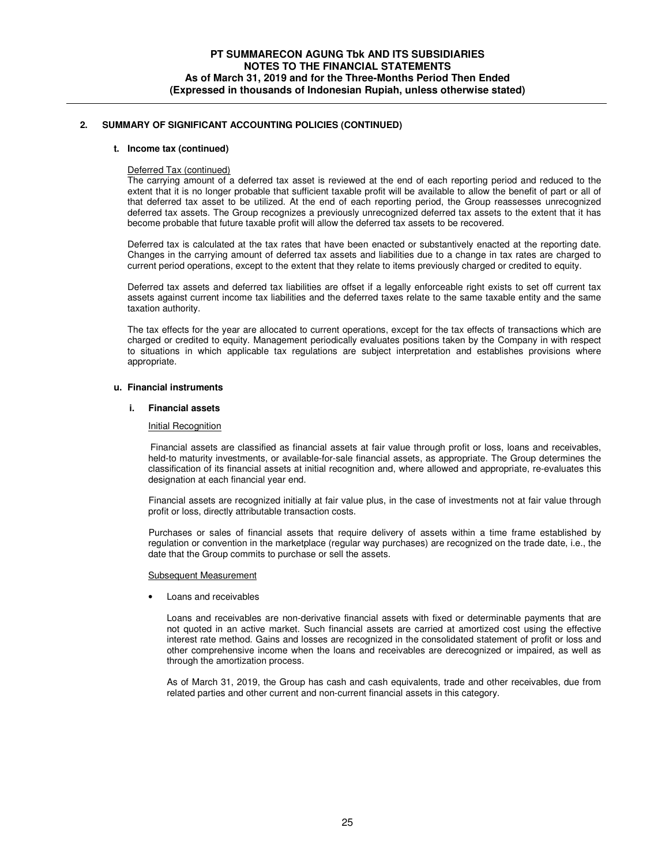### **t. Income tax (continued)**

### Deferred Tax (continued)

The carrying amount of a deferred tax asset is reviewed at the end of each reporting period and reduced to the extent that it is no longer probable that sufficient taxable profit will be available to allow the benefit of part or all of that deferred tax asset to be utilized. At the end of each reporting period, the Group reassesses unrecognized deferred tax assets. The Group recognizes a previously unrecognized deferred tax assets to the extent that it has become probable that future taxable profit will allow the deferred tax assets to be recovered.

Deferred tax is calculated at the tax rates that have been enacted or substantively enacted at the reporting date. Changes in the carrying amount of deferred tax assets and liabilities due to a change in tax rates are charged to current period operations, except to the extent that they relate to items previously charged or credited to equity.

Deferred tax assets and deferred tax liabilities are offset if a legally enforceable right exists to set off current tax assets against current income tax liabilities and the deferred taxes relate to the same taxable entity and the same taxation authority.

The tax effects for the year are allocated to current operations, except for the tax effects of transactions which are charged or credited to equity. Management periodically evaluates positions taken by the Company in with respect to situations in which applicable tax regulations are subject interpretation and establishes provisions where appropriate.

#### **u. Financial instruments**

#### **i. Financial assets**

## Initial Recognition

 Financial assets are classified as financial assets at fair value through profit or loss, loans and receivables, held-to maturity investments, or available-for-sale financial assets, as appropriate. The Group determines the classification of its financial assets at initial recognition and, where allowed and appropriate, re-evaluates this designation at each financial year end.

 Financial assets are recognized initially at fair value plus, in the case of investments not at fair value through profit or loss, directly attributable transaction costs.

Purchases or sales of financial assets that require delivery of assets within a time frame established by regulation or convention in the marketplace (regular way purchases) are recognized on the trade date, i.e., the date that the Group commits to purchase or sell the assets.

#### Subsequent Measurement

• Loans and receivables

Loans and receivables are non-derivative financial assets with fixed or determinable payments that are not quoted in an active market. Such financial assets are carried at amortized cost using the effective interest rate method. Gains and losses are recognized in the consolidated statement of profit or loss and other comprehensive income when the loans and receivables are derecognized or impaired, as well as through the amortization process.

As of March 31, 2019, the Group has cash and cash equivalents, trade and other receivables, due from related parties and other current and non-current financial assets in this category.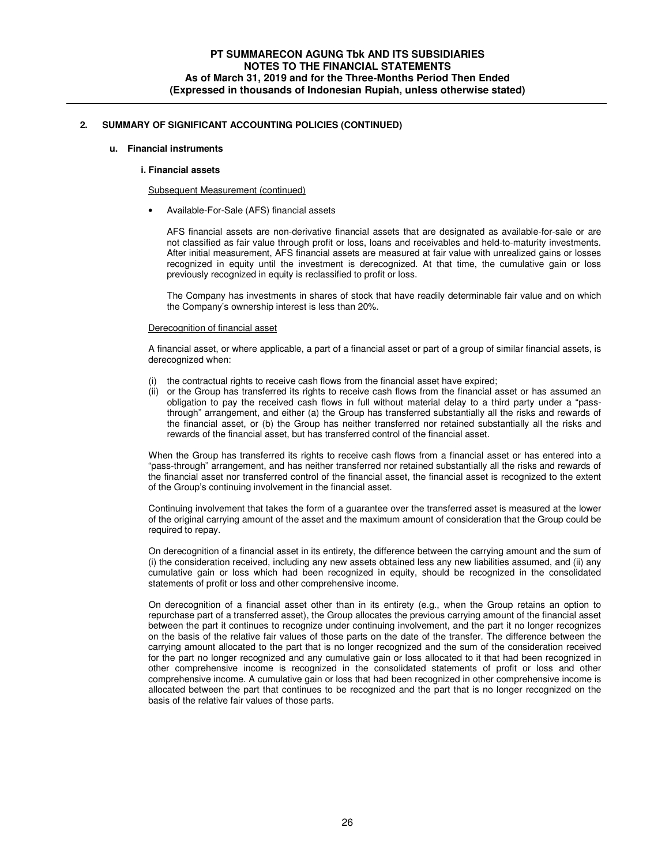## **u. Financial instruments**

### **i. Financial assets**

#### Subsequent Measurement (continued)

• Available-For-Sale (AFS) financial assets

AFS financial assets are non-derivative financial assets that are designated as available-for-sale or are not classified as fair value through profit or loss, loans and receivables and held-to-maturity investments. After initial measurement, AFS financial assets are measured at fair value with unrealized gains or losses recognized in equity until the investment is derecognized. At that time, the cumulative gain or loss previously recognized in equity is reclassified to profit or loss.

The Company has investments in shares of stock that have readily determinable fair value and on which the Company's ownership interest is less than 20%.

#### Derecognition of financial asset

A financial asset, or where applicable, a part of a financial asset or part of a group of similar financial assets, is derecognized when:

- the contractual rights to receive cash flows from the financial asset have expired;
- (ii) or the Group has transferred its rights to receive cash flows from the financial asset or has assumed an obligation to pay the received cash flows in full without material delay to a third party under a "passthrough" arrangement, and either (a) the Group has transferred substantially all the risks and rewards of the financial asset, or (b) the Group has neither transferred nor retained substantially all the risks and rewards of the financial asset, but has transferred control of the financial asset.

When the Group has transferred its rights to receive cash flows from a financial asset or has entered into a "pass-through" arrangement, and has neither transferred nor retained substantially all the risks and rewards of the financial asset nor transferred control of the financial asset, the financial asset is recognized to the extent of the Group's continuing involvement in the financial asset.

Continuing involvement that takes the form of a guarantee over the transferred asset is measured at the lower of the original carrying amount of the asset and the maximum amount of consideration that the Group could be required to repay.

On derecognition of a financial asset in its entirety, the difference between the carrying amount and the sum of (i) the consideration received, including any new assets obtained less any new liabilities assumed, and (ii) any cumulative gain or loss which had been recognized in equity, should be recognized in the consolidated statements of profit or loss and other comprehensive income.

On derecognition of a financial asset other than in its entirety (e.g., when the Group retains an option to repurchase part of a transferred asset), the Group allocates the previous carrying amount of the financial asset between the part it continues to recognize under continuing involvement, and the part it no longer recognizes on the basis of the relative fair values of those parts on the date of the transfer. The difference between the carrying amount allocated to the part that is no longer recognized and the sum of the consideration received for the part no longer recognized and any cumulative gain or loss allocated to it that had been recognized in other comprehensive income is recognized in the consolidated statements of profit or loss and other comprehensive income. A cumulative gain or loss that had been recognized in other comprehensive income is allocated between the part that continues to be recognized and the part that is no longer recognized on the basis of the relative fair values of those parts.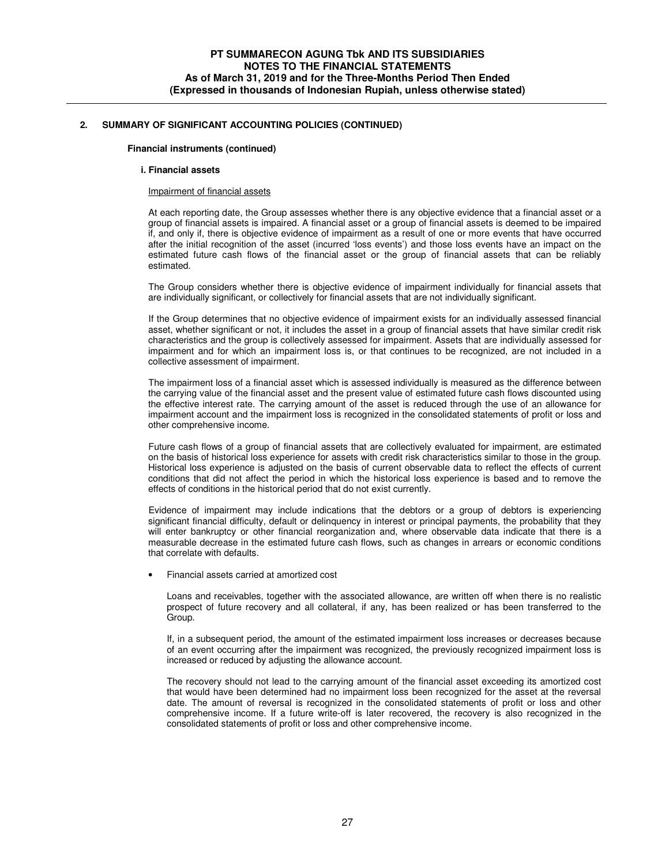### **Financial instruments (continued)**

#### **i. Financial assets**

### Impairment of financial assets

At each reporting date, the Group assesses whether there is any objective evidence that a financial asset or a group of financial assets is impaired. A financial asset or a group of financial assets is deemed to be impaired if, and only if, there is objective evidence of impairment as a result of one or more events that have occurred after the initial recognition of the asset (incurred 'loss events') and those loss events have an impact on the estimated future cash flows of the financial asset or the group of financial assets that can be reliably estimated.

The Group considers whether there is objective evidence of impairment individually for financial assets that are individually significant, or collectively for financial assets that are not individually significant.

If the Group determines that no objective evidence of impairment exists for an individually assessed financial asset, whether significant or not, it includes the asset in a group of financial assets that have similar credit risk characteristics and the group is collectively assessed for impairment. Assets that are individually assessed for impairment and for which an impairment loss is, or that continues to be recognized, are not included in a collective assessment of impairment.

The impairment loss of a financial asset which is assessed individually is measured as the difference between the carrying value of the financial asset and the present value of estimated future cash flows discounted using the effective interest rate. The carrying amount of the asset is reduced through the use of an allowance for impairment account and the impairment loss is recognized in the consolidated statements of profit or loss and other comprehensive income.

Future cash flows of a group of financial assets that are collectively evaluated for impairment, are estimated on the basis of historical loss experience for assets with credit risk characteristics similar to those in the group. Historical loss experience is adjusted on the basis of current observable data to reflect the effects of current conditions that did not affect the period in which the historical loss experience is based and to remove the effects of conditions in the historical period that do not exist currently.

Evidence of impairment may include indications that the debtors or a group of debtors is experiencing significant financial difficulty, default or delinquency in interest or principal payments, the probability that they will enter bankruptcy or other financial reorganization and, where observable data indicate that there is a measurable decrease in the estimated future cash flows, such as changes in arrears or economic conditions that correlate with defaults.

• Financial assets carried at amortized cost

Loans and receivables, together with the associated allowance, are written off when there is no realistic prospect of future recovery and all collateral, if any, has been realized or has been transferred to the Group.

If, in a subsequent period, the amount of the estimated impairment loss increases or decreases because of an event occurring after the impairment was recognized, the previously recognized impairment loss is increased or reduced by adjusting the allowance account.

The recovery should not lead to the carrying amount of the financial asset exceeding its amortized cost that would have been determined had no impairment loss been recognized for the asset at the reversal date. The amount of reversal is recognized in the consolidated statements of profit or loss and other comprehensive income. If a future write-off is later recovered, the recovery is also recognized in the consolidated statements of profit or loss and other comprehensive income.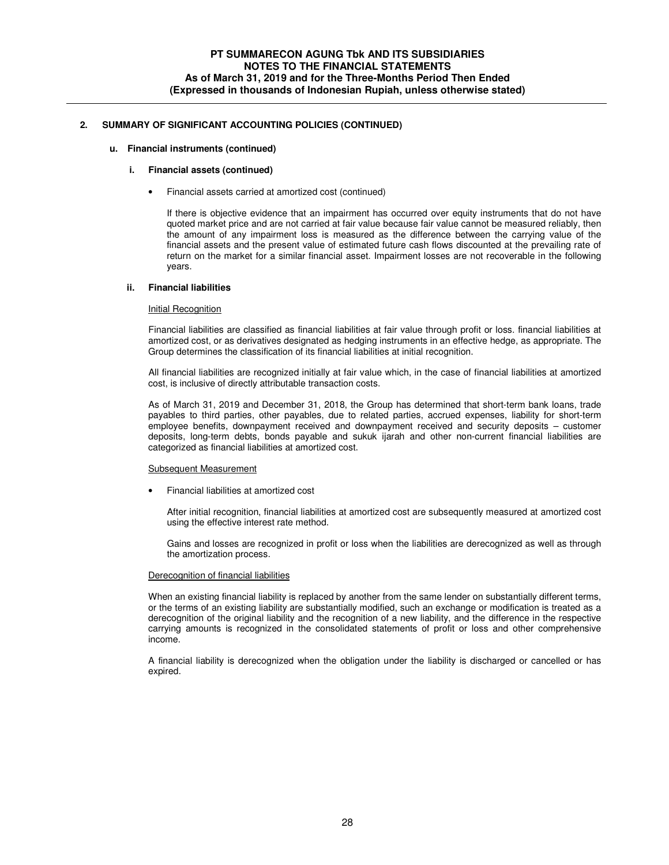### **u. Financial instruments (continued)**

### **i. Financial assets (continued)**

• Financial assets carried at amortized cost (continued)

If there is objective evidence that an impairment has occurred over equity instruments that do not have quoted market price and are not carried at fair value because fair value cannot be measured reliably, then the amount of any impairment loss is measured as the difference between the carrying value of the financial assets and the present value of estimated future cash flows discounted at the prevailing rate of return on the market for a similar financial asset. Impairment losses are not recoverable in the following years.

#### **ii. Financial liabilities**

#### Initial Recognition

Financial liabilities are classified as financial liabilities at fair value through profit or loss. financial liabilities at amortized cost, or as derivatives designated as hedging instruments in an effective hedge, as appropriate. The Group determines the classification of its financial liabilities at initial recognition.

All financial liabilities are recognized initially at fair value which, in the case of financial liabilities at amortized cost, is inclusive of directly attributable transaction costs.

As of March 31, 2019 and December 31, 2018, the Group has determined that short-term bank loans, trade payables to third parties, other payables, due to related parties, accrued expenses, liability for short-term employee benefits, downpayment received and downpayment received and security deposits – customer deposits, long-term debts, bonds payable and sukuk ijarah and other non-current financial liabilities are categorized as financial liabilities at amortized cost.

#### Subsequent Measurement

• Financial liabilities at amortized cost

After initial recognition, financial liabilities at amortized cost are subsequently measured at amortized cost using the effective interest rate method.

Gains and losses are recognized in profit or loss when the liabilities are derecognized as well as through the amortization process.

#### Derecognition of financial liabilities

When an existing financial liability is replaced by another from the same lender on substantially different terms, or the terms of an existing liability are substantially modified, such an exchange or modification is treated as a derecognition of the original liability and the recognition of a new liability, and the difference in the respective carrying amounts is recognized in the consolidated statements of profit or loss and other comprehensive income.

A financial liability is derecognized when the obligation under the liability is discharged or cancelled or has expired.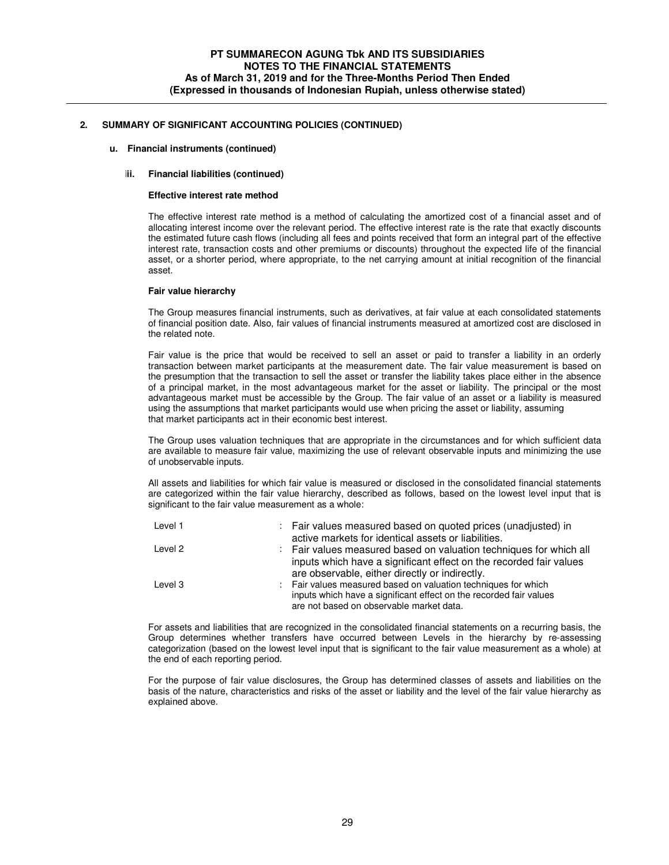### **u. Financial instruments (continued)**

### **iii. Financial liabilities (continued)**

#### **Effective interest rate method**

The effective interest rate method is a method of calculating the amortized cost of a financial asset and of allocating interest income over the relevant period. The effective interest rate is the rate that exactly discounts the estimated future cash flows (including all fees and points received that form an integral part of the effective interest rate, transaction costs and other premiums or discounts) throughout the expected life of the financial asset, or a shorter period, where appropriate, to the net carrying amount at initial recognition of the financial asset.

#### **Fair value hierarchy**

The Group measures financial instruments, such as derivatives, at fair value at each consolidated statements of financial position date. Also, fair values of financial instruments measured at amortized cost are disclosed in the related note.

Fair value is the price that would be received to sell an asset or paid to transfer a liability in an orderly transaction between market participants at the measurement date. The fair value measurement is based on the presumption that the transaction to sell the asset or transfer the liability takes place either in the absence of a principal market, in the most advantageous market for the asset or liability. The principal or the most advantageous market must be accessible by the Group. The fair value of an asset or a liability is measured using the assumptions that market participants would use when pricing the asset or liability, assuming that market participants act in their economic best interest.

The Group uses valuation techniques that are appropriate in the circumstances and for which sufficient data are available to measure fair value, maximizing the use of relevant observable inputs and minimizing the use of unobservable inputs.

All assets and liabilities for which fair value is measured or disclosed in the consolidated financial statements are categorized within the fair value hierarchy, described as follows, based on the lowest level input that is significant to the fair value measurement as a whole:

| Level 1 | : Fair values measured based on quoted prices (unadjusted) in<br>active markets for identical assets or liabilities.                                                                       |
|---------|--------------------------------------------------------------------------------------------------------------------------------------------------------------------------------------------|
| Level 2 | : Fair values measured based on valuation techniques for which all<br>inputs which have a significant effect on the recorded fair values<br>are observable, either directly or indirectly. |
| Level 3 | : Fair values measured based on valuation techniques for which<br>inputs which have a significant effect on the recorded fair values<br>are not based on observable market data.           |

For assets and liabilities that are recognized in the consolidated financial statements on a recurring basis, the Group determines whether transfers have occurred between Levels in the hierarchy by re-assessing categorization (based on the lowest level input that is significant to the fair value measurement as a whole) at the end of each reporting period.

For the purpose of fair value disclosures, the Group has determined classes of assets and liabilities on the basis of the nature, characteristics and risks of the asset or liability and the level of the fair value hierarchy as explained above.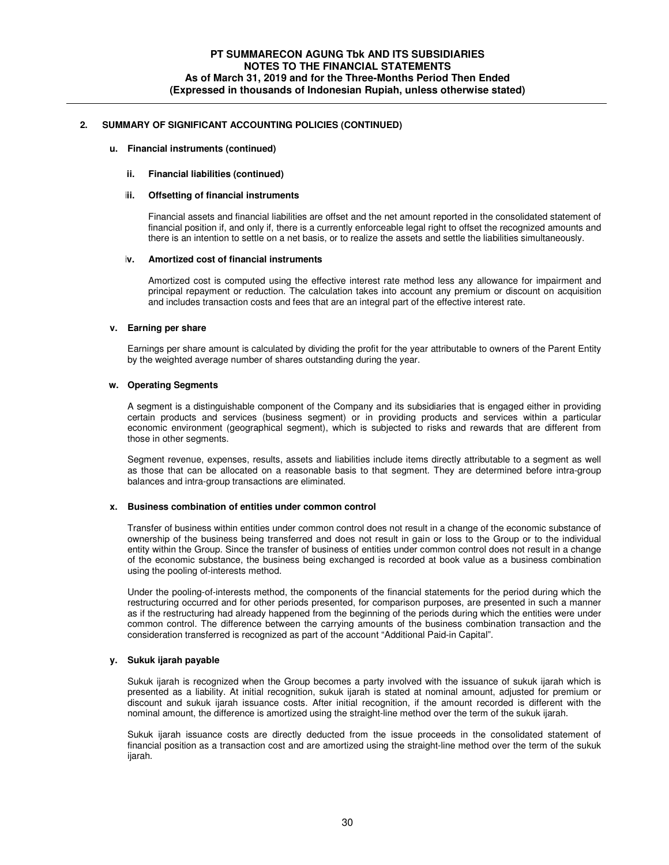### **u. Financial instruments (continued)**

### **ii. Financial liabilities (continued)**

#### **iii. Offsetting of financial instruments**

Financial assets and financial liabilities are offset and the net amount reported in the consolidated statement of financial position if, and only if, there is a currently enforceable legal right to offset the recognized amounts and there is an intention to settle on a net basis, or to realize the assets and settle the liabilities simultaneously.

#### **iv. Amortized cost of financial instruments**

Amortized cost is computed using the effective interest rate method less any allowance for impairment and principal repayment or reduction. The calculation takes into account any premium or discount on acquisition and includes transaction costs and fees that are an integral part of the effective interest rate.

#### **v. Earning per share**

Earnings per share amount is calculated by dividing the profit for the year attributable to owners of the Parent Entity by the weighted average number of shares outstanding during the year.

### **w. Operating Segments**

A segment is a distinguishable component of the Company and its subsidiaries that is engaged either in providing certain products and services (business segment) or in providing products and services within a particular economic environment (geographical segment), which is subjected to risks and rewards that are different from those in other segments.

Segment revenue, expenses, results, assets and liabilities include items directly attributable to a segment as well as those that can be allocated on a reasonable basis to that segment. They are determined before intra-group balances and intra-group transactions are eliminated.

#### **x. Business combination of entities under common control**

Transfer of business within entities under common control does not result in a change of the economic substance of ownership of the business being transferred and does not result in gain or loss to the Group or to the individual entity within the Group. Since the transfer of business of entities under common control does not result in a change of the economic substance, the business being exchanged is recorded at book value as a business combination using the pooling of-interests method.

Under the pooling-of-interests method, the components of the financial statements for the period during which the restructuring occurred and for other periods presented, for comparison purposes, are presented in such a manner as if the restructuring had already happened from the beginning of the periods during which the entities were under common control. The difference between the carrying amounts of the business combination transaction and the consideration transferred is recognized as part of the account "Additional Paid-in Capital".

## **y. Sukuk ijarah payable**

Sukuk ijarah is recognized when the Group becomes a party involved with the issuance of sukuk ijarah which is presented as a liability. At initial recognition, sukuk ijarah is stated at nominal amount, adjusted for premium or discount and sukuk ijarah issuance costs. After initial recognition, if the amount recorded is different with the nominal amount, the difference is amortized using the straight-line method over the term of the sukuk ijarah.

Sukuk ijarah issuance costs are directly deducted from the issue proceeds in the consolidated statement of financial position as a transaction cost and are amortized using the straight-line method over the term of the sukuk ijarah.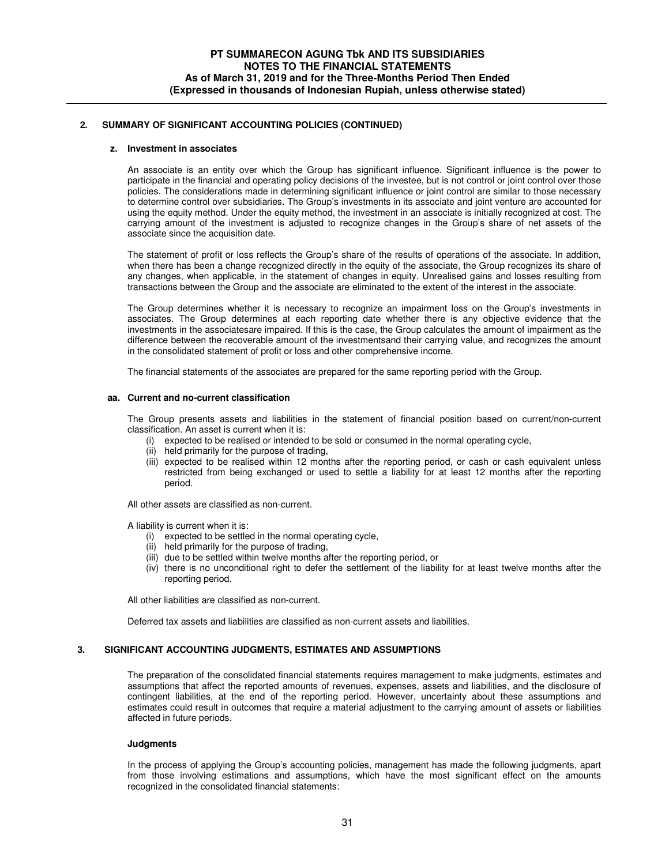#### **z. Investment in associates**

An associate is an entity over which the Group has significant influence. Significant influence is the power to participate in the financial and operating policy decisions of the investee, but is not control or joint control over those policies. The considerations made in determining significant influence or joint control are similar to those necessary to determine control over subsidiaries. The Group's investments in its associate and joint venture are accounted for using the equity method. Under the equity method, the investment in an associate is initially recognized at cost. The carrying amount of the investment is adjusted to recognize changes in the Group's share of net assets of the associate since the acquisition date.

The statement of profit or loss reflects the Group's share of the results of operations of the associate. In addition, when there has been a change recognized directly in the equity of the associate, the Group recognizes its share of any changes, when applicable, in the statement of changes in equity. Unrealised gains and losses resulting from transactions between the Group and the associate are eliminated to the extent of the interest in the associate.

The Group determines whether it is necessary to recognize an impairment loss on the Group's investments in associates. The Group determines at each reporting date whether there is any objective evidence that the investments in the associatesare impaired. If this is the case, the Group calculates the amount of impairment as the difference between the recoverable amount of the investmentsand their carrying value, and recognizes the amount in the consolidated statement of profit or loss and other comprehensive income.

The financial statements of the associates are prepared for the same reporting period with the Group.

### **aa. Current and no-current classification**

The Group presents assets and liabilities in the statement of financial position based on current/non-current classification. An asset is current when it is:

- (i) expected to be realised or intended to be sold or consumed in the normal operating cycle,
- (ii) held primarily for the purpose of trading,
- (iii) expected to be realised within 12 months after the reporting period, or cash or cash equivalent unless restricted from being exchanged or used to settle a liability for at least 12 months after the reporting period.

All other assets are classified as non-current.

A liability is current when it is:

- (i) expected to be settled in the normal operating cycle,
- (ii) held primarily for the purpose of trading,
- (iii) due to be settled within twelve months after the reporting period, or
- (iv) there is no unconditional right to defer the settlement of the liability for at least twelve months after the reporting period.

All other liabilities are classified as non-current.

Deferred tax assets and liabilities are classified as non-current assets and liabilities.

## **3. SIGNIFICANT ACCOUNTING JUDGMENTS, ESTIMATES AND ASSUMPTIONS**

The preparation of the consolidated financial statements requires management to make judgments, estimates and assumptions that affect the reported amounts of revenues, expenses, assets and liabilities, and the disclosure of contingent liabilities, at the end of the reporting period. However, uncertainty about these assumptions and estimates could result in outcomes that require a material adjustment to the carrying amount of assets or liabilities affected in future periods.

### **Judgments**

In the process of applying the Group's accounting policies, management has made the following judgments, apart from those involving estimations and assumptions, which have the most significant effect on the amounts recognized in the consolidated financial statements: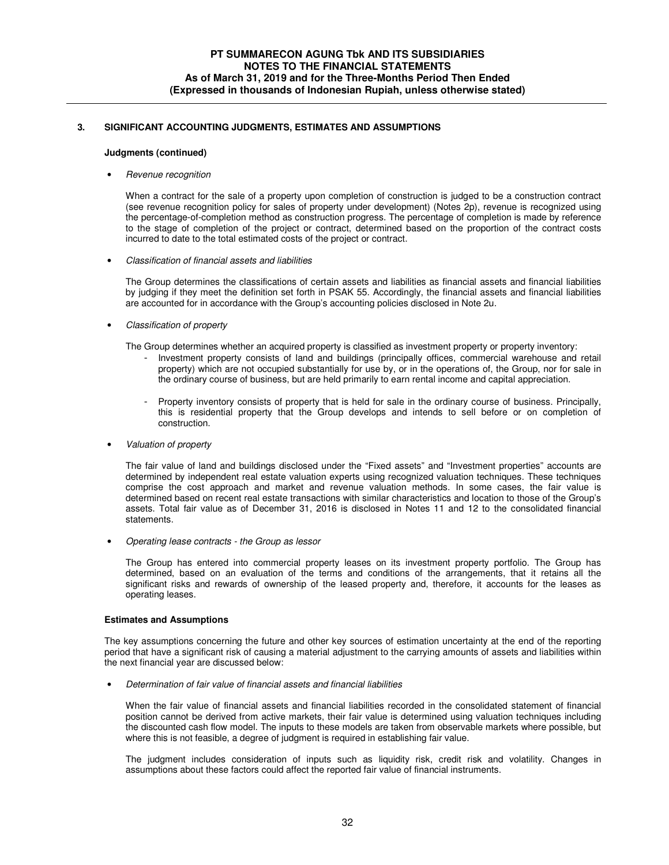# **3. SIGNIFICANT ACCOUNTING JUDGMENTS, ESTIMATES AND ASSUMPTIONS**

#### **Judgments (continued)**

### • Revenue recognition

When a contract for the sale of a property upon completion of construction is judged to be a construction contract (see revenue recognition policy for sales of property under development) (Notes 2p), revenue is recognized using the percentage-of-completion method as construction progress. The percentage of completion is made by reference to the stage of completion of the project or contract, determined based on the proportion of the contract costs incurred to date to the total estimated costs of the project or contract.

• Classification of financial assets and liabilities

The Group determines the classifications of certain assets and liabilities as financial assets and financial liabilities by judging if they meet the definition set forth in PSAK 55. Accordingly, the financial assets and financial liabilities are accounted for in accordance with the Group's accounting policies disclosed in Note 2u.

• Classification of property

The Group determines whether an acquired property is classified as investment property or property inventory:

- Investment property consists of land and buildings (principally offices, commercial warehouse and retail property) which are not occupied substantially for use by, or in the operations of, the Group, nor for sale in the ordinary course of business, but are held primarily to earn rental income and capital appreciation.
- Property inventory consists of property that is held for sale in the ordinary course of business. Principally, this is residential property that the Group develops and intends to sell before or on completion of construction.
- Valuation of property

The fair value of land and buildings disclosed under the "Fixed assets" and "Investment properties" accounts are determined by independent real estate valuation experts using recognized valuation techniques. These techniques comprise the cost approach and market and revenue valuation methods. In some cases, the fair value is determined based on recent real estate transactions with similar characteristics and location to those of the Group's assets. Total fair value as of December 31, 2016 is disclosed in Notes 11 and 12 to the consolidated financial statements.

• Operating lease contracts - the Group as lessor

The Group has entered into commercial property leases on its investment property portfolio. The Group has determined, based on an evaluation of the terms and conditions of the arrangements, that it retains all the significant risks and rewards of ownership of the leased property and, therefore, it accounts for the leases as operating leases.

## **Estimates and Assumptions**

The key assumptions concerning the future and other key sources of estimation uncertainty at the end of the reporting period that have a significant risk of causing a material adjustment to the carrying amounts of assets and liabilities within the next financial year are discussed below:

• Determination of fair value of financial assets and financial liabilities

When the fair value of financial assets and financial liabilities recorded in the consolidated statement of financial position cannot be derived from active markets, their fair value is determined using valuation techniques including the discounted cash flow model. The inputs to these models are taken from observable markets where possible, but where this is not feasible, a degree of judgment is required in establishing fair value.

The judgment includes consideration of inputs such as liquidity risk, credit risk and volatility. Changes in assumptions about these factors could affect the reported fair value of financial instruments.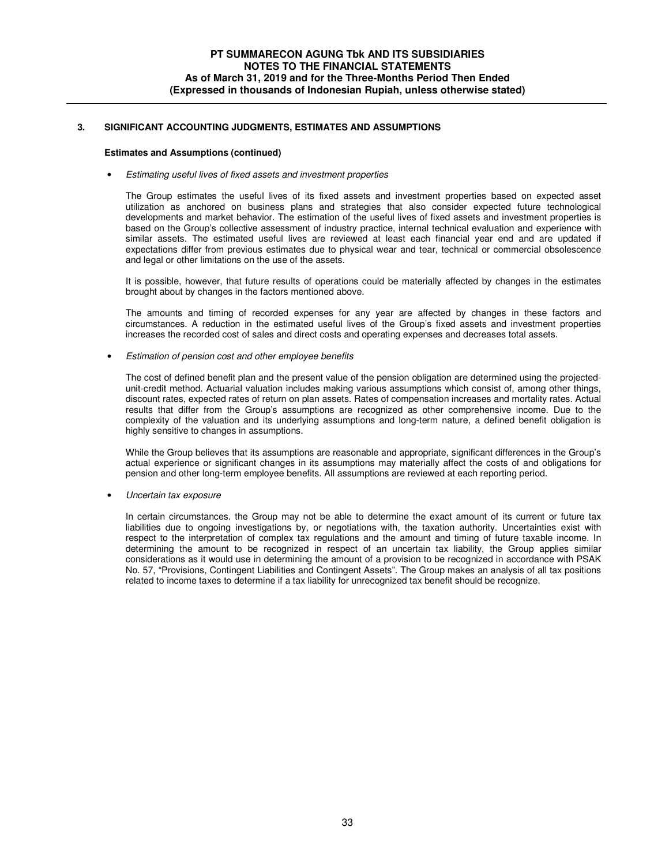# **3. SIGNIFICANT ACCOUNTING JUDGMENTS, ESTIMATES AND ASSUMPTIONS**

### **Estimates and Assumptions (continued)**

### • Estimating useful lives of fixed assets and investment properties

The Group estimates the useful lives of its fixed assets and investment properties based on expected asset utilization as anchored on business plans and strategies that also consider expected future technological developments and market behavior. The estimation of the useful lives of fixed assets and investment properties is based on the Group's collective assessment of industry practice, internal technical evaluation and experience with similar assets. The estimated useful lives are reviewed at least each financial year end and are updated if expectations differ from previous estimates due to physical wear and tear, technical or commercial obsolescence and legal or other limitations on the use of the assets.

It is possible, however, that future results of operations could be materially affected by changes in the estimates brought about by changes in the factors mentioned above.

The amounts and timing of recorded expenses for any year are affected by changes in these factors and circumstances. A reduction in the estimated useful lives of the Group's fixed assets and investment properties increases the recorded cost of sales and direct costs and operating expenses and decreases total assets.

• Estimation of pension cost and other employee benefits

The cost of defined benefit plan and the present value of the pension obligation are determined using the projectedunit-credit method. Actuarial valuation includes making various assumptions which consist of, among other things, discount rates, expected rates of return on plan assets. Rates of compensation increases and mortality rates. Actual results that differ from the Group's assumptions are recognized as other comprehensive income. Due to the complexity of the valuation and its underlying assumptions and long-term nature, a defined benefit obligation is highly sensitive to changes in assumptions.

While the Group believes that its assumptions are reasonable and appropriate, significant differences in the Group's actual experience or significant changes in its assumptions may materially affect the costs of and obligations for pension and other long-term employee benefits. All assumptions are reviewed at each reporting period.

• Uncertain tax exposure

In certain circumstances. the Group may not be able to determine the exact amount of its current or future tax liabilities due to ongoing investigations by, or negotiations with, the taxation authority. Uncertainties exist with respect to the interpretation of complex tax regulations and the amount and timing of future taxable income. In determining the amount to be recognized in respect of an uncertain tax liability, the Group applies similar considerations as it would use in determining the amount of a provision to be recognized in accordance with PSAK No. 57, "Provisions, Contingent Liabilities and Contingent Assets". The Group makes an analysis of all tax positions related to income taxes to determine if a tax liability for unrecognized tax benefit should be recognize.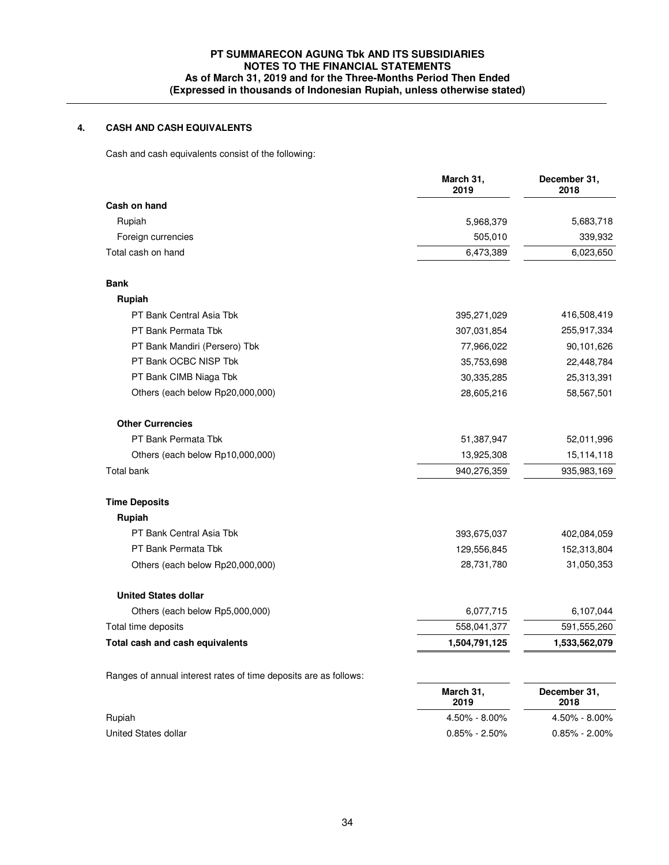# **PT SUMMARECON AGUNG Tbk AND ITS SUBSIDIARIES NOTES TO THE FINANCIAL STATEMENTS As of March 31, 2019 and for the Three-Months Period Then Ended (Expressed in thousands of Indonesian Rupiah, unless otherwise stated)**

# **4. CASH AND CASH EQUIVALENTS**

Cash and cash equivalents consist of the following:

|                                                                  | March 31,<br>2019 | December 31,<br>2018 |
|------------------------------------------------------------------|-------------------|----------------------|
| Cash on hand                                                     |                   |                      |
| Rupiah                                                           | 5,968,379         | 5,683,718            |
| Foreign currencies                                               | 505,010           | 339,932              |
| Total cash on hand                                               | 6,473,389         | 6,023,650            |
| <b>Bank</b>                                                      |                   |                      |
| Rupiah                                                           |                   |                      |
| PT Bank Central Asia Tbk                                         | 395,271,029       | 416,508,419          |
| PT Bank Permata Tbk                                              | 307,031,854       | 255,917,334          |
| PT Bank Mandiri (Persero) Tbk                                    | 77,966,022        | 90,101,626           |
| PT Bank OCBC NISP Tbk                                            | 35,753,698        | 22,448,784           |
| PT Bank CIMB Niaga Tbk                                           | 30,335,285        | 25,313,391           |
| Others (each below Rp20,000,000)                                 | 28,605,216        | 58,567,501           |
| <b>Other Currencies</b>                                          |                   |                      |
| PT Bank Permata Tbk                                              | 51,387,947        | 52,011,996           |
| Others (each below Rp10,000,000)                                 | 13,925,308        | 15,114,118           |
| <b>Total bank</b>                                                | 940,276,359       | 935,983,169          |
| <b>Time Deposits</b>                                             |                   |                      |
| Rupiah                                                           |                   |                      |
| PT Bank Central Asia Tbk                                         | 393,675,037       | 402,084,059          |
| PT Bank Permata Tbk                                              | 129,556,845       | 152,313,804          |
| Others (each below Rp20,000,000)                                 | 28,731,780        | 31,050,353           |
| <b>United States dollar</b>                                      |                   |                      |
| Others (each below Rp5,000,000)                                  | 6,077,715         | 6,107,044            |
| Total time deposits                                              | 558,041,377       | 591,555,260          |
| Total cash and cash equivalents                                  | 1,504,791,125     | 1,533,562,079        |
| Ranges of annual interest rates of time deposits are as follows: |                   |                      |
|                                                                  | March 31,<br>2019 | December 31,<br>2018 |
| Rupiah                                                           | 4.50% - 8.00%     | 4.50% - 8.00%        |
| United States dollar                                             | $0.85\% - 2.50\%$ | $0.85\% - 2.00\%$    |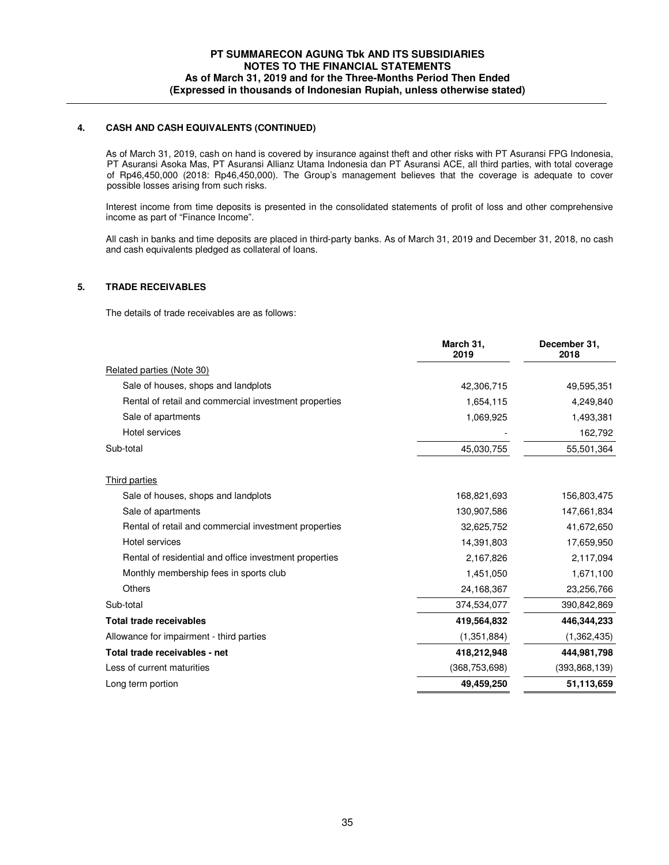## **4. CASH AND CASH EQUIVALENTS (CONTINUED)**

 As of March 31, 2019, cash on hand is covered by insurance against theft and other risks with PT Asuransi FPG Indonesia, PT Asuransi Asoka Mas, PT Asuransi Allianz Utama Indonesia dan PT Asuransi ACE, all third parties, with total coverage of Rp46,450,000 (2018: Rp46,450,000). The Group's management believes that the coverage is adequate to cover possible losses arising from such risks.

Interest income from time deposits is presented in the consolidated statements of profit of loss and other comprehensive income as part of "Finance Income".

All cash in banks and time deposits are placed in third-party banks. As of March 31, 2019 and December 31, 2018, no cash and cash equivalents pledged as collateral of loans.

## **5. TRADE RECEIVABLES**

The details of trade receivables are as follows:

|                                                        | March 31,<br>2019 | December 31.<br>2018 |
|--------------------------------------------------------|-------------------|----------------------|
| Related parties (Note 30)                              |                   |                      |
| Sale of houses, shops and landplots                    | 42,306,715        | 49,595,351           |
| Rental of retail and commercial investment properties  | 1,654,115         | 4,249,840            |
| Sale of apartments                                     | 1,069,925         | 1,493,381            |
| Hotel services                                         |                   | 162,792              |
| Sub-total                                              | 45,030,755        | 55,501,364           |
| Third parties                                          |                   |                      |
| Sale of houses, shops and landplots                    | 168,821,693       | 156,803,475          |
| Sale of apartments                                     | 130,907,586       | 147,661,834          |
| Rental of retail and commercial investment properties  | 32,625,752        | 41,672,650           |
| Hotel services                                         | 14,391,803        | 17,659,950           |
| Rental of residential and office investment properties | 2,167,826         | 2,117,094            |
| Monthly membership fees in sports club                 | 1,451,050         | 1,671,100            |
| Others                                                 | 24,168,367        | 23,256,766           |
| Sub-total                                              | 374,534,077       | 390,842,869          |
| <b>Total trade receivables</b>                         | 419,564,832       | 446,344,233          |
| Allowance for impairment - third parties               | (1,351,884)       | (1,362,435)          |
| Total trade receivables - net                          | 418,212,948       | 444,981,798          |
| Less of current maturities                             | (368, 753, 698)   | (393,868,139)        |
| Long term portion                                      | 49,459,250        | 51,113,659           |
|                                                        |                   |                      |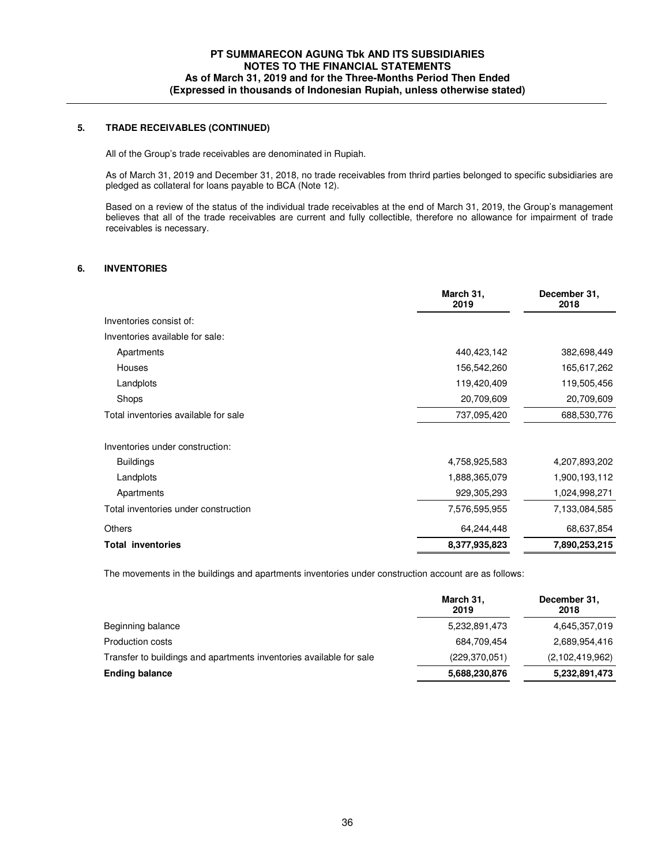## **5. TRADE RECEIVABLES (CONTINUED)**

All of the Group's trade receivables are denominated in Rupiah.

As of March 31, 2019 and December 31, 2018, no trade receivables from thrird parties belonged to specific subsidiaries are pledged as collateral for loans payable to BCA (Note 12).

Based on a review of the status of the individual trade receivables at the end of March 31, 2019, the Group's management believes that all of the trade receivables are current and fully collectible, therefore no allowance for impairment of trade receivables is necessary.

### **6. INVENTORIES**

|                                      | March 31,<br>2019 | December 31,<br>2018 |
|--------------------------------------|-------------------|----------------------|
| Inventories consist of:              |                   |                      |
| Inventories available for sale:      |                   |                      |
| Apartments                           | 440,423,142       | 382,698,449          |
| Houses                               | 156,542,260       | 165,617,262          |
| Landplots                            | 119,420,409       | 119,505,456          |
| Shops                                | 20,709,609        | 20,709,609           |
| Total inventories available for sale | 737,095,420       | 688,530,776          |
| Inventories under construction:      |                   |                      |
| <b>Buildings</b>                     | 4,758,925,583     | 4,207,893,202        |
| Landplots                            | 1,888,365,079     | 1,900,193,112        |
| Apartments                           | 929,305,293       | 1,024,998,271        |
| Total inventories under construction | 7,576,595,955     | 7,133,084,585        |
| <b>Others</b>                        | 64,244,448        | 68,637,854           |
| <b>Total inventories</b>             | 8,377,935,823     | 7,890,253,215        |

The movements in the buildings and apartments inventories under construction account are as follows:

|                                                                     | March 31,<br>2019 | December 31,<br>2018 |
|---------------------------------------------------------------------|-------------------|----------------------|
| Beginning balance                                                   | 5,232,891,473     | 4,645,357,019        |
| Production costs                                                    | 684,709,454       | 2,689,954,416        |
| Transfer to buildings and apartments inventories available for sale | (229, 370, 051)   | (2,102,419,962)      |
| <b>Ending balance</b>                                               | 5,688,230,876     | 5,232,891,473        |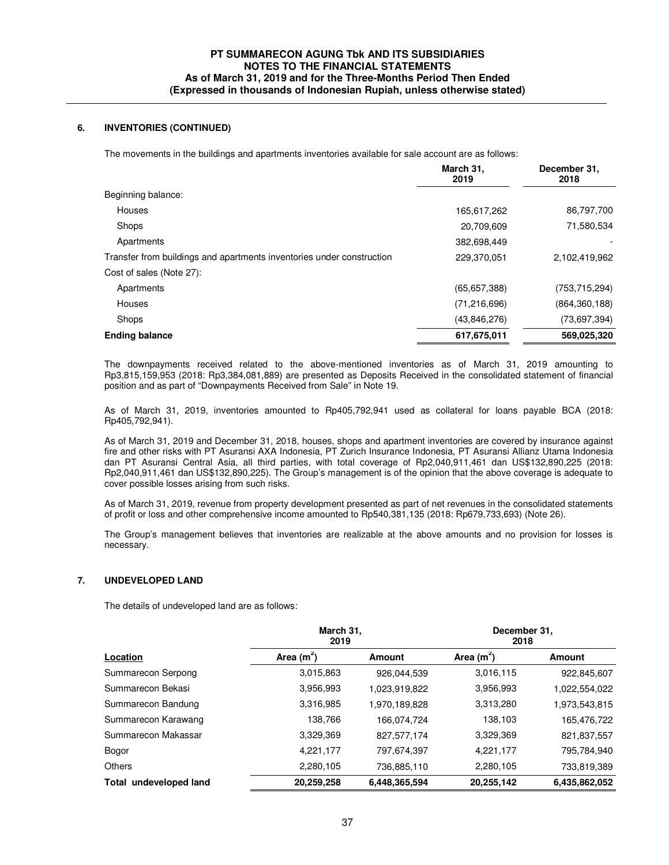### **6. INVENTORIES (CONTINUED)**

The movements in the buildings and apartments inventories available for sale account are as follows:

|                                                                       | March 31,<br>2019 | December 31,<br>2018 |
|-----------------------------------------------------------------------|-------------------|----------------------|
| Beginning balance:                                                    |                   |                      |
| <b>Houses</b>                                                         | 165,617,262       | 86,797,700           |
| Shops                                                                 | 20,709,609        | 71,580,534           |
| Apartments                                                            | 382,698,449       |                      |
| Transfer from buildings and apartments inventories under construction | 229,370,051       | 2,102,419,962        |
| Cost of sales (Note 27):                                              |                   |                      |
| Apartments                                                            | (65, 657, 388)    | (753, 715, 294)      |
| Houses                                                                | (71, 216, 696)    | (864, 360, 188)      |
| Shops                                                                 | (43,846,276)      | (73, 697, 394)       |
| <b>Ending balance</b>                                                 | 617,675,011       | 569.025.320          |

 The downpayments received related to the above-mentioned inventories as of March 31, 2019 amounting to Rp3,815,159,953 (2018: Rp3,384,081,889) are presented as Deposits Received in the consolidated statement of financial position and as part of "Downpayments Received from Sale" in Note 19.

 As of March 31, 2019, inventories amounted to Rp405,792,941 used as collateral for loans payable BCA (2018: Rp405,792,941).

As of March 31, 2019 and December 31, 2018, houses, shops and apartment inventories are covered by insurance against fire and other risks with PT Asuransi AXA Indonesia, PT Zurich Insurance Indonesia, PT Asuransi Allianz Utama Indonesia dan PT Asuransi Central Asia, all third parties, with total coverage of Rp2,040,911,461 dan US\$132,890,225 (2018: Rp2,040,911,461 dan US\$132,890,225). The Group's management is of the opinion that the above coverage is adequate to cover possible losses arising from such risks.

As of March 31, 2019, revenue from property development presented as part of net revenues in the consolidated statements of profit or loss and other comprehensive income amounted to Rp540,381,135 (2018: Rp679,733,693) (Note 26).

The Group's management believes that inventories are realizable at the above amounts and no provision for losses is necessary.

### **7. UNDEVELOPED LAND**

The details of undeveloped land are as follows:

| Location               | March 31,<br>2019 |               | December 31,<br>2018 |               |
|------------------------|-------------------|---------------|----------------------|---------------|
|                        | Area $(m^2)$      | <b>Amount</b> | Area $(m^2)$         | Amount        |
| Summarecon Serpong     | 3,015,863         | 926,044,539   | 3,016,115            | 922,845,607   |
| Summarecon Bekasi      | 3,956,993         | 1,023,919,822 | 3,956,993            | 1,022,554,022 |
| Summarecon Bandung     | 3,316,985         | 1,970,189,828 | 3,313,280            | 1,973,543,815 |
| Summarecon Karawang    | 138.766           | 166.074.724   | 138,103              | 165,476,722   |
| Summarecon Makassar    | 3,329,369         | 827,577,174   | 3,329,369            | 821,837,557   |
| Bogor                  | 4,221,177         | 797,674,397   | 4,221,177            | 795,784,940   |
| Others                 | 2,280,105         | 736,885,110   | 2,280,105            | 733,819,389   |
| Total undeveloped land | 20.259.258        | 6.448.365.594 | 20,255,142           | 6,435,862,052 |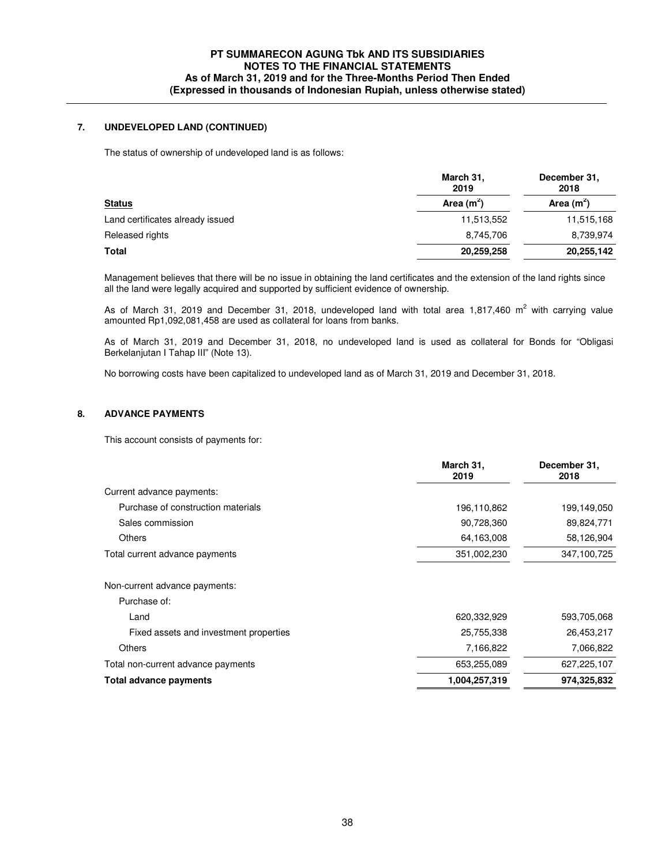### **7. UNDEVELOPED LAND (CONTINUED)**

The status of ownership of undeveloped land is as follows:

|                                  | March 31,<br>2019 | December 31,<br>2018 |
|----------------------------------|-------------------|----------------------|
| <b>Status</b>                    | Area $(m2)$       | Area $(m^2)$         |
| Land certificates already issued | 11,513,552        | 11,515,168           |
| Released rights                  | 8,745,706         | 8,739,974            |
| Total                            | 20,259,258        | 20,255,142           |

Management believes that there will be no issue in obtaining the land certificates and the extension of the land rights since all the land were legally acquired and supported by sufficient evidence of ownership.

As of March 31, 2019 and December 31, 2018, undeveloped land with total area 1,817,460  $m^2$  with carrying value amounted Rp1,092,081,458 are used as collateral for loans from banks.

As of March 31, 2019 and December 31, 2018, no undeveloped land is used as collateral for Bonds for "Obligasi Berkelanjutan I Tahap III" (Note 13).

No borrowing costs have been capitalized to undeveloped land as of March 31, 2019 and December 31, 2018.

### **8. ADVANCE PAYMENTS**

This account consists of payments for:

|                                        | March 31,<br>2019 | December 31,<br>2018 |
|----------------------------------------|-------------------|----------------------|
| Current advance payments:              |                   |                      |
| Purchase of construction materials     | 196,110,862       | 199,149,050          |
| Sales commission                       | 90,728,360        | 89,824,771           |
| <b>Others</b>                          | 64,163,008        | 58,126,904           |
| Total current advance payments         | 351,002,230       | 347,100,725          |
| Non-current advance payments:          |                   |                      |
| Purchase of:                           |                   |                      |
| Land                                   | 620,332,929       | 593,705,068          |
| Fixed assets and investment properties | 25,755,338        | 26,453,217           |
| <b>Others</b>                          | 7,166,822         | 7,066,822            |
| Total non-current advance payments     | 653,255,089       | 627,225,107          |
| Total advance payments                 | 1,004,257,319     | 974,325,832          |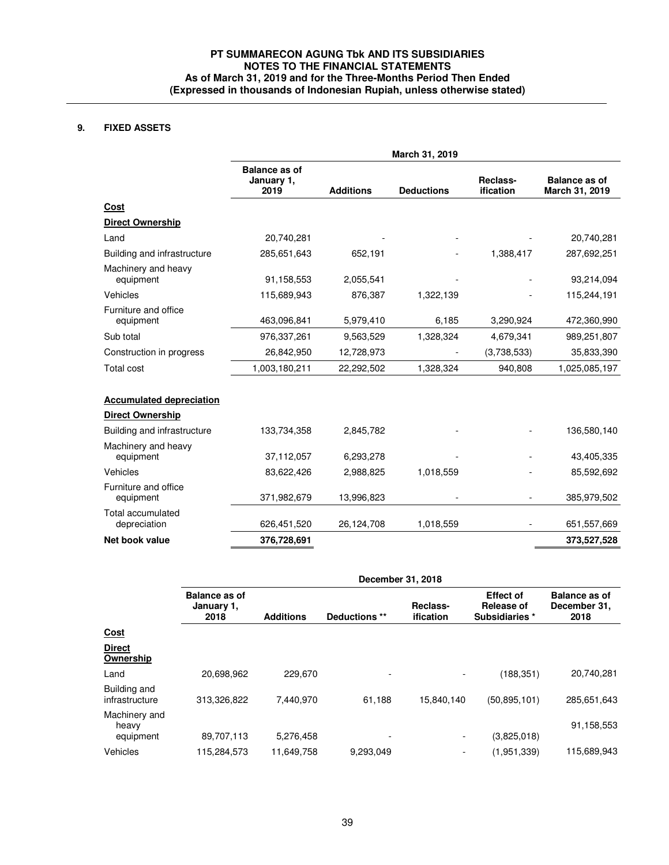# **9. FIXED ASSETS**

|                                                            | March 31, 2019                             |                  |                   |                          |                                        |
|------------------------------------------------------------|--------------------------------------------|------------------|-------------------|--------------------------|----------------------------------------|
|                                                            | <b>Balance as of</b><br>January 1,<br>2019 | <b>Additions</b> | <b>Deductions</b> | Reclass-<br>ification    | <b>Balance as of</b><br>March 31, 2019 |
| Cost                                                       |                                            |                  |                   |                          |                                        |
| <b>Direct Ownership</b>                                    |                                            |                  |                   |                          |                                        |
| Land                                                       | 20,740,281                                 |                  |                   |                          | 20,740,281                             |
| Building and infrastructure                                | 285,651,643                                | 652,191          |                   | 1,388,417                | 287,692,251                            |
| Machinery and heavy<br>equipment                           | 91,158,553                                 | 2,055,541        |                   |                          | 93,214,094                             |
| Vehicles                                                   | 115,689,943                                | 876,387          | 1,322,139         |                          | 115,244,191                            |
| Furniture and office<br>equipment                          | 463,096,841                                | 5,979,410        | 6,185             | 3,290,924                | 472,360,990                            |
| Sub total                                                  | 976,337,261                                | 9,563,529        | 1,328,324         | 4,679,341                | 989,251,807                            |
| Construction in progress                                   | 26,842,950                                 | 12,728,973       |                   | (3,738,533)              | 35,833,390                             |
| Total cost                                                 | 1,003,180,211                              | 22,292,502       | 1,328,324         | 940,808                  | 1,025,085,197                          |
| <b>Accumulated depreciation</b><br><b>Direct Ownership</b> |                                            |                  |                   |                          |                                        |
| Building and infrastructure                                | 133,734,358                                | 2,845,782        |                   |                          | 136,580,140                            |
| Machinery and heavy<br>equipment                           | 37,112,057                                 | 6,293,278        |                   |                          | 43,405,335                             |
| Vehicles                                                   | 83,622,426                                 | 2,988,825        | 1,018,559         |                          | 85,592,692                             |
| Furniture and office<br>equipment                          | 371,982,679                                | 13,996,823       |                   | $\overline{\phantom{a}}$ | 385,979,502                            |
| Total accumulated<br>depreciation                          | 626,451,520                                | 26,124,708       | 1,018,559         | $\overline{\phantom{a}}$ | 651,557,669                            |
| Net book value                                             | 376,728,691                                |                  |                   |                          | 373,527,528                            |

|                                     | December 31, 2018                          |                  |                          |                          |                                                         |                                              |
|-------------------------------------|--------------------------------------------|------------------|--------------------------|--------------------------|---------------------------------------------------------|----------------------------------------------|
|                                     | <b>Balance as of</b><br>January 1,<br>2018 | <b>Additions</b> | Deductions **            | Reclass-<br>ification    | <b>Effect of</b><br><b>Release of</b><br>Subsidiaries * | <b>Balance as of</b><br>December 31,<br>2018 |
| <u>Cost</u>                         |                                            |                  |                          |                          |                                                         |                                              |
| <b>Direct</b><br>Ownership          |                                            |                  |                          |                          |                                                         |                                              |
| Land                                | 20,698,962                                 | 229.670          | ۰                        |                          | (188, 351)                                              | 20,740,281                                   |
| Building and<br>infrastructure      | 313,326,822                                | 7.440.970        | 61.188                   | 15,840,140               | (50, 895, 101)                                          | 285,651,643                                  |
| Machinery and<br>heavy<br>equipment | 89,707,113                                 | 5,276,458        | $\overline{\phantom{0}}$ | $\overline{\phantom{a}}$ | (3,825,018)                                             | 91,158,553                                   |
| Vehicles                            | 115,284,573                                | 11,649,758       | 9,293,049                | $\blacksquare$           | (1,951,339)                                             | 115,689,943                                  |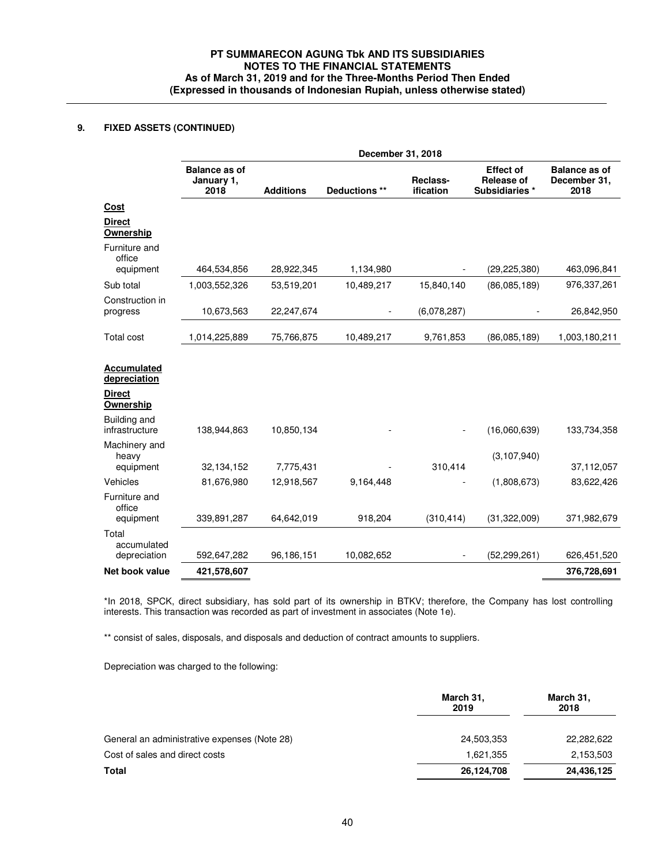## **9. FIXED ASSETS (CONTINUED)**

|                                                                  |                                            | December 31, 2018 |               |                       |                                                         |                                              |
|------------------------------------------------------------------|--------------------------------------------|-------------------|---------------|-----------------------|---------------------------------------------------------|----------------------------------------------|
|                                                                  | <b>Balance as of</b><br>January 1,<br>2018 | <b>Additions</b>  | Deductions ** | Reclass-<br>ification | <b>Effect of</b><br><b>Release of</b><br>Subsidiaries * | <b>Balance as of</b><br>December 31,<br>2018 |
| Cost                                                             |                                            |                   |               |                       |                                                         |                                              |
| <b>Direct</b><br>Ownership                                       |                                            |                   |               |                       |                                                         |                                              |
| Furniture and<br>office                                          |                                            |                   |               |                       |                                                         |                                              |
| equipment                                                        | 464,534,856                                | 28,922,345        | 1,134,980     |                       | (29, 225, 380)                                          | 463,096,841                                  |
| Sub total                                                        | 1,003,552,326                              | 53,519,201        | 10,489,217    | 15,840,140            | (86,085,189)                                            | 976,337,261                                  |
| Construction in<br>progress                                      | 10,673,563                                 | 22,247,674        |               | (6,078,287)           |                                                         | 26,842,950                                   |
| <b>Total cost</b>                                                | 1,014,225,889                              | 75,766,875        | 10,489,217    | 9,761,853             | (86,085,189)                                            | 1,003,180,211                                |
| Accumulated<br>depreciation<br><b>Direct</b><br><b>Ownership</b> |                                            |                   |               |                       |                                                         |                                              |
| Building and<br>infrastructure                                   | 138,944,863                                | 10,850,134        |               |                       | (16,060,639)                                            | 133,734,358                                  |
| Machinery and<br>heavy                                           |                                            |                   |               |                       | (3, 107, 940)                                           |                                              |
| equipment                                                        | 32,134,152                                 | 7,775,431         |               | 310,414               |                                                         | 37,112,057                                   |
| Vehicles                                                         | 81,676,980                                 | 12,918,567        | 9,164,448     |                       | (1,808,673)                                             | 83,622,426                                   |
| Furniture and<br>office<br>equipment                             | 339,891,287                                | 64,642,019        | 918,204       | (310, 414)            | (31, 322, 009)                                          | 371,982,679                                  |
| Total<br>accumulated<br>depreciation                             | 592,647,282                                | 96,186,151        | 10,082,652    |                       | (52, 299, 261)                                          | 626,451,520                                  |
| Net book value                                                   | 421,578,607                                |                   |               |                       |                                                         | 376,728,691                                  |
|                                                                  |                                            |                   |               |                       |                                                         |                                              |

\*In 2018, SPCK, direct subsidiary, has sold part of its ownership in BTKV; therefore, the Company has lost controlling interests. This transaction was recorded as part of investment in associates (Note 1e).

\*\* consist of sales, disposals, and disposals and deduction of contract amounts to suppliers.

Depreciation was charged to the following:

| March 31,<br>2019 | March 31,<br>2018 |  |
|-------------------|-------------------|--|
| 24,503,353        | 22,282,622        |  |
| 1,621,355         | 2,153,503         |  |
| 26,124,708        | 24,436,125        |  |
|                   |                   |  |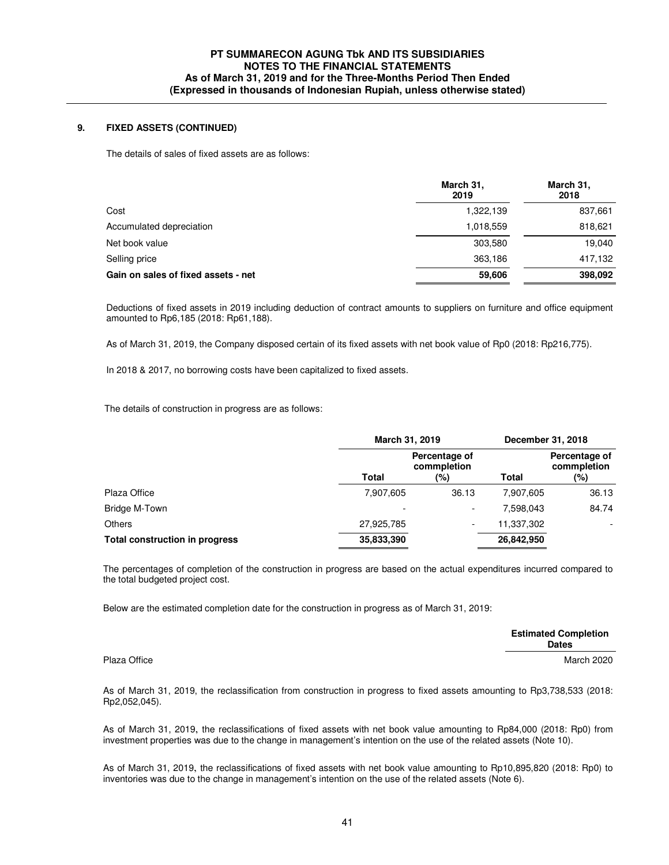### **9. FIXED ASSETS (CONTINUED)**

The details of sales of fixed assets are as follows:

|                                     | March 31,<br>2019 | March 31,<br>2018 |
|-------------------------------------|-------------------|-------------------|
| Cost                                | 1,322,139         | 837,661           |
| Accumulated depreciation            | 1,018,559         | 818,621           |
| Net book value                      | 303,580           | 19,040            |
| Selling price                       | 363,186           | 417,132           |
| Gain on sales of fixed assets - net | 59,606            | 398,092           |

 Deductions of fixed assets in 2019 including deduction of contract amounts to suppliers on furniture and office equipment amounted to Rp6,185 (2018: Rp61,188).

As of March 31, 2019, the Company disposed certain of its fixed assets with net book value of Rp0 (2018: Rp216,775).

In 2018 & 2017, no borrowing costs have been capitalized to fixed assets.

The details of construction in progress are as follows:

|                                       | March 31, 2019 |                                     |            | December 31, 2018                   |
|---------------------------------------|----------------|-------------------------------------|------------|-------------------------------------|
|                                       | <b>Total</b>   | Percentage of<br>commpletion<br>(%) | Total      | Percentage of<br>commpletion<br>(%) |
| Plaza Office                          | 7,907,605      | 36.13                               | 7.907.605  | 36.13                               |
| Bridge M-Town                         | ٠              | $\overline{\phantom{0}}$            | 7.598.043  | 84.74                               |
| <b>Others</b>                         | 27,925,785     |                                     | 11,337,302 | ۰                                   |
| <b>Total construction in progress</b> | 35,833,390     |                                     | 26,842,950 |                                     |

 The percentages of completion of the construction in progress are based on the actual expenditures incurred compared to the total budgeted project cost.

Below are the estimated completion date for the construction in progress as of March 31, 2019:

|              | <b>Estimated Completion</b><br><b>Dates</b> |
|--------------|---------------------------------------------|
| Plaza Office | <b>March 2020</b>                           |

 As of March 31, 2019, the reclassification from construction in progress to fixed assets amounting to Rp3,738,533 (2018: Rp2,052,045).

As of March 31, 2019, the reclassifications of fixed assets with net book value amounting to Rp84,000 (2018: Rp0) from investment properties was due to the change in management's intention on the use of the related assets (Note 10).

As of March 31, 2019, the reclassifications of fixed assets with net book value amounting to Rp10,895,820 (2018: Rp0) to inventories was due to the change in management's intention on the use of the related assets (Note 6).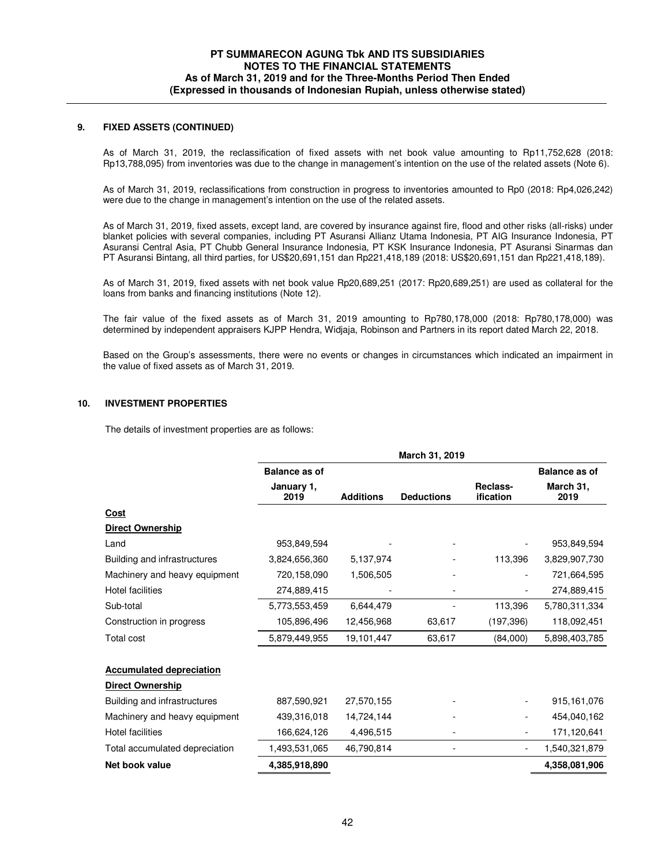### **9. FIXED ASSETS (CONTINUED)**

 As of March 31, 2019, the reclassification of fixed assets with net book value amounting to Rp11,752,628 (2018: Rp13,788,095) from inventories was due to the change in management's intention on the use of the related assets (Note 6).

 As of March 31, 2019, reclassifications from construction in progress to inventories amounted to Rp0 (2018: Rp4,026,242) were due to the change in management's intention on the use of the related assets.

 As of March 31, 2019, fixed assets, except land, are covered by insurance against fire, flood and other risks (all-risks) under blanket policies with several companies, including PT Asuransi Allianz Utama Indonesia, PT AIG Insurance Indonesia, PT Asuransi Central Asia, PT Chubb General Insurance Indonesia, PT KSK Insurance Indonesia, PT Asuransi Sinarmas dan PT Asuransi Bintang, all third parties, for US\$20,691,151 dan Rp221,418,189 (2018: US\$20,691,151 dan Rp221,418,189).

As of March 31, 2019, fixed assets with net book value Rp20,689,251 (2017: Rp20,689,251) are used as collateral for the loans from banks and financing institutions (Note 12).

 The fair value of the fixed assets as of March 31, 2019 amounting to Rp780,178,000 (2018: Rp780,178,000) was determined by independent appraisers KJPP Hendra, Widjaja, Robinson and Partners in its report dated March 22, 2018.

Based on the Group's assessments, there were no events or changes in circumstances which indicated an impairment in the value of fixed assets as of March 31, 2019.

#### **10. INVESTMENT PROPERTIES**

The details of investment properties are as follows:

|                                 |                      |                  | March 31, 2019    |                          |                      |
|---------------------------------|----------------------|------------------|-------------------|--------------------------|----------------------|
|                                 | <b>Balance as of</b> |                  |                   |                          | <b>Balance as of</b> |
|                                 | January 1,<br>2019   | <b>Additions</b> | <b>Deductions</b> | Reclass-<br>ification    | March 31,<br>2019    |
| Cost                            |                      |                  |                   |                          |                      |
| <b>Direct Ownership</b>         |                      |                  |                   |                          |                      |
| Land                            | 953,849,594          |                  |                   |                          | 953,849,594          |
| Building and infrastructures    | 3,824,656,360        | 5,137,974        |                   | 113,396                  | 3,829,907,730        |
| Machinery and heavy equipment   | 720,158,090          | 1,506,505        |                   |                          | 721,664,595          |
| <b>Hotel facilities</b>         | 274,889,415          |                  |                   |                          | 274,889,415          |
| Sub-total                       | 5,773,553,459        | 6,644,479        |                   | 113,396                  | 5,780,311,334        |
| Construction in progress        | 105,896,496          | 12,456,968       | 63,617            | (197, 396)               | 118,092,451          |
| <b>Total cost</b>               | 5,879,449,955        | 19,101,447       | 63,617            | (84,000)                 | 5,898,403,785        |
| <b>Accumulated depreciation</b> |                      |                  |                   |                          |                      |
| <b>Direct Ownership</b>         |                      |                  |                   |                          |                      |
| Building and infrastructures    | 887,590,921          | 27,570,155       |                   |                          | 915, 161, 076        |
| Machinery and heavy equipment   | 439,316,018          | 14,724,144       |                   | $\overline{\phantom{a}}$ | 454,040,162          |
| <b>Hotel facilities</b>         | 166,624,126          | 4,496,515        |                   |                          | 171,120,641          |
| Total accumulated depreciation  | 1,493,531,065        | 46,790,814       |                   |                          | 1,540,321,879        |
| Net book value                  | 4,385,918,890        |                  |                   |                          | 4,358,081,906        |
|                                 |                      |                  |                   |                          |                      |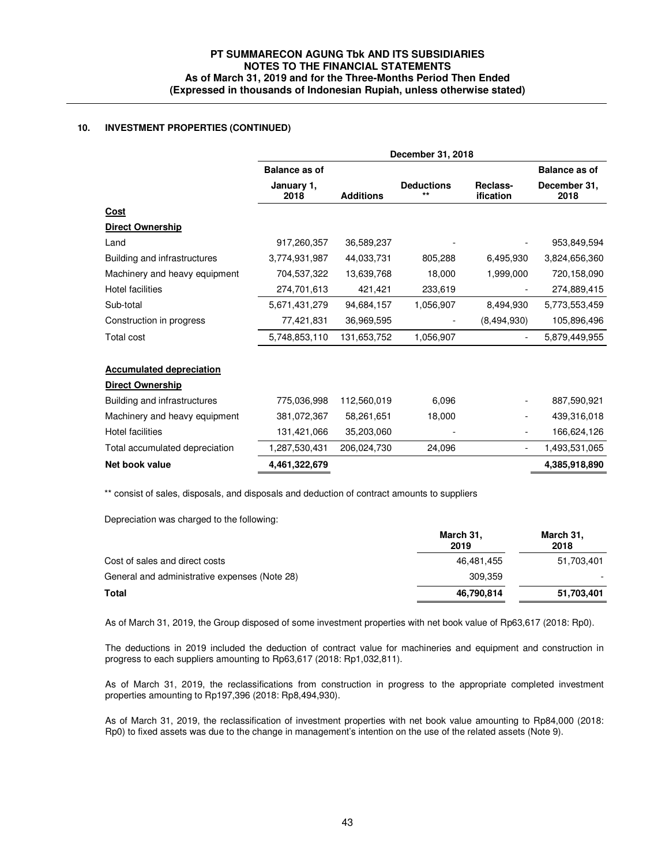## **10. INVESTMENT PROPERTIES (CONTINUED)**

|                                 | December 31, 2018    |                  |                                   |                          |                      |
|---------------------------------|----------------------|------------------|-----------------------------------|--------------------------|----------------------|
|                                 | <b>Balance as of</b> |                  |                                   |                          | <b>Balance as of</b> |
|                                 | January 1,<br>2018   | <b>Additions</b> | <b>Deductions</b><br>$\star\star$ | Reclass-<br>ification    | December 31,<br>2018 |
| <u>Cost</u>                     |                      |                  |                                   |                          |                      |
| <b>Direct Ownership</b>         |                      |                  |                                   |                          |                      |
| Land                            | 917,260,357          | 36,589,237       |                                   |                          | 953,849,594          |
| Building and infrastructures    | 3,774,931,987        | 44,033,731       | 805,288                           | 6,495,930                | 3,824,656,360        |
| Machinery and heavy equipment   | 704,537,322          | 13,639,768       | 18,000                            | 1,999,000                | 720,158,090          |
| <b>Hotel facilities</b>         | 274,701,613          | 421,421          | 233,619                           |                          | 274,889,415          |
| Sub-total                       | 5,671,431,279        | 94,684,157       | 1,056,907                         | 8,494,930                | 5,773,553,459        |
| Construction in progress        | 77,421,831           | 36,969,595       |                                   | (8,494,930)              | 105,896,496          |
| <b>Total cost</b>               | 5,748,853,110        | 131,653,752      | 1,056,907                         |                          | 5,879,449,955        |
| <b>Accumulated depreciation</b> |                      |                  |                                   |                          |                      |
| Direct Ownership                |                      |                  |                                   |                          |                      |
| Building and infrastructures    | 775,036,998          | 112,560,019      | 6.096                             | -                        | 887,590,921          |
| Machinery and heavy equipment   | 381,072,367          | 58,261,651       | 18,000                            |                          | 439,316,018          |
| <b>Hotel facilities</b>         | 131,421,066          | 35,203,060       |                                   |                          | 166,624,126          |
| Total accumulated depreciation  | 1,287,530,431        | 206,024,730      | 24,096                            | $\overline{\phantom{a}}$ | 1,493,531,065        |
| Net book value                  | 4,461,322,679        |                  |                                   |                          | 4,385,918,890        |

\*\* consist of sales, disposals, and disposals and deduction of contract amounts to suppliers

Depreciation was charged to the following:

|                                               | March 31,<br>2019 | March 31,<br>2018 |
|-----------------------------------------------|-------------------|-------------------|
| Cost of sales and direct costs                | 46.481.455        | 51,703,401        |
| General and administrative expenses (Note 28) | 309.359           |                   |
| Total                                         | 46,790,814        | 51,703,401        |

As of March 31, 2019, the Group disposed of some investment properties with net book value of Rp63,617 (2018: Rp0).

The deductions in 2019 included the deduction of contract value for machineries and equipment and construction in progress to each suppliers amounting to Rp63,617 (2018: Rp1,032,811).

As of March 31, 2019, the reclassifications from construction in progress to the appropriate completed investment properties amounting to Rp197,396 (2018: Rp8,494,930).

As of March 31, 2019, the reclassification of investment properties with net book value amounting to Rp84,000 (2018: Rp0) to fixed assets was due to the change in management's intention on the use of the related assets (Note 9).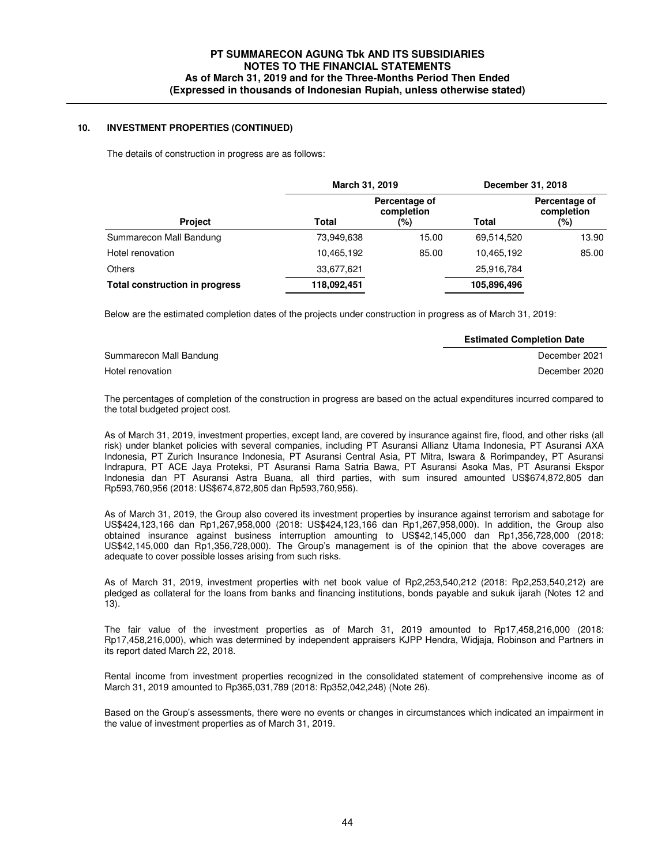### **10. INVESTMENT PROPERTIES (CONTINUED)**

The details of construction in progress are as follows:

|                                       | March 31, 2019 |                                    | December 31, 2018 |                                    |
|---------------------------------------|----------------|------------------------------------|-------------------|------------------------------------|
| <b>Project</b>                        | Total          | Percentage of<br>completion<br>(%) | Total             | Percentage of<br>completion<br>(%) |
| Summarecon Mall Bandung               | 73,949,638     | 15.00                              | 69,514,520        | 13.90                              |
| Hotel renovation                      | 10,465,192     | 85.00                              | 10,465,192        | 85.00                              |
| <b>Others</b>                         | 33,677,621     |                                    | 25,916,784        |                                    |
| <b>Total construction in progress</b> | 118,092,451    |                                    | 105,896,496       |                                    |

Below are the estimated completion dates of the projects under construction in progress as of March 31, 2019:

|                         | <b>Estimated Completion Date</b> |
|-------------------------|----------------------------------|
| Summarecon Mall Bandung | December 2021                    |
| Hotel renovation        | December 2020                    |

The percentages of completion of the construction in progress are based on the actual expenditures incurred compared to the total budgeted project cost.

 As of March 31, 2019, investment properties, except land, are covered by insurance against fire, flood, and other risks (all risk) under blanket policies with several companies, including PT Asuransi Allianz Utama Indonesia, PT Asuransi AXA Indonesia, PT Zurich Insurance Indonesia, PT Asuransi Central Asia, PT Mitra, Iswara & Rorimpandey, PT Asuransi Indrapura, PT ACE Jaya Proteksi, PT Asuransi Rama Satria Bawa, PT Asuransi Asoka Mas, PT Asuransi Ekspor Indonesia dan PT Asuransi Astra Buana, all third parties, with sum insured amounted US\$674,872,805 dan Rp593,760,956 (2018: US\$674,872,805 dan Rp593,760,956).

 As of March 31, 2019, the Group also covered its investment properties by insurance against terrorism and sabotage for US\$424,123,166 dan Rp1,267,958,000 (2018: US\$424,123,166 dan Rp1,267,958,000). In addition, the Group also obtained insurance against business interruption amounting to US\$42,145,000 dan Rp1,356,728,000 (2018: US\$42,145,000 dan Rp1,356,728,000). The Group's management is of the opinion that the above coverages are adequate to cover possible losses arising from such risks.

 As of March 31, 2019, investment properties with net book value of Rp2,253,540,212 (2018: Rp2,253,540,212) are pledged as collateral for the loans from banks and financing institutions, bonds payable and sukuk ijarah (Notes 12 and 13).

 The fair value of the investment properties as of March 31, 2019 amounted to Rp17,458,216,000 (2018: Rp17,458,216,000), which was determined by independent appraisers KJPP Hendra, Widjaja, Robinson and Partners in its report dated March 22, 2018.

Rental income from investment properties recognized in the consolidated statement of comprehensive income as of March 31, 2019 amounted to Rp365,031,789 (2018: Rp352,042,248) (Note 26).

 Based on the Group's assessments, there were no events or changes in circumstances which indicated an impairment in the value of investment properties as of March 31, 2019.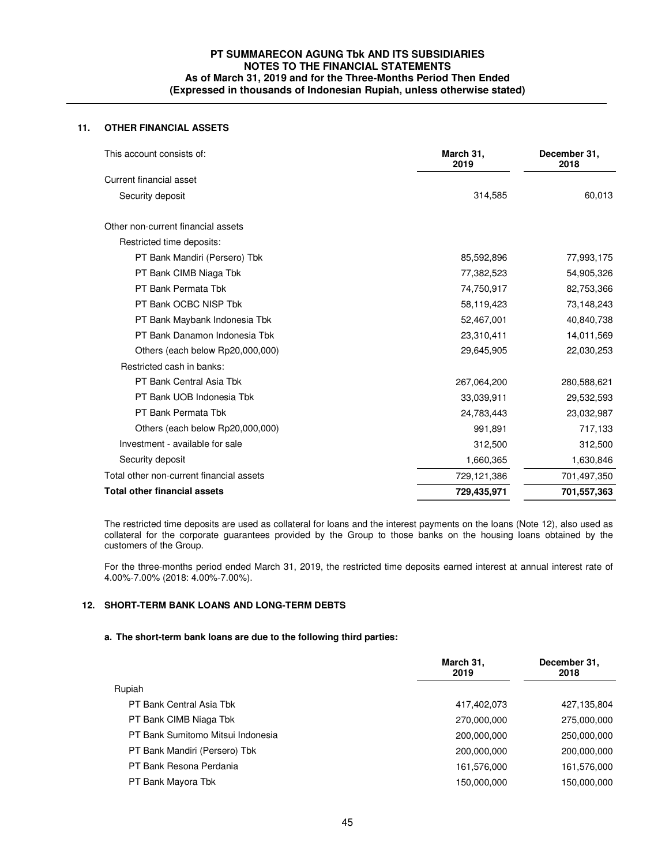## **11. OTHER FINANCIAL ASSETS**

| This account consists of:                | March 31,<br>2019 | December 31,<br>2018 |
|------------------------------------------|-------------------|----------------------|
| Current financial asset                  |                   |                      |
| Security deposit                         | 314,585           | 60,013               |
| Other non-current financial assets       |                   |                      |
| Restricted time deposits:                |                   |                      |
| PT Bank Mandiri (Persero) Tbk            | 85,592,896        | 77,993,175           |
| PT Bank CIMB Niaga Tbk                   | 77,382,523        | 54,905,326           |
| PT Bank Permata Tbk                      | 74,750,917        | 82,753,366           |
| PT Bank OCBC NISP Tbk                    | 58,119,423        | 73,148,243           |
| PT Bank Maybank Indonesia Tbk            | 52,467,001        | 40,840,738           |
| PT Bank Danamon Indonesia Tbk            | 23,310,411        | 14,011,569           |
| Others (each below Rp20,000,000)         | 29,645,905        | 22,030,253           |
| Restricted cash in banks:                |                   |                      |
| PT Bank Central Asia Tbk                 | 267,064,200       | 280,588,621          |
| PT Bank UOB Indonesia Tbk                | 33,039,911        | 29,532,593           |
| PT Bank Permata Tbk                      | 24,783,443        | 23,032,987           |
| Others (each below Rp20,000,000)         | 991,891           | 717,133              |
| Investment - available for sale          | 312,500           | 312,500              |
| Security deposit                         | 1,660,365         | 1,630,846            |
| Total other non-current financial assets | 729,121,386       | 701,497,350          |
| <b>Total other financial assets</b>      | 729,435,971       | 701,557,363          |

The restricted time deposits are used as collateral for loans and the interest payments on the loans (Note 12), also used as collateral for the corporate guarantees provided by the Group to those banks on the housing loans obtained by the customers of the Group.

For the three-months period ended March 31, 2019, the restricted time deposits earned interest at annual interest rate of 4.00%-7.00% (2018: 4.00%-7.00%).

#### **12. SHORT-TERM BANK LOANS AND LONG-TERM DEBTS**

### **a. The short-term bank loans are due to the following third parties:**

|                                   | March 31,<br>2019 | December 31,<br>2018 |
|-----------------------------------|-------------------|----------------------|
| Rupiah                            |                   |                      |
| PT Bank Central Asia Tbk          | 417,402,073       | 427,135,804          |
| PT Bank CIMB Niaga Tbk            | 270,000,000       | 275,000,000          |
| PT Bank Sumitomo Mitsui Indonesia | 200,000,000       | 250,000,000          |
| PT Bank Mandiri (Persero) Tbk     | 200,000,000       | 200,000,000          |
| PT Bank Resona Perdania           | 161,576,000       | 161,576,000          |
| PT Bank Mayora Tbk                | 150,000,000       | 150,000,000          |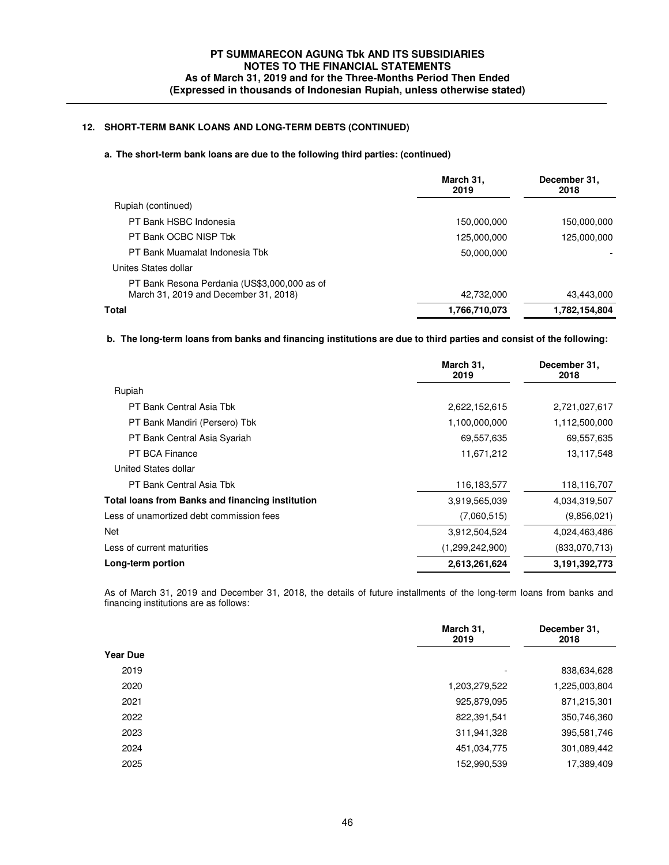# **12. SHORT-TERM BANK LOANS AND LONG-TERM DEBTS (CONTINUED)**

## **a. The short-term bank loans are due to the following third parties: (continued)**

|                                                                                       | March 31,<br>2019 | December 31,<br>2018 |
|---------------------------------------------------------------------------------------|-------------------|----------------------|
| Rupiah (continued)                                                                    |                   |                      |
| PT Bank HSBC Indonesia                                                                | 150,000,000       | 150,000,000          |
| PT Bank OCBC NISP Tbk                                                                 | 125,000,000       | 125,000,000          |
| PT Bank Muamalat Indonesia Tbk                                                        | 50,000,000        |                      |
| Unites States dollar                                                                  |                   |                      |
| PT Bank Resona Perdania (US\$3,000,000 as of<br>March 31, 2019 and December 31, 2018) | 42,732,000        | 43,443,000           |
| Total                                                                                 | 1,766,710,073     | 1,782,154,804        |
|                                                                                       |                   |                      |

### **b. The long-term loans from banks and financing institutions are due to third parties and consist of the following:**

|                                                         | March 31,<br>2019 | December 31,<br>2018 |
|---------------------------------------------------------|-------------------|----------------------|
| Rupiah                                                  |                   |                      |
| PT Bank Central Asia Tbk                                | 2,622,152,615     | 2,721,027,617        |
| PT Bank Mandiri (Persero) Tbk                           | 1,100,000,000     | 1,112,500,000        |
| PT Bank Central Asia Syariah                            | 69,557,635        | 69,557,635           |
| PT BCA Finance                                          | 11,671,212        | 13,117,548           |
| United States dollar                                    |                   |                      |
| PT Bank Central Asia Tbk                                | 116,183,577       | 118,116,707          |
| <b>Total loans from Banks and financing institution</b> | 3,919,565,039     | 4,034,319,507        |
| Less of unamortized debt commission fees                | (7,060,515)       | (9,856,021)          |
| Net                                                     | 3,912,504,524     | 4,024,463,486        |
| Less of current maturities                              | (1,299,242,900)   | (833,070,713)        |
| Long-term portion                                       | 2,613,261,624     | 3,191,392,773        |

 As of March 31, 2019 and December 31, 2018, the details of future installments of the long-term loans from banks and financing institutions are as follows:

| March 31,<br>2019                | December 31,<br>2018 |
|----------------------------------|----------------------|
| <b>Year Due</b>                  |                      |
| 2019<br>$\overline{\phantom{0}}$ | 838,634,628          |
| 2020<br>1,203,279,522            | 1,225,003,804        |
| 2021<br>925,879,095              | 871,215,301          |
| 2022<br>822,391,541              | 350,746,360          |
| 2023<br>311,941,328              | 395,581,746          |
| 2024<br>451,034,775              | 301,089,442          |
| 2025<br>152,990,539              | 17,389,409           |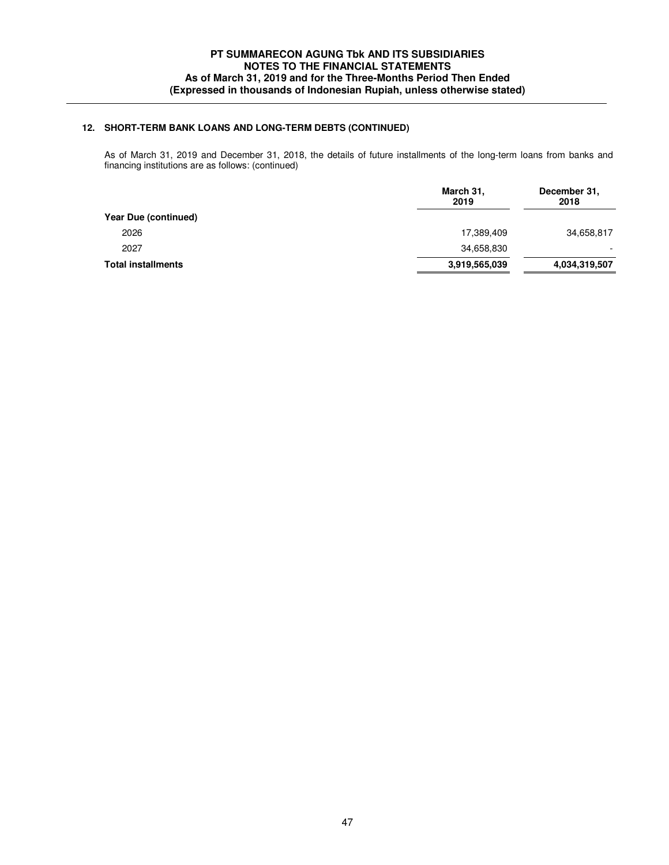# **12. SHORT-TERM BANK LOANS AND LONG-TERM DEBTS (CONTINUED)**

 As of March 31, 2019 and December 31, 2018, the details of future installments of the long-term loans from banks and financing institutions are as follows: (continued)

| March 31,<br>2019 | December 31,<br>2018 |
|-------------------|----------------------|
|                   |                      |
| 17,389,409        | 34,658,817           |
| 34,658,830        |                      |
| 3,919,565,039     | 4,034,319,507        |
|                   |                      |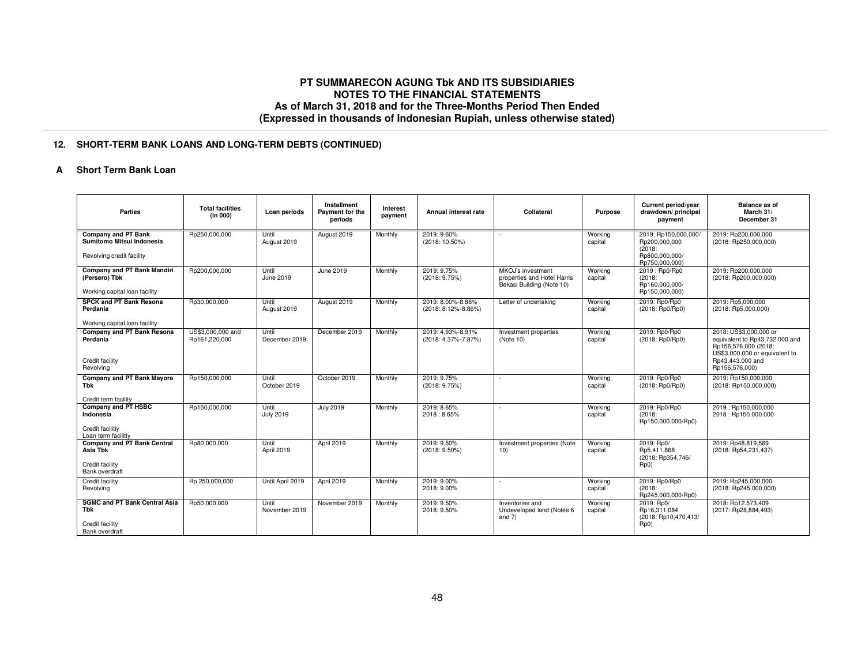# **12. SHORT-TERM BANK LOANS AND LONG-TERM DEBTS (CONTINUED)**

### **A Short Term Bank Loan**

| <b>Parties</b>                                                                       | <b>Total facilities</b><br>(in 000) | Loan periods              | Installment<br>Payment for the<br>periods | Interest<br>payment | Annual interest rate                     | Collateral                                                                    | <b>Purpose</b>     | Current period/year<br>drawdown/principal<br>payment                  | <b>Balance as of</b><br>March 31/<br>December 31                                                                                                         |
|--------------------------------------------------------------------------------------|-------------------------------------|---------------------------|-------------------------------------------|---------------------|------------------------------------------|-------------------------------------------------------------------------------|--------------------|-----------------------------------------------------------------------|----------------------------------------------------------------------------------------------------------------------------------------------------------|
| <b>Company and PT Bank</b><br>Sumitomo Mitsui Indonesia<br>Revolving credit facility | Rp250,000,000                       | Until<br>August 2019      | August 2019                               | Monthly             | 2019: 9.60%<br>(2018: 10.50%)            |                                                                               | Working<br>capital | 2019: Rp150,000,000/<br>Rp200,000,000<br>(2018)<br>Rp800,000,000/     | 2019: Rp200.000.000<br>(2018: Rp250,000,000)                                                                                                             |
|                                                                                      |                                     |                           |                                           |                     |                                          |                                                                               |                    | Rp750.000.000)                                                        |                                                                                                                                                          |
| Company and PT Bank Mandiri<br>(Persero) Tbk<br>Working capital loan facility        | Rp200,000,000                       | Until<br>June 2019        | June 2019                                 | Monthly             | 2019: 9.75%<br>(2018: 9.75%)             | MKOJ's investment<br>properties and Hotel Harris<br>Bekasi Building (Note 10) | Working<br>capital | 2019: Rp0/Rp0<br>(2018)<br>Rp160,000,000/<br>Rp150,000,000)           | 2019: Rp200,000,000<br>(2018: Rp200,000,000)                                                                                                             |
| <b>SPCK and PT Bank Resona</b><br>Perdania<br>Working capital loan facility          | Rp30,000,000                        | Until<br>August 2019      | August 2019                               | Monthly             | 2019: 8.00%-8.86%<br>(2018: 8.12%-8.86%) | Letter of undertaking                                                         | Working<br>capital | 2019: Rp0/Rp0<br>(2018: Rp0/Rp0)                                      | 2019: Rp5,000.000<br>$(2018:$ Rp5,000,000)                                                                                                               |
| <b>Company and PT Bank Resona</b><br>Perdania<br>Credit facility<br>Revolving        | US\$3,000,000 and<br>Rp161,220,000  | Until<br>December 2019    | December 2019                             | Monthly             | 2019: 4.93%-8.91%<br>(2018: 4.37%-7.87%) | Investment properties<br>(Note 10)                                            | Working<br>capital | 2019: Rp0/Rp0<br>(2018: Rp0/Rp0)                                      | 2018: US\$3,000,000 or<br>equivalent to Rp43,732,000 and<br>Rp156,576,000 (2018:<br>US\$3,000,000 or equivalent to<br>Rp43,443,000 and<br>Rp156,576,000) |
| Company and PT Bank Mayora<br>Tbk<br>Credit term facility                            | Rp150,000,000                       | Until<br>October 2019     | October 2019                              | Monthly             | 2019: 9.75%<br>(2018: 9.75%)             |                                                                               | Working<br>capital | 2019: Rp0/Rp0<br>(2018: Rp0/Rp0)                                      | 2019: Rp150,000,000<br>(2018: Rp150,000,000)                                                                                                             |
| Company and PT HSBC<br>Indonesia<br>Credit facilitiy<br>Loan term facilitiy          | Rp150,000,000                       | Until<br><b>July 2019</b> | <b>July 2019</b>                          | Monthly             | 2019: 8.65%<br>2018: 8.65%               | ×.                                                                            | Working<br>capital | 2019: Rp0/Rp0<br>(2018)<br>Rp150,000,000/Rp0)                         | 2019: Rp150,000,000<br>2018: Rp150.000.000                                                                                                               |
| <b>Company and PT Bank Central</b><br>Asia Tbk<br>Credit facility<br>Bank overdraft  | Rp80.000.000                        | Until<br>April 2019       | April 2019                                | Monthly             | 2019: 9.50%<br>$(2018: 9.50\%)$          | Investment properties (Note<br>10)                                            | Working<br>capital | 2019: Rp0/<br>Rp5.411.868<br>(2018: Rp354,746/<br>Rp0)                | 2019: Rp48.819.569<br>(2018: Rp54,231,437)                                                                                                               |
| <b>Credit facility</b><br>Revolving                                                  | Rp 250,000,000                      | Until April 2019          | April 2019                                | Monthly             | 2019: 9.00%<br>2018: 9.00%               | ٠                                                                             | Working<br>capital | 2019: Rp0/Rp0<br>(2018)<br>Rp245.000.000/Rp0)                         | 2019: Rp245.000.000<br>(2018: Rp245,000,000)                                                                                                             |
| <b>SGMC and PT Bank Central Asia</b><br>Tbk<br>Credit facility<br>Bank overdraft     | Rp50,000,000                        | Until<br>November 2019    | November 2019                             | Monthly             | 2019: 9.50%<br>2018: 9.50%               | Inventories and<br>Undeveloped land (Notes 6<br>and $7)$                      | Working<br>capital | 2019: Rp0/<br>Rp16.311.084<br>(2018: Rp10,470,413/<br>Rp <sub>0</sub> | 2018: Rp12.573.409<br>(2017: Rp28,884,493)                                                                                                               |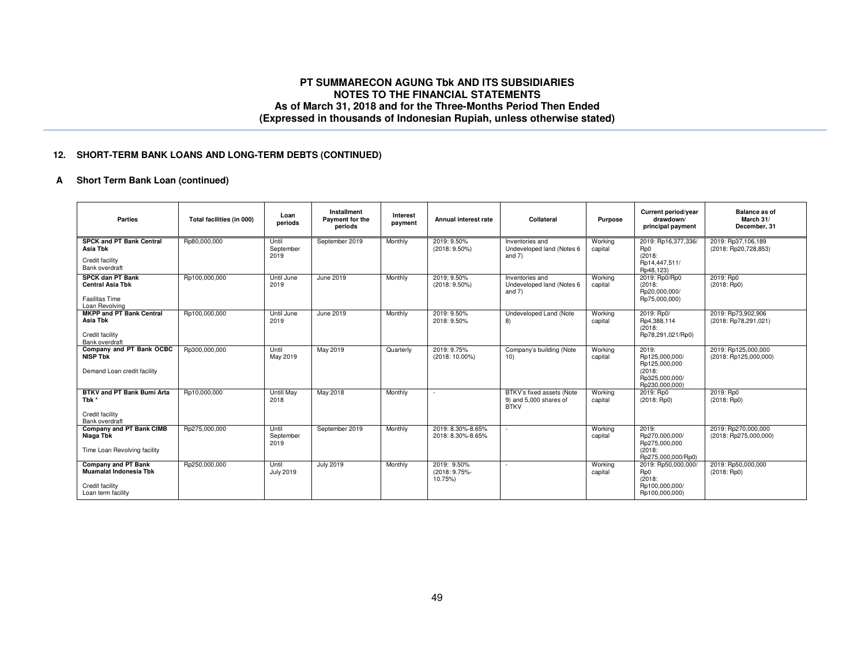### **12. SHORT-TERM BANK LOANS AND LONG-TERM DEBTS (CONTINUED)**

# **A Short Term Bank Loan (continued)**

| Parties                                                                                       | Total facilities (in 000) | Loan<br>periods            | Installment<br>Payment for the<br>periods | Interest<br>payment | Annual interest rate                    | Collateral                                                         | <b>Purpose</b>     | Current period/year<br>drawdown/<br>principal payment                                  | <b>Balance as of</b><br>March 31/<br>December, 31 |
|-----------------------------------------------------------------------------------------------|---------------------------|----------------------------|-------------------------------------------|---------------------|-----------------------------------------|--------------------------------------------------------------------|--------------------|----------------------------------------------------------------------------------------|---------------------------------------------------|
| <b>SPCK and PT Bank Central</b><br>Asia Tbk<br>Credit facility<br>Bank overdraft              | Rp80,000,000              | Until<br>September<br>2019 | September 2019                            | Monthly             | 2019: 9.50%<br>$(2018: 9.50\%)$         | Inventories and<br>Undeveloped land (Notes 6<br>and 7)             | Working<br>capital | 2019: Rp16,377,336/<br>Rp0<br>(2018)<br>Rp14,447,511/<br>Rp48,123)                     | 2019: Rp37,106,189<br>(2018: Rp20,728,853)        |
| <b>SPCK dan PT Bank</b><br><b>Central Asia Tbk</b><br><b>Fasilitas Time</b><br>Loan Revolving | Rp100,000,000             | Until June<br>2019         | <b>June 2019</b>                          | Monthly             | 2019: 9.50%<br>$(2018: 9.50\%)$         | Inventories and<br>Undeveloped land (Notes 6<br>and 7)             | Working<br>capital | 2019: Rp0/Rp0<br>(2018)<br>Rp20,000,000/<br>Rp75,000,000)                              | 2019: Rp0<br>(2018:Rp0)                           |
| <b>MKPP and PT Bank Central</b><br>Asia Tbk<br>Credit facility<br>Bank overdraft              | Rp100,000,000             | Until June<br>2019         | June 2019                                 | Monthly             | 2019: 9.50%<br>2018: 9.50%              | Undeveloped Land (Note<br>8)                                       | Working<br>capital | 2019: Rp0/<br>Rp4,388,114<br>(2018)<br>Rp78,291,021/Rp0)                               | 2019: Rp73,902,906<br>(2018: Rp78,291,021)        |
| Company and PT Bank OCBC<br><b>NISP Tbk</b><br>Demand Loan credit facility                    | Rp300,000,000             | Until<br>May 2019          | May 2019                                  | Quarterly           | 2019: 9.75%<br>(2018: 10.00%)           | Company's building (Note<br>10)                                    | Working<br>capital | 2019:<br>Rp125,000,000/<br>Rp125,000,000<br>(2018)<br>Rp325,000,000/<br>Rp230,000,000) | 2019: Rp125,000,000<br>(2018: Rp125,000,000)      |
| BTKV and PT Bank Bumi Arta<br>Tbk *<br>Credit facility<br>Bank overdraft                      | Rp10,000,000              | Untill May<br>2018         | May 2018                                  | Monthly             |                                         | BTKV's fixed assets (Note<br>9) and 5,000 shares of<br><b>BTKV</b> | Working<br>capital | 2019: Rp0<br>$(2018:$ Rp0)                                                             | 2019: Rp0<br>(2018:Rp0)                           |
| Company and PT Bank CIMB<br>Niaga Tbk<br>Time Loan Revolving facility                         | Rp275,000,000             | Until<br>September<br>2019 | September 2019                            | Monthly             | 2019: 8.30%-8.65%<br>2018: 8.30%-8.65%  | $\sim$                                                             | Working<br>capital | 2019:<br>Rp270,000,000/<br>Rp275,000,000<br>(2018)<br>Rp275.000.000/Rp0)               | 2019: Rp270,000,000<br>(2018: Rp275,000,000)      |
| Company and PT Bank<br>Muamalat Indonesia Tbk<br>Credit facility<br>Loan term facility        | Rp250,000,000             | Until<br><b>July 2019</b>  | <b>July 2019</b>                          | Monthly             | 2019: 9.50%<br>(2018: 9.75%-<br>10.75%) | $\sim$                                                             | Working<br>capital | 2019: Rp50,000,000/<br>Rp0<br>(2018)<br>Rp100.000.000/<br>Rp100,000,000)               | 2019: Rp50,000,000<br>$(2018:$ Rp0)               |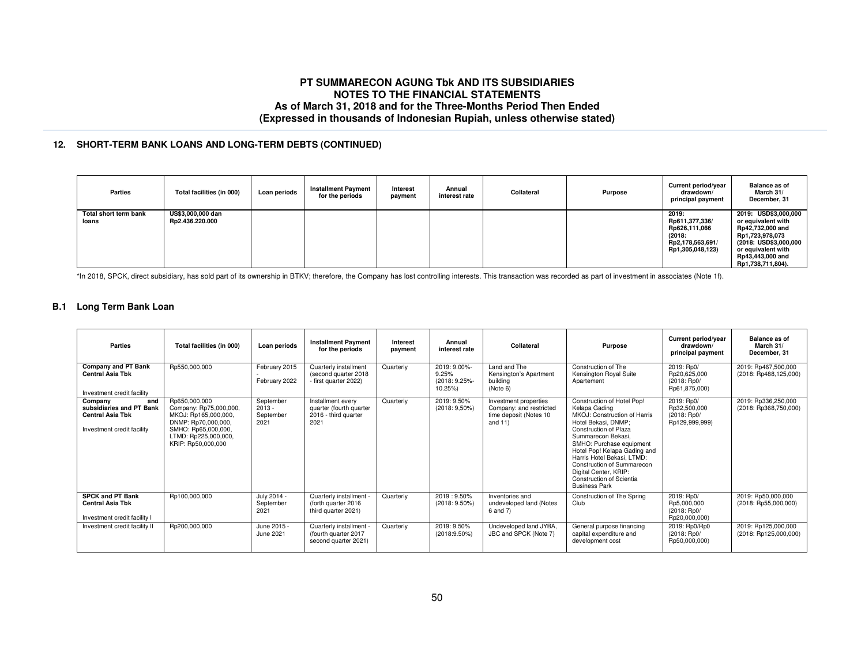### **12. SHORT-TERM BANK LOANS AND LONG-TERM DEBTS (CONTINUED)**

| <b>Parties</b>                 | Total facilities (in 000)            | Loan periods | <b>Installment Payment</b><br>for the periods | Interest<br>payment | Annual<br>interest rate | Collateral | Purpose | Current period/year<br>drawdown/<br>principal payment                                      | <b>Balance as of</b><br>March 31/<br>December, 31                                                                                                                         |
|--------------------------------|--------------------------------------|--------------|-----------------------------------------------|---------------------|-------------------------|------------|---------|--------------------------------------------------------------------------------------------|---------------------------------------------------------------------------------------------------------------------------------------------------------------------------|
| Total short term bank<br>loans | US\$3,000,000 dan<br>Rp2.436.220.000 |              |                                               |                     |                         |            |         | 2019:<br>Rp611,377,336/<br>Rp626,111,066<br>(2018:<br>Rp2,178,563,691/<br>Rp1,305,048,123) | 2019: USD\$3,000,000<br>or equivalent with<br>Rp42,732,000 and<br>Rp1,723,978,073<br>(2018: USD\$3,000,000<br>or equivalent with<br>Rp43.443.000 and<br>Rp1,738,711,804). |

\*In 2018, SPCK, direct subsidiary, has sold part of its ownership in BTKV; therefore, the Company has lost controlling interests. This transaction was recorded as part of investment in associates (Note 1f).

#### **B.1 Long Term Bank Loan**

| Parties                                                                                             | Total facilities (in 000)                                                                                                                                   | Loan periods                               | <b>Installment Payment</b><br>for the periods                                | Interest<br>payment | Annual<br>interest rate                           | Collateral                                                                               | <b>Purpose</b>                                                                                                                                                                                                                                                                                                                                         | <b>Current period/vear</b><br>drawdown/<br>principal payment | <b>Balance as of</b><br>March 31/<br>December, 31 |
|-----------------------------------------------------------------------------------------------------|-------------------------------------------------------------------------------------------------------------------------------------------------------------|--------------------------------------------|------------------------------------------------------------------------------|---------------------|---------------------------------------------------|------------------------------------------------------------------------------------------|--------------------------------------------------------------------------------------------------------------------------------------------------------------------------------------------------------------------------------------------------------------------------------------------------------------------------------------------------------|--------------------------------------------------------------|---------------------------------------------------|
| Company and PT Bank<br><b>Central Asia Tbk</b><br>Investment credit facility                        | Rp550,000,000                                                                                                                                               | February 2015<br>February 2022             | Quarterly installment<br>(second quarter 2018<br>- first quarter 2022)       | Quarterly           | 2019: 9.00%-<br>9.25%<br>(2018: 9.25%-<br>10.25%) | Land and The<br>Kensington's Apartment<br>buildina<br>(Note 6)                           | Construction of The<br>Kensington Royal Suite<br>Apartement                                                                                                                                                                                                                                                                                            | 2019: Rp0/<br>Rp20,625,000<br>(2018: Rp0/<br>Rp61,875,000)   | 2019: Rp467,500,000<br>(2018: Rp488,125,000)      |
| Company<br>and<br>subsidiaries and PT Bank<br><b>Central Asia Tbk</b><br>Investment credit facility | Rp650,000,000<br>Company: Rp75,000,000,<br>MKOJ: Rp165,000,000,<br>DNMP: Rp70,000,000,<br>SMHO: Rp65,000,000,<br>LTMD: Rp225,000,000,<br>KRIP: Rp50,000,000 | September<br>$2013 -$<br>September<br>2021 | Installment every<br>quarter (fourth quarter<br>2016 - third quarter<br>2021 | Quarterly           | 2019: 9.50%<br>$(2018:9,50\%)$                    | Investment properties<br>Company: and restricted<br>time deposit (Notes 10<br>and $11$ ) | Construction of Hotel Pop!<br>Kelapa Gading<br>MKOJ: Construction of Harris<br>Hotel Bekasi, DNMP:<br>Construction of Plaza<br>Summarecon Bekasi.<br>SMHO: Purchase equipment<br>Hotel Pop! Kelapa Gading and<br>Harris Hotel Bekasi, LTMD:<br>Construction of Summarecon<br>Digital Center, KRIP:<br>Construction of Scientia<br><b>Business Park</b> | 2019: Rp0/<br>Rp32.500.000<br>(2018: Rp0/<br>Rp129,999,999)  | 2019: Rp336,250,000<br>(2018: Rp368,750,000)      |
| <b>SPCK and PT Bank</b><br><b>Central Asia Tbk</b><br>Investment credit facility I                  | Rp100,000,000                                                                                                                                               | July 2014 -<br>September<br>2021           | Quarterly installment -<br>(forth quarter 2016)<br>third quarter 2021)       | Quarterly           | 2019: 9.50%<br>$(2018: 9.50\%)$                   | Inventories and<br>undeveloped land (Notes<br>6 and 7)                                   | Construction of The Spring<br>Club                                                                                                                                                                                                                                                                                                                     | 2019: Rp0/<br>Rp5,000,000<br>(2018: Rp0/<br>Rp20,000,000)    | 2019: Rp50,000,000<br>(2018: Rp55,000,000)        |
| Investment credit facility II                                                                       | Rp200,000,000                                                                                                                                               | June 2015 -<br>June 2021                   | Quarterly installment -<br>(fourth quarter 2017<br>second quarter 2021)      | Quarterly           | 2019: 9.50%<br>$(2018:9.50\%)$                    | Undeveloped land JYBA,<br>JBC and SPCK (Note 7)                                          | General purpose financing<br>capital expenditure and<br>development cost                                                                                                                                                                                                                                                                               | 2019: Rp0/Rp0<br>(2018: Rp0/<br>Rp50,000,000)                | 2019: Rp125,000,000<br>(2018: Rp125,000,000)      |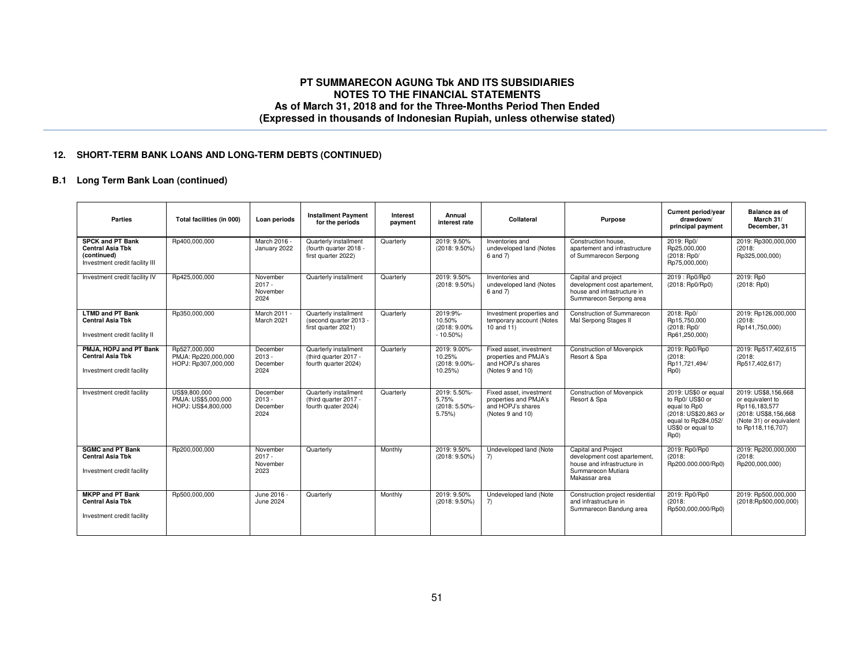### **12. SHORT-TERM BANK LOANS AND LONG-TERM DEBTS (CONTINUED)**

# **B.1 Long Term Bank Loan (continued)**

| <b>Parties</b>                                                                                      | Total facilities (in 000)                                   | Loan periods                             | <b>Installment Payment</b><br>for the periods                          | Interest<br>payment | Annual<br>interest rate                            | Collateral                                                                                | Purpose                                                                                                                   | Current period/year<br>drawdown/<br>principal payment                                                                                           | <b>Balance as of</b><br>March 31/<br>December, 31                                                                                 |
|-----------------------------------------------------------------------------------------------------|-------------------------------------------------------------|------------------------------------------|------------------------------------------------------------------------|---------------------|----------------------------------------------------|-------------------------------------------------------------------------------------------|---------------------------------------------------------------------------------------------------------------------------|-------------------------------------------------------------------------------------------------------------------------------------------------|-----------------------------------------------------------------------------------------------------------------------------------|
| <b>SPCK and PT Bank</b><br><b>Central Asia Tbk</b><br>(continued)<br>Investment credit facility III | Rp400,000,000                                               | March 2016 -<br>January 2022             | Quarterly installment<br>(fourth quarter 2018 -<br>first quarter 2022) | Quarterly           | 2019: 9.50%<br>$(2018: 9.50\%)$                    | Inventories and<br>undeveloped land (Notes<br>6 and 7)                                    | Construction house.<br>apartement and infrastructure<br>of Summarecon Serpong                                             | 2019: Rp0/<br>Rp25.000.000<br>(2018: Rp0/<br>Rp75,000,000)                                                                                      | 2019: Rp300,000,000<br>(2018)<br>Rp325,000,000)                                                                                   |
| Investment credit facility IV                                                                       | Rp425,000,000                                               | November<br>$2017 -$<br>November<br>2024 | Quarterly installment                                                  | Quarterly           | 2019: 9.50%<br>$(2018: 9.50\%)$                    | Inventories and<br>undeveloped land (Notes<br>6 and 7)                                    | Capital and project<br>development cost apartement,<br>house and infrastructure in<br>Summarecon Serpong area             | 2019: Rp0/Rp0<br>(2018:Rp0/Rp0)                                                                                                                 | 2019: Rp0<br>$(2018:$ Rp0)                                                                                                        |
| <b>LTMD and PT Bank</b><br><b>Central Asia Tbk</b><br>Investment credit facility II                 | Rp350,000,000                                               | March 2011 -<br>March 2021               | Quarterly installment<br>(second quarter 2013 -<br>first quarter 2021) | Quarterly           | 2019:9%-<br>10.50%<br>(2018: 9.00%)<br>$-10.50\%$  | Investment properties and<br>temporary account (Notes<br>10 and 11)                       | Construction of Summarecon<br>Mal Serpong Stages II                                                                       | 2018: Rp0/<br>Rp15.750.000<br>(2018: Rp0/<br>Rp61,250,000)                                                                                      | 2019: Rp126,000,000<br>(2018)<br>Rp141,750,000)                                                                                   |
| PMJA, HOPJ and PT Bank<br><b>Central Asia Tbk</b><br>Investment credit facility                     | Rp527.000.000<br>PMJA: Rp220,000,000<br>HOPJ: Rp307,000,000 | December<br>$2013 -$<br>December<br>2024 | Quarterly installment<br>(third quarter 2017 -<br>fourth quarter 2024) | Quarterly           | 2019: 9.00%-<br>10.25%<br>(2018: 9.00%-<br>10.25%) | Fixed asset, investment<br>properties and PMJA's<br>and HOPJ's shares<br>(Notes 9 and 10) | <b>Construction of Movenpick</b><br>Resort & Spa                                                                          | 2019: Rp0/Rp0<br>(2018)<br>Rp11,721,494/<br>Rp0)                                                                                                | 2019: Rp517,402,615<br>(2018)<br>Rp517,402,617)                                                                                   |
| Investment credit facility                                                                          | US\$9,800,000<br>PMJA: US\$5,000,000<br>HOPJ: US\$4,800,000 | December<br>$2013 -$<br>December<br>2024 | Quarterly installment<br>(third quarter 2017 -<br>fourth quater 2024)  | Quarterly           | 2019: 5.50%-<br>5.75%<br>(2018: 5.50%-<br>5.75%    | Fixed asset, investment<br>properties and PMJA's<br>and HOPJ's shares<br>(Notes 9 and 10) | <b>Construction of Movenpick</b><br>Resort & Spa                                                                          | 2019: US\$0 or equal<br>to Rp0/ US\$0 or<br>equal to Rp0<br>(2018: US\$20.863 or<br>equal to Rp284,052/<br>US\$0 or equal to<br>Rp <sub>0</sub> | 2019: US\$8.156.668<br>or equivalent to<br>Rp116.183.577<br>(2018: US\$8,156,668)<br>(Note 31) or equivalent<br>to Rp118,116,707) |
| <b>SGMC and PT Bank</b><br><b>Central Asia Tbk</b><br>Investment credit facility                    | Rp200,000,000                                               | November<br>$2017 -$<br>November<br>2023 | Quarterly                                                              | Monthly             | 2019: 9.50%<br>$(2018: 9.50\%)$                    | Undeveloped land (Note<br>7)                                                              | Capital and Project<br>development cost apartement.<br>house and infrastructure in<br>Summarecon Mutiara<br>Makassar area | 2019: Rp0/Rp0<br>(2018)<br>Rp200.000.000/Rp0)                                                                                                   | 2019: Rp200,000,000<br>(2018)<br>Rp200,000,000)                                                                                   |
| <b>MKPP and PT Bank</b><br><b>Central Asia Tbk</b><br>Investment credit facility                    | Rp500.000.000                                               | June 2016 -<br>June 2024                 | Quarterly                                                              | Monthly             | 2019: 9.50%<br>$(2018: 9.50\%)$                    | Undeveloped land (Note<br>7)                                                              | Construction project residential<br>and infrastructure in<br>Summarecon Bandung area                                      | 2019: Rp0/Rp0<br>(2018)<br>Rp500,000,000/Rp0)                                                                                                   | 2019: Rp500.000.000<br>(2018:Rp500,000,000)                                                                                       |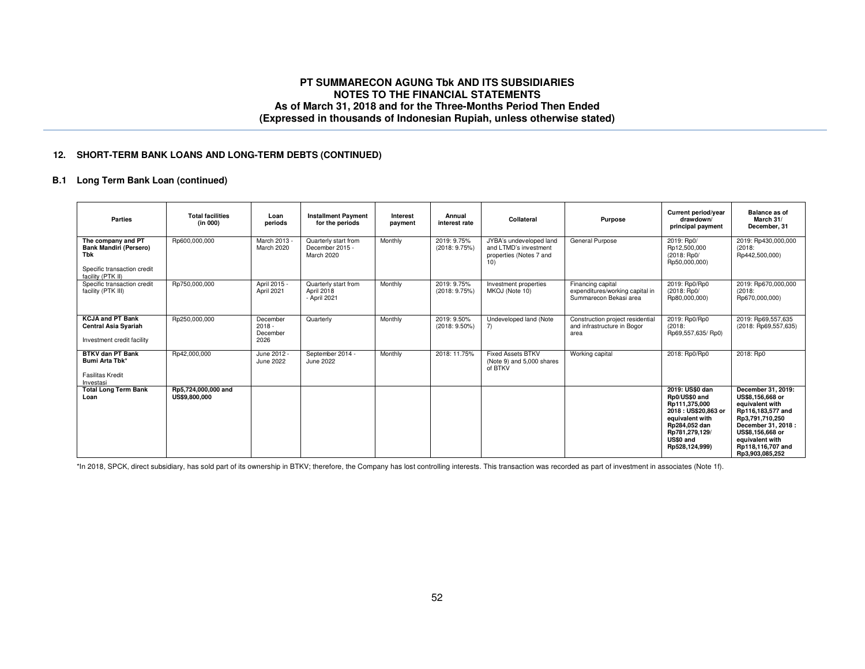### **12. SHORT-TERM BANK LOANS AND LONG-TERM DEBTS (CONTINUED)**

## **B.1 Long Term Bank Loan (continued)**

| <b>Parties</b>                                                                                                 | <b>Total facilities</b><br>(in 000)  | Loan<br>periods                          | <b>Installment Payment</b><br>for the periods         | Interest<br>payment | Annual<br>interest rate         | Collateral                                                                         | Purpose                                                                        | Current period/year<br>drawdown/<br>principal payment                                                                                                         | Balance as of<br>March 31/<br>December, 31                                                                                                                                                              |
|----------------------------------------------------------------------------------------------------------------|--------------------------------------|------------------------------------------|-------------------------------------------------------|---------------------|---------------------------------|------------------------------------------------------------------------------------|--------------------------------------------------------------------------------|---------------------------------------------------------------------------------------------------------------------------------------------------------------|---------------------------------------------------------------------------------------------------------------------------------------------------------------------------------------------------------|
| The company and PT<br><b>Bank Mandiri (Persero)</b><br>Tbk<br>Specific transaction credit<br>facility (PTK II) | Rp600,000,000                        | March 2013 -<br>March 2020               | Quarterly start from<br>December 2015 -<br>March 2020 | Monthly             | 2019: 9.75%<br>(2018: 9.75%)    | JYBA's undeveloped land<br>and LTMD's investment<br>properties (Notes 7 and<br>10) | General Purpose                                                                | 2019: Rp0/<br>Rp12,500,000<br>(2018: Rp0/<br>Rp50,000,000)                                                                                                    | 2019: Rp430,000,000<br>(2018)<br>Rp442,500,000)                                                                                                                                                         |
| Specific transaction credit<br>facility (PTK III)                                                              | Rp750,000,000                        | April 2015 -<br>April 2021               | Quarterly start from<br>April 2018<br>- April 2021    | Monthly             | 2019: 9.75%<br>(2018: 9.75%)    | Investment properties<br>MKOJ (Note 10)                                            | Financing capital<br>expenditures/working capital in<br>Summarecon Bekasi area | 2019: Rp0/Rp0<br>(2018: Rp0/<br>Rp80,000,000)                                                                                                                 | 2019: Rp670,000,000<br>(2018)<br>Rp670,000,000)                                                                                                                                                         |
| <b>KCJA and PT Bank</b><br><b>Central Asia Syariah</b><br>Investment credit facility                           | Rp250,000,000                        | December<br>$2018 -$<br>December<br>2026 | Quarterly                                             | Monthly             | 2019: 9.50%<br>$(2018: 9.50\%)$ | Undeveloped land (Note<br>$\overline{7}$                                           | Construction project residential<br>and infrastructure in Bogor<br>area        | 2019: Rp0/Rp0<br>(2018)<br>Rp69,557,635/Rp0)                                                                                                                  | 2019: Rp69,557,635<br>(2018: Rp69,557,635)                                                                                                                                                              |
| <b>BTKV dan PT Bank</b><br>Bumi Arta Tbk*<br><b>Fasilitas Kredit</b><br>Investasi                              | Rp42,000,000                         | June 2012 -<br>June 2022                 | September 2014 -<br>June 2022                         | Monthly             | 2018: 11.75%                    | <b>Fixed Assets BTKV</b><br>(Note 9) and 5,000 shares<br>of BTKV                   | Working capital                                                                | 2018: Rp0/Rp0                                                                                                                                                 | 2018: Rp0                                                                                                                                                                                               |
| <b>Total Long Term Bank</b><br>Loan                                                                            | Rp5,724,000,000 and<br>US\$9,800,000 |                                          |                                                       |                     |                                 |                                                                                    |                                                                                | 2019: US\$0 dan<br>Rp0/US\$0 and<br>Rp111.375.000<br>2018: US\$20,863 or<br>equivalent with<br>Rp284,052 dan<br>Rp781,279,129/<br>US\$0 and<br>Rp528,124,999) | December 31, 2019:<br>US\$8.156.668 or<br>equivalent with<br>Rp116,183,577 and<br>Rp3,791,710,250<br>December 31, 2018 :<br>US\$8,156,668 or<br>equivalent with<br>Rp118.116.707 and<br>Rp3.903.085.252 |

\*In 2018, SPCK, direct subsidiary, has sold part of its ownership in BTKV; therefore, the Company has lost controlling interests. This transaction was recorded as part of investment in associates (Note 1f).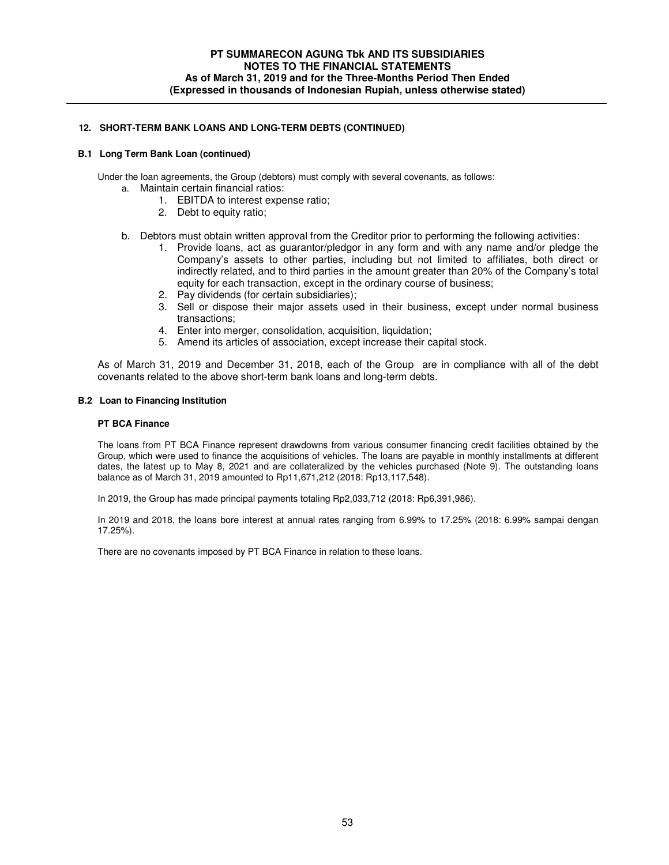### **12. SHORT-TERM BANK LOANS AND LONG-TERM DEBTS (CONTINUED)**

#### **B.1 Long Term Bank Loan (continued)**

Under the loan agreements, the Group (debtors) must comply with several covenants, as follows:

- a. Maintain certain financial ratios:
	- 1. EBITDA to interest expense ratio;
	- 2. Debt to equity ratio;
- b. Debtors must obtain written approval from the Creditor prior to performing the following activities:
	- 1. Provide loans, act as guarantor/pledgor in any form and with any name and/or pledge the Company's assets to other parties, including but not limited to affiliates, both direct or indirectly related, and to third parties in the amount greater than 20% of the Company's total equity for each transaction, except in the ordinary course of business;
	- 2. Pay dividends (for certain subsidiaries);
	- 3. Sell or dispose their major assets used in their business, except under normal business transactions;
	- 4. Enter into merger, consolidation, acquisition, liquidation;
	- 5. Amend its articles of association, except increase their capital stock.

As of March 31, 2019 and December 31, 2018, each of the Group are in compliance with all of the debt covenants related to the above short-term bank loans and long-term debts.

### **B.2 Loan to Financing Institution**

#### **PT BCA Finance**

The loans from PT BCA Finance represent drawdowns from various consumer financing credit facilities obtained by the Group, which were used to finance the acquisitions of vehicles. The loans are payable in monthly installments at different dates, the latest up to May 8, 2021 and are collateralized by the vehicles purchased (Note 9). The outstanding loans balance as of March 31, 2019 amounted to Rp11,671,212 (2018: Rp13,117,548).

In 2019, the Group has made principal payments totaling Rp2,033,712 (2018: Rp6,391,986).

In 2019 and 2018, the loans bore interest at annual rates ranging from 6.99% to 17.25% (2018: 6.99% sampai dengan 17.25%).

There are no covenants imposed by PT BCA Finance in relation to these loans.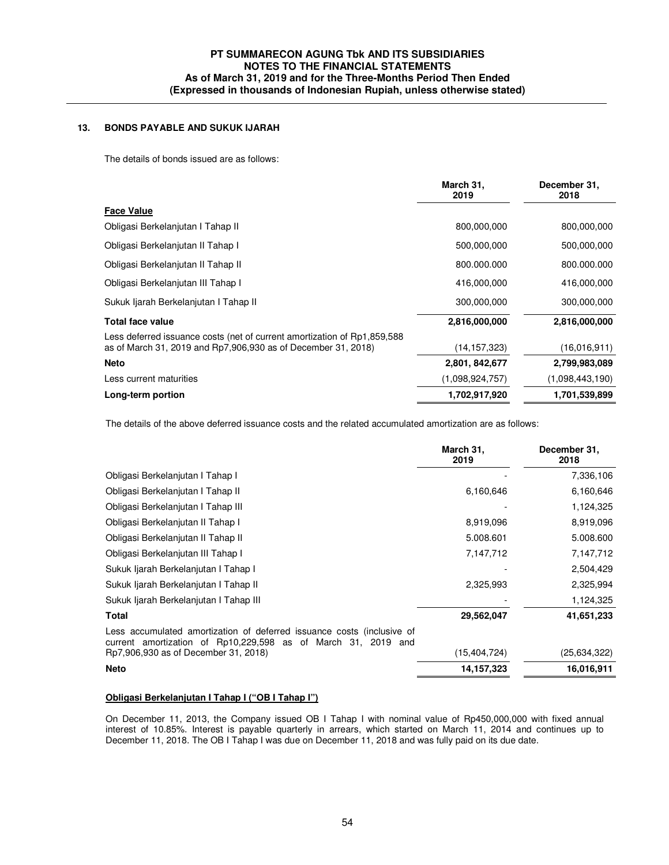# **13. BONDS PAYABLE AND SUKUK IJARAH**

The details of bonds issued are as follows:

|                                                                                                                                            | March 31,<br>2019 | December 31,<br>2018 |
|--------------------------------------------------------------------------------------------------------------------------------------------|-------------------|----------------------|
| <b>Face Value</b>                                                                                                                          |                   |                      |
| Obligasi Berkelanjutan I Tahap II                                                                                                          | 800,000,000       | 800,000,000          |
| Obligasi Berkelanjutan II Tahap I                                                                                                          | 500,000,000       | 500,000,000          |
| Obligasi Berkelanjutan II Tahap II                                                                                                         | 800.000.000       | 800.000.000          |
| Obligasi Berkelanjutan III Tahap I                                                                                                         | 416,000,000       | 416,000,000          |
| Sukuk ljarah Berkelanjutan I Tahap II                                                                                                      | 300,000,000       | 300,000,000          |
| <b>Total face value</b>                                                                                                                    | 2,816,000,000     | 2,816,000,000        |
| Less deferred issuance costs (net of current amortization of Rp1,859,588)<br>as of March 31, 2019 and Rp7,906,930 as of December 31, 2018) | (14, 157, 323)    | (16,016,911)         |
| <b>Neto</b>                                                                                                                                | 2,801, 842,677    | 2,799,983,089        |
| Less current maturities                                                                                                                    | (1,098,924,757)   | (1,098,443,190)      |
| Long-term portion                                                                                                                          | 1,702,917,920     | 1,701,539,899        |

The details of the above deferred issuance costs and the related accumulated amortization are as follows:

|                                                                                                                                         | March 31,<br>2019 | December 31,<br>2018 |
|-----------------------------------------------------------------------------------------------------------------------------------------|-------------------|----------------------|
| Obligasi Berkelanjutan I Tahap I                                                                                                        |                   | 7,336,106            |
| Obligasi Berkelanjutan I Tahap II                                                                                                       | 6,160,646         | 6,160,646            |
| Obligasi Berkelanjutan I Tahap III                                                                                                      |                   | 1,124,325            |
| Obligasi Berkelanjutan II Tahap I                                                                                                       | 8,919,096         | 8,919,096            |
| Obligasi Berkelanjutan II Tahap II                                                                                                      | 5.008.601         | 5.008.600            |
| Obligasi Berkelanjutan III Tahap I                                                                                                      | 7,147,712         | 7,147,712            |
| Sukuk Ijarah Berkelanjutan I Tahap I                                                                                                    |                   | 2,504,429            |
| Sukuk Ijarah Berkelanjutan I Tahap II                                                                                                   | 2,325,993         | 2,325,994            |
| Sukuk Ijarah Berkelanjutan I Tahap III                                                                                                  |                   | 1,124,325            |
| Total                                                                                                                                   | 29,562,047        | 41,651,233           |
| Less accumulated amortization of deferred issuance costs (inclusive of<br>current amortization of Rp10,229,598 as of March 31, 2019 and |                   |                      |
| Rp7,906,930 as of December 31, 2018)                                                                                                    | (15, 404, 724)    | (25, 634, 322)       |
| <b>Neto</b>                                                                                                                             | 14, 157, 323      | 16,016,911           |

#### **Obligasi Berkelanjutan I Tahap I ("OB I Tahap I")**

On December 11, 2013, the Company issued OB I Tahap I with nominal value of Rp450,000,000 with fixed annual interest of 10.85%. Interest is payable quarterly in arrears, which started on March 11, 2014 and continues up to December 11, 2018. The OB I Tahap I was due on December 11, 2018 and was fully paid on its due date.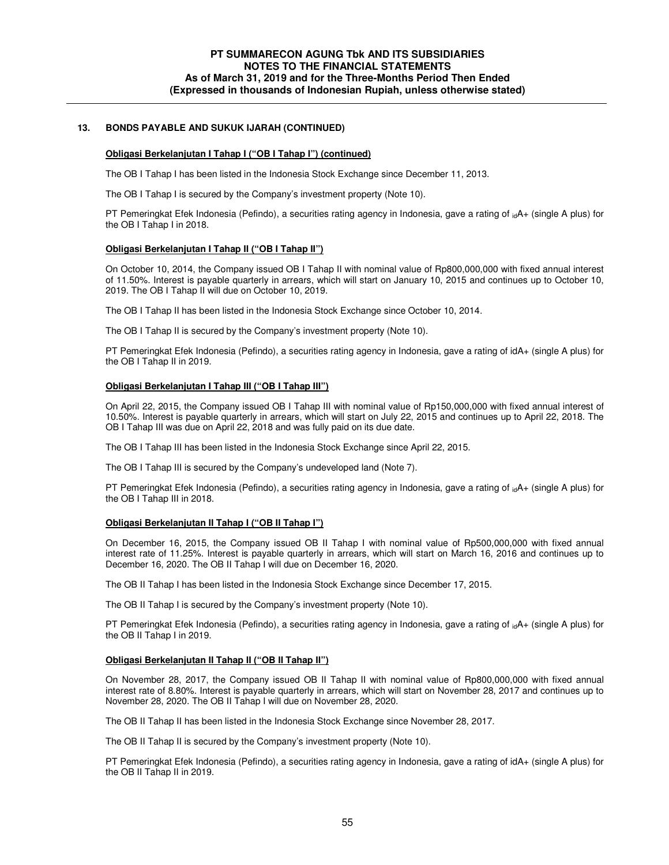### **13. BONDS PAYABLE AND SUKUK IJARAH (CONTINUED)**

#### **Obligasi Berkelanjutan I Tahap I ("OB I Tahap I") (continued)**

The OB I Tahap I has been listed in the Indonesia Stock Exchange since December 11, 2013.

The OB I Tahap I is secured by the Company's investment property (Note 10).

PT Pemeringkat Efek Indonesia (Pefindo), a securities rating agency in Indonesia, gave a rating of  $_{id}A_{+}$  (single A plus) for the OB I Tahap I in 2018.

### **Obligasi Berkelanjutan I Tahap II ("OB I Tahap II")**

On October 10, 2014, the Company issued OB I Tahap II with nominal value of Rp800,000,000 with fixed annual interest of 11.50%. Interest is payable quarterly in arrears, which will start on January 10, 2015 and continues up to October 10, 2019. The OB I Tahap II will due on October 10, 2019.

The OB I Tahap II has been listed in the Indonesia Stock Exchange since October 10, 2014.

The OB I Tahap II is secured by the Company's investment property (Note 10).

PT Pemeringkat Efek Indonesia (Pefindo), a securities rating agency in Indonesia, gave a rating of idA+ (single A plus) for the OB I Tahap II in 2019.

#### **Obligasi Berkelanjutan I Tahap III ("OB I Tahap III")**

On April 22, 2015, the Company issued OB I Tahap III with nominal value of Rp150,000,000 with fixed annual interest of 10.50%. Interest is payable quarterly in arrears, which will start on July 22, 2015 and continues up to April 22, 2018. The OB I Tahap III was due on April 22, 2018 and was fully paid on its due date.

The OB I Tahap III has been listed in the Indonesia Stock Exchange since April 22, 2015.

The OB I Tahap III is secured by the Company's undeveloped land (Note 7).

PT Pemeringkat Efek Indonesia (Pefindo), a securities rating agency in Indonesia, gave a rating of  $_{id}A+$  (single A plus) for the OB I Tahap III in 2018.

#### **Obligasi Berkelanjutan II Tahap I ("OB II Tahap I")**

On December 16, 2015, the Company issued OB II Tahap I with nominal value of Rp500,000,000 with fixed annual interest rate of 11.25%. Interest is payable quarterly in arrears, which will start on March 16, 2016 and continues up to December 16, 2020. The OB II Tahap I will due on December 16, 2020.

The OB II Tahap I has been listed in the Indonesia Stock Exchange since December 17, 2015.

The OB II Tahap I is secured by the Company's investment property (Note 10).

PT Pemeringkat Efek Indonesia (Pefindo), a securities rating agency in Indonesia, gave a rating of  $_{id}A$ + (single A plus) for the OB II Tahap I in 2019.

#### **Obligasi Berkelanjutan II Tahap II ("OB II Tahap II")**

On November 28, 2017, the Company issued OB II Tahap II with nominal value of Rp800,000,000 with fixed annual interest rate of 8.80%. Interest is payable quarterly in arrears, which will start on November 28, 2017 and continues up to November 28, 2020. The OB II Tahap I will due on November 28, 2020.

The OB II Tahap II has been listed in the Indonesia Stock Exchange since November 28, 2017.

The OB II Tahap II is secured by the Company's investment property (Note 10).

PT Pemeringkat Efek Indonesia (Pefindo), a securities rating agency in Indonesia, gave a rating of idA+ (single A plus) for the OB II Tahap II in 2019.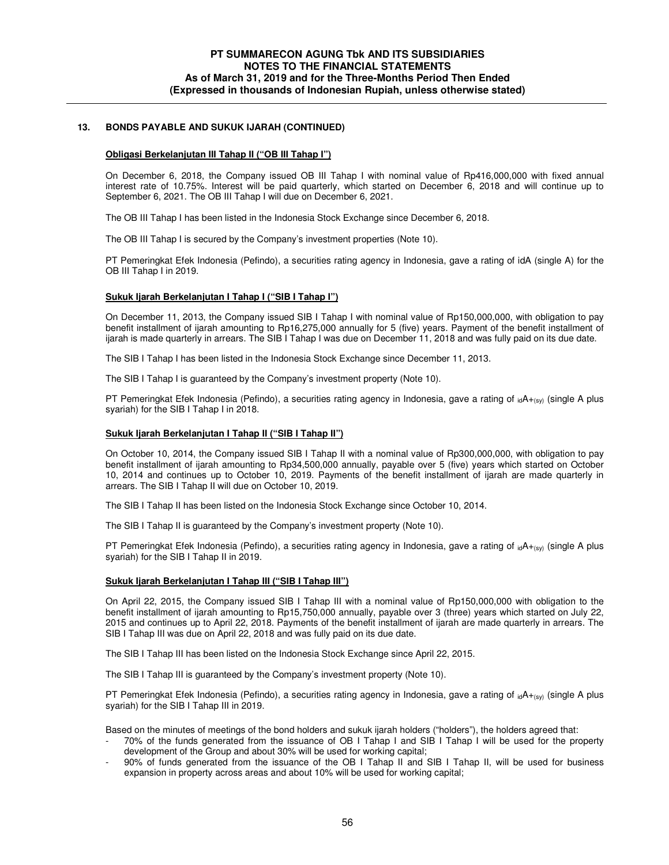### **13. BONDS PAYABLE AND SUKUK IJARAH (CONTINUED)**

#### **Obligasi Berkelanjutan III Tahap II ("OB III Tahap I")**

On December 6, 2018, the Company issued OB III Tahap I with nominal value of Rp416,000,000 with fixed annual interest rate of 10.75%. Interest will be paid quarterly, which started on December 6, 2018 and will continue up to September 6, 2021. The OB III Tahap I will due on December 6, 2021.

The OB III Tahap I has been listed in the Indonesia Stock Exchange since December 6, 2018.

The OB III Tahap I is secured by the Company's investment properties (Note 10).

PT Pemeringkat Efek Indonesia (Pefindo), a securities rating agency in Indonesia, gave a rating of idA (single A) for the OB III Tahap I in 2019.

#### **Sukuk Ijarah Berkelanjutan I Tahap I ("SIB I Tahap I")**

On December 11, 2013, the Company issued SIB I Tahap I with nominal value of Rp150,000,000, with obligation to pay benefit installment of ijarah amounting to Rp16,275,000 annually for 5 (five) years. Payment of the benefit installment of ijarah is made quarterly in arrears. The SIB I Tahap I was due on December 11, 2018 and was fully paid on its due date.

The SIB I Tahap I has been listed in the Indonesia Stock Exchange since December 11, 2013.

The SIB I Tahap I is guaranteed by the Company's investment property (Note 10).

PT Pemeringkat Efek Indonesia (Pefindo), a securities rating agency in Indonesia, gave a rating of  $_{id}A_{+(s)}$  (single A plus syariah) for the SIB I Tahap I in 2018.

#### **Sukuk Ijarah Berkelanjutan I Tahap II ("SIB I Tahap II")**

On October 10, 2014, the Company issued SIB I Tahap II with a nominal value of Rp300,000,000, with obligation to pay benefit installment of ijarah amounting to Rp34,500,000 annually, payable over 5 (five) years which started on October 10, 2014 and continues up to October 10, 2019. Payments of the benefit installment of ijarah are made quarterly in arrears. The SIB I Tahap II will due on October 10, 2019.

The SIB I Tahap II has been listed on the Indonesia Stock Exchange since October 10, 2014.

The SIB I Tahap II is guaranteed by the Company's investment property (Note 10).

PT Pemeringkat Efek Indonesia (Pefindo), a securities rating agency in Indonesia, gave a rating of  $_{id}A_{+(sy)}$  (single A plus syariah) for the SIB I Tahap II in 2019.

### **Sukuk Ijarah Berkelanjutan I Tahap III ("SIB I Tahap III")**

On April 22, 2015, the Company issued SIB I Tahap III with a nominal value of Rp150,000,000 with obligation to the benefit installment of ijarah amounting to Rp15,750,000 annually, payable over 3 (three) years which started on July 22, 2015 and continues up to April 22, 2018. Payments of the benefit installment of ijarah are made quarterly in arrears. The SIB I Tahap III was due on April 22, 2018 and was fully paid on its due date.

The SIB I Tahap III has been listed on the Indonesia Stock Exchange since April 22, 2015.

The SIB I Tahap III is guaranteed by the Company's investment property (Note 10).

PT Pemeringkat Efek Indonesia (Pefindo), a securities rating agency in Indonesia, gave a rating of  $_{id}A_{+(sy)}$  (single A plus syariah) for the SIB I Tahap III in 2019.

Based on the minutes of meetings of the bond holders and sukuk ijarah holders ("holders"), the holders agreed that:

- 70% of the funds generated from the issuance of OB I Tahap I and SIB I Tahap I will be used for the property development of the Group and about 30% will be used for working capital;
- 90% of funds generated from the issuance of the OB I Tahap II and SIB I Tahap II, will be used for business expansion in property across areas and about 10% will be used for working capital;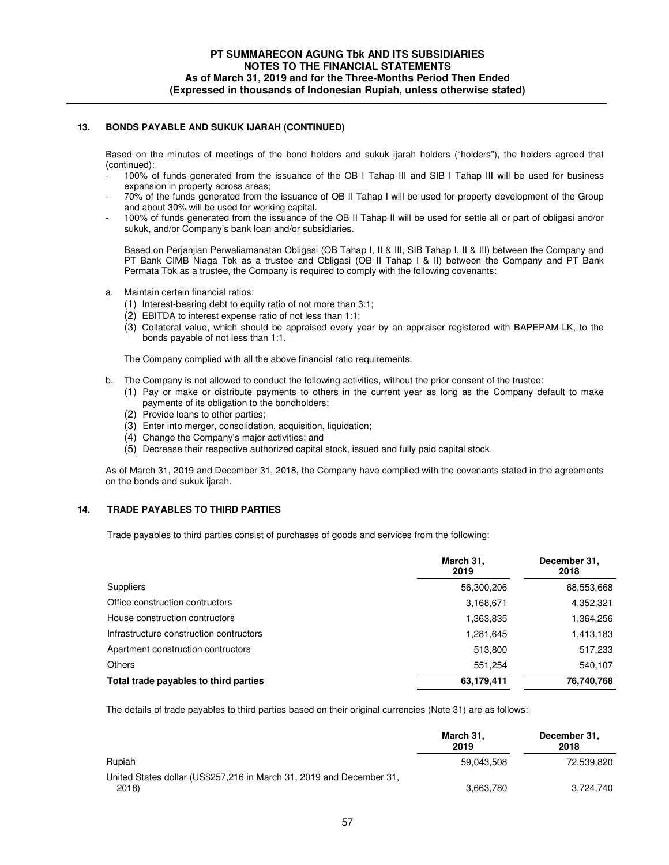### **13. BONDS PAYABLE AND SUKUK IJARAH (CONTINUED)**

Based on the minutes of meetings of the bond holders and sukuk ijarah holders ("holders"), the holders agreed that (continued):

- 100% of funds generated from the issuance of the OB I Tahap III and SIB I Tahap III will be used for business expansion in property across areas;
- 70% of the funds generated from the issuance of OB II Tahap I will be used for property development of the Group and about 30% will be used for working capital.
- 100% of funds generated from the issuance of the OB II Tahap II will be used for settle all or part of obligasi and/or sukuk, and/or Company's bank loan and/or subsidiaries.

Based on Perjanjian Perwaliamanatan Obligasi (OB Tahap I, II & III, SIB Tahap I, II & III) between the Company and PT Bank CIMB Niaga Tbk as a trustee and Obligasi (OB II Tahap I & II) between the Company and PT Bank Permata Tbk as a trustee, the Company is required to comply with the following covenants:

- a. Maintain certain financial ratios:
	- (1) Interest-bearing debt to equity ratio of not more than 3:1;
	- (2) EBITDA to interest expense ratio of not less than 1:1;
	- (3) Collateral value, which should be appraised every year by an appraiser registered with BAPEPAM-LK, to the bonds payable of not less than 1:1.

The Company complied with all the above financial ratio requirements.

- b. The Company is not allowed to conduct the following activities, without the prior consent of the trustee:
	- (1) Pay or make or distribute payments to others in the current year as long as the Company default to make payments of its obligation to the bondholders;
	- (2) Provide loans to other parties;
	- (3) Enter into merger, consolidation, acquisition, liquidation;
	- (4) Change the Company's major activities; and
	- (5) Decrease their respective authorized capital stock, issued and fully paid capital stock.

As of March 31, 2019 and December 31, 2018, the Company have complied with the covenants stated in the agreements on the bonds and sukuk ijarah.

### **14. TRADE PAYABLES TO THIRD PARTIES**

Trade payables to third parties consist of purchases of goods and services from the following:

|                                         | March 31,<br>2019 | December 31,<br>2018 |
|-----------------------------------------|-------------------|----------------------|
| <b>Suppliers</b>                        | 56,300,206        | 68,553,668           |
| Office construction contructors         | 3,168,671         | 4,352,321            |
| House construction contructors          | 1,363,835         | 1,364,256            |
| Infrastructure construction contructors | 1,281,645         | 1,413,183            |
| Apartment construction contructors      | 513.800           | 517,233              |
| <b>Others</b>                           | 551.254           | 540,107              |
| Total trade payables to third parties   | 63,179,411        | 76,740,768           |

The details of trade payables to third parties based on their original currencies (Note 31) are as follows:

|                                                                              | March 31,<br>2019 | December 31,<br>2018 |
|------------------------------------------------------------------------------|-------------------|----------------------|
| Rupiah                                                                       | 59.043.508        | 72.539.820           |
| United States dollar (US\$257,216 in March 31, 2019 and December 31,<br>2018 | 3,663,780         | 3.724.740            |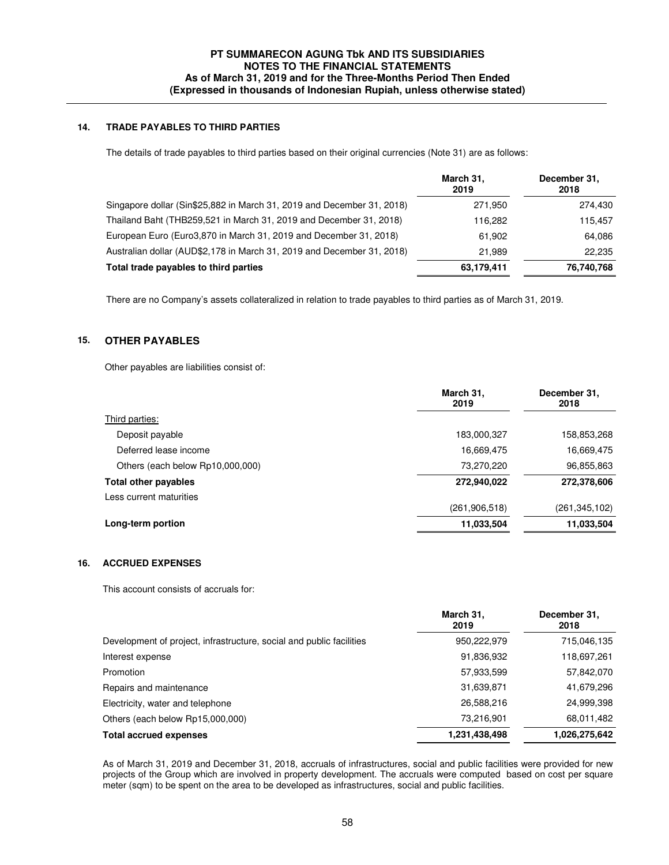## **14. TRADE PAYABLES TO THIRD PARTIES**

The details of trade payables to third parties based on their original currencies (Note 31) are as follows:

|                                                                        | March 31,<br>2019 | December 31,<br>2018 |
|------------------------------------------------------------------------|-------------------|----------------------|
| Singapore dollar (Sin\$25,882 in March 31, 2019 and December 31, 2018) | 271,950           | 274,430              |
| Thailand Baht (THB259,521 in March 31, 2019 and December 31, 2018)     | 116.282           | 115.457              |
| European Euro (Euro3,870 in March 31, 2019 and December 31, 2018)      | 61.902            | 64.086               |
| Australian dollar (AUD\$2,178 in March 31, 2019 and December 31, 2018) | 21.989            | 22.235               |
| Total trade payables to third parties                                  | 63,179,411        | 76,740,768           |

There are no Company's assets collateralized in relation to trade payables to third parties as of March 31, 2019.

## **15. OTHER PAYABLES**

Other payables are liabilities consist of:

| March 31,<br>2019 | December 31,<br>2018 |
|-------------------|----------------------|
|                   |                      |
| 183,000,327       | 158,853,268          |
| 16,669,475        | 16,669,475           |
| 73,270,220        | 96,855,863           |
| 272,940,022       | 272,378,606          |
|                   |                      |
| (261,906,518)     | (261,345,102)        |
| 11,033,504        | 11,033,504           |
|                   |                      |

## **16. ACCRUED EXPENSES**

This account consists of accruals for:

| March 31,<br>2019 | December 31,<br>2018 |
|-------------------|----------------------|
| 950,222,979       | 715,046,135          |
| 91,836,932        | 118,697,261          |
| 57,933,599        | 57,842,070           |
| 31,639,871        | 41,679,296           |
| 26,588,216        | 24,999,398           |
| 73,216,901        | 68,011,482           |
| 1,231,438,498     | 1,026,275,642        |
|                   |                      |

 As of March 31, 2019 and December 31, 2018, accruals of infrastructures, social and public facilities were provided for new projects of the Group which are involved in property development. The accruals were computed based on cost per square meter (sqm) to be spent on the area to be developed as infrastructures, social and public facilities.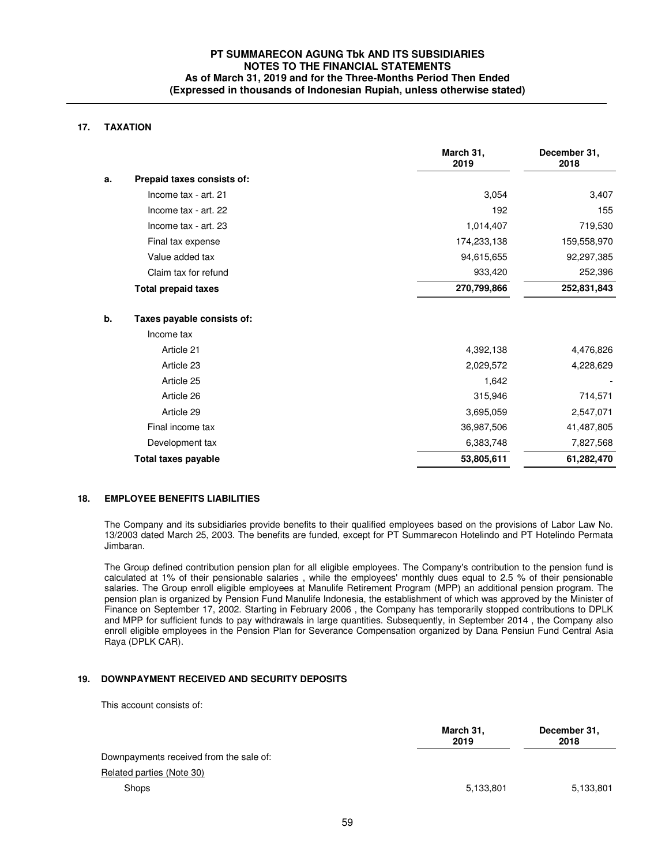## **17. TAXATION**

|    |                            | March 31,<br>2019 | December 31,<br>2018 |
|----|----------------------------|-------------------|----------------------|
| a. | Prepaid taxes consists of: |                   |                      |
|    | Income tax - art. 21       | 3,054             | 3,407                |
|    | Income tax - art. 22       | 192               | 155                  |
|    | Income tax - art. 23       | 1,014,407         | 719,530              |
|    | Final tax expense          | 174,233,138       | 159,558,970          |
|    | Value added tax            | 94,615,655        | 92,297,385           |
|    | Claim tax for refund       | 933,420           | 252,396              |
|    | <b>Total prepaid taxes</b> | 270,799,866       | 252,831,843          |
| b. | Taxes payable consists of: |                   |                      |
|    | Income tax                 |                   |                      |
|    | Article 21                 | 4,392,138         | 4,476,826            |
|    | Article 23                 | 2,029,572         | 4,228,629            |
|    | Article 25                 | 1,642             |                      |
|    | Article 26                 | 315,946           | 714,571              |
|    | Article 29                 | 3,695,059         | 2,547,071            |
|    | Final income tax           | 36,987,506        | 41,487,805           |
|    | Development tax            | 6,383,748         | 7,827,568            |
|    | <b>Total taxes payable</b> | 53,805,611        | 61,282,470           |

#### **18. EMPLOYEE BENEFITS LIABILITIES**

 The Company and its subsidiaries provide benefits to their qualified employees based on the provisions of Labor Law No. 13/2003 dated March 25, 2003. The benefits are funded, except for PT Summarecon Hotelindo and PT Hotelindo Permata Jimbaran.

The Group defined contribution pension plan for all eligible employees. The Company's contribution to the pension fund is calculated at 1% of their pensionable salaries , while the employees' monthly dues equal to 2.5 % of their pensionable salaries. The Group enroll eligible employees at Manulife Retirement Program (MPP) an additional pension program. The pension plan is organized by Pension Fund Manulife Indonesia, the establishment of which was approved by the Minister of Finance on September 17, 2002. Starting in February 2006 , the Company has temporarily stopped contributions to DPLK and MPP for sufficient funds to pay withdrawals in large quantities. Subsequently, in September 2014 , the Company also enroll eligible employees in the Pension Plan for Severance Compensation organized by Dana Pensiun Fund Central Asia Raya (DPLK CAR).

## **19. DOWNPAYMENT RECEIVED AND SECURITY DEPOSITS**

This account consists of:

|                                         | March 31,<br>2019 | December 31,<br>2018 |
|-----------------------------------------|-------------------|----------------------|
| Downpayments received from the sale of: |                   |                      |
| Related parties (Note 30)               |                   |                      |
| <b>Shops</b>                            | 5,133,801         | 5,133,801            |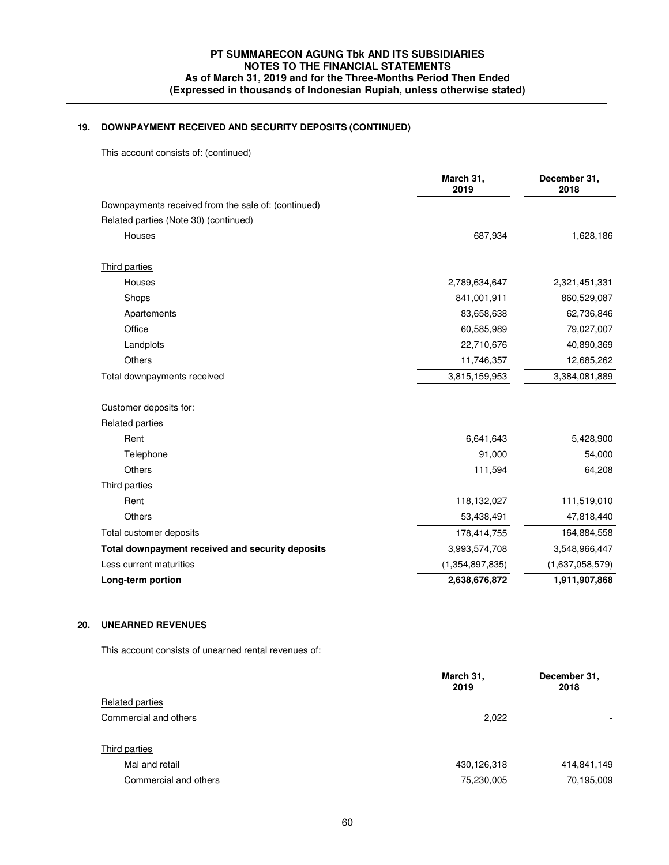# **19. DOWNPAYMENT RECEIVED AND SECURITY DEPOSITS (CONTINUED)**

This account consists of: (continued)

|                                                     | March 31,<br>2019 | December 31,<br>2018 |
|-----------------------------------------------------|-------------------|----------------------|
| Downpayments received from the sale of: (continued) |                   |                      |
| Related parties (Note 30) (continued)               |                   |                      |
| Houses                                              | 687,934           | 1,628,186            |
| Third parties                                       |                   |                      |
| Houses                                              | 2,789,634,647     | 2,321,451,331        |
| Shops                                               | 841,001,911       | 860,529,087          |
| Apartements                                         | 83,658,638        | 62,736,846           |
| Office                                              | 60,585,989        | 79,027,007           |
| Landplots                                           | 22,710,676        | 40,890,369           |
| Others                                              | 11,746,357        | 12,685,262           |
| Total downpayments received                         | 3,815,159,953     | 3,384,081,889        |
| Customer deposits for:                              |                   |                      |
| <b>Related parties</b>                              |                   |                      |
| Rent                                                | 6,641,643         | 5,428,900            |
| Telephone                                           | 91,000            | 54,000               |
| <b>Others</b>                                       | 111,594           | 64,208               |
| Third parties                                       |                   |                      |
| Rent                                                | 118,132,027       | 111,519,010          |
| <b>Others</b>                                       | 53,438,491        | 47,818,440           |
| Total customer deposits                             | 178,414,755       | 164,884,558          |
| Total downpayment received and security deposits    | 3,993,574,708     | 3,548,966,447        |
| Less current maturities                             | (1,354,897,835)   | (1,637,058,579)      |
| Long-term portion                                   | 2,638,676,872     | 1,911,907,868        |

# **20. UNEARNED REVENUES**

This account consists of unearned rental revenues of:

|                       | March 31,<br>2019 | December 31,<br>2018     |
|-----------------------|-------------------|--------------------------|
| Related parties       |                   |                          |
| Commercial and others | 2,022             | $\overline{\phantom{0}}$ |
| Third parties         |                   |                          |
| Mal and retail        | 430,126,318       | 414,841,149              |
| Commercial and others | 75,230,005        | 70,195,009               |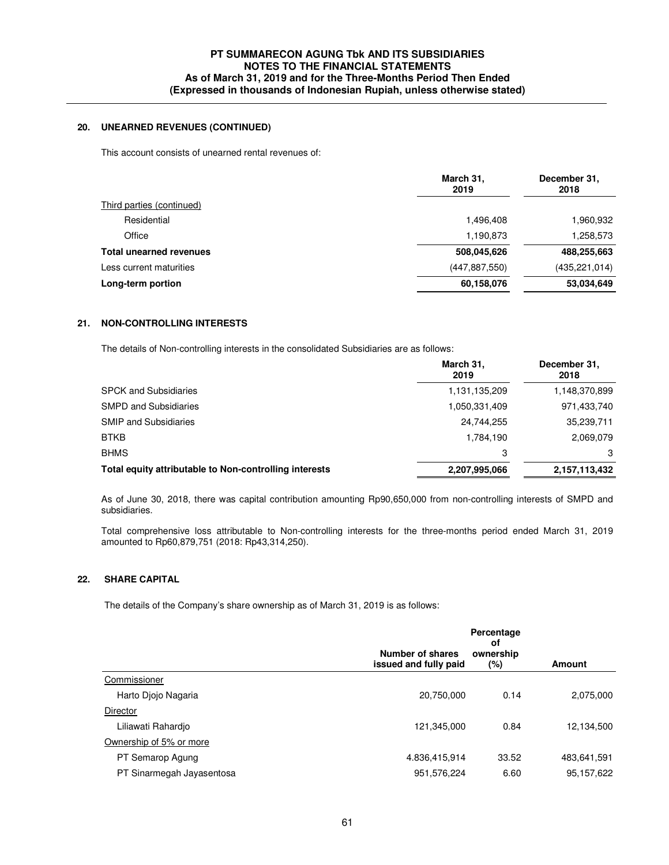## **20. UNEARNED REVENUES (CONTINUED)**

This account consists of unearned rental revenues of:

|                                | March 31,<br>2019 | December 31,<br>2018 |
|--------------------------------|-------------------|----------------------|
| Third parties (continued)      |                   |                      |
| Residential                    | 1,496,408         | 1,960,932            |
| Office                         | 1,190,873         | 1,258,573            |
| <b>Total unearned revenues</b> | 508,045,626       | 488,255,663          |
| Less current maturities        | (447, 887, 550)   | (435, 221, 014)      |
| Long-term portion              | 60,158,076        | 53.034,649           |

## **21. NON-CONTROLLING INTERESTS**

The details of Non-controlling interests in the consolidated Subsidiaries are as follows:

|                                                        | March 31,<br>2019 | December 31,<br>2018 |
|--------------------------------------------------------|-------------------|----------------------|
| <b>SPCK and Subsidiaries</b>                           | 1,131,135,209     | 1,148,370,899        |
| <b>SMPD and Subsidiaries</b>                           | 1,050,331,409     | 971,433,740          |
| <b>SMIP and Subsidiaries</b>                           | 24,744,255        | 35,239,711           |
| <b>BTKB</b>                                            | 1,784,190         | 2,069,079            |
| <b>BHMS</b>                                            | 3                 | 3                    |
| Total equity attributable to Non-controlling interests | 2,207,995,066     | 2,157,113,432        |

 As of June 30, 2018, there was capital contribution amounting Rp90,650,000 from non-controlling interests of SMPD and subsidiaries.

Total comprehensive loss attributable to Non-controlling interests for the three-months period ended March 31, 2019 amounted to Rp60,879,751 (2018: Rp43,314,250).

### **22. SHARE CAPITAL**

The details of the Company's share ownership as of March 31, 2019 is as follows:

|                           | Number of shares<br>issued and fully paid | Percentage<br>οf<br>ownership | <b>Amount</b> |
|---------------------------|-------------------------------------------|-------------------------------|---------------|
| Commissioner              |                                           | (%)                           |               |
| Harto Diojo Nagaria       | 20,750,000                                | 0.14                          | 2,075,000     |
| Director                  |                                           |                               |               |
| Liliawati Rahardjo        | 121,345,000                               | 0.84                          | 12,134,500    |
| Ownership of 5% or more   |                                           |                               |               |
| PT Semarop Agung          | 4.836,415,914                             | 33.52                         | 483,641,591   |
| PT Sinarmegah Jayasentosa | 951,576,224                               | 6.60                          | 95,157,622    |
|                           |                                           |                               |               |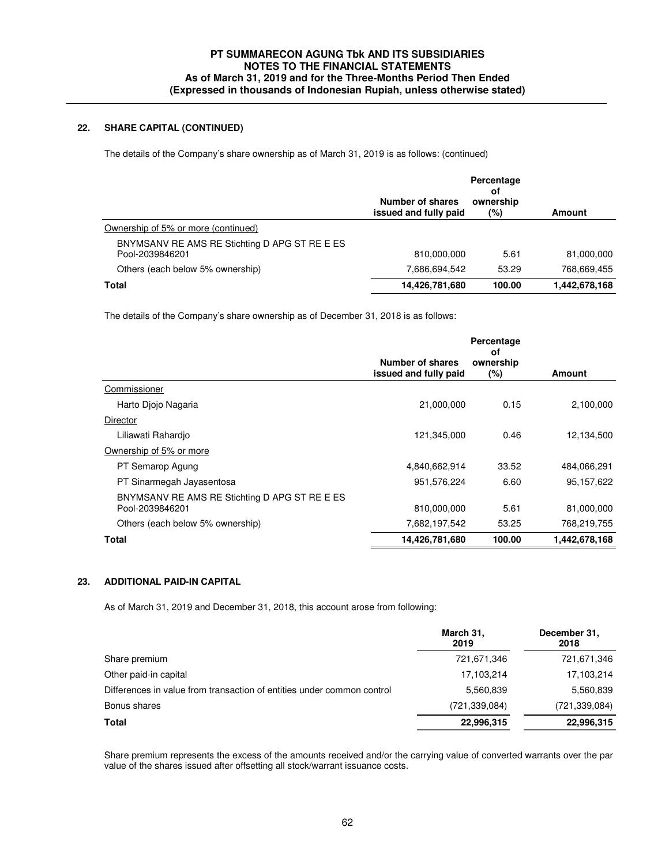## **22. SHARE CAPITAL (CONTINUED)**

The details of the Company's share ownership as of March 31, 2019 is as follows: (continued)

|                                                                  | Number of shares<br>issued and fully paid | Percentage<br>οf<br>ownership<br>(%) | Amount        |
|------------------------------------------------------------------|-------------------------------------------|--------------------------------------|---------------|
| Ownership of 5% or more (continued)                              |                                           |                                      |               |
| BNYMSANV RE AMS RE Stichting D APG ST RE E ES<br>Pool-2039846201 | 810,000,000                               | 5.61                                 | 81,000,000    |
| Others (each below 5% ownership)                                 | 7.686.694.542                             | 53.29                                | 768.669.455   |
| Total                                                            | 14,426,781,680                            | 100.00                               | 1,442,678,168 |

The details of the Company's share ownership as of December 31, 2018 is as follows:

|                                           | Percentage<br>оf                                                            |               |
|-------------------------------------------|-----------------------------------------------------------------------------|---------------|
| Number of shares<br>issued and fully paid | ownership<br>$(\%)$                                                         | Amount        |
|                                           |                                                                             |               |
|                                           | 0.15                                                                        | 2,100,000     |
|                                           |                                                                             |               |
|                                           | 0.46                                                                        | 12,134,500    |
|                                           |                                                                             |               |
|                                           | 33.52                                                                       | 484,066,291   |
| 951,576,224                               | 6.60                                                                        | 95,157,622    |
|                                           | 5.61                                                                        | 81,000,000    |
|                                           | 53.25                                                                       | 768,219,755   |
|                                           | 100.00                                                                      | 1,442,678,168 |
|                                           | 21,000,000<br>121,345,000<br>4,840,662,914<br>810,000,000<br>14,426,781,680 | 7,682,197,542 |

### **23. ADDITIONAL PAID-IN CAPITAL**

As of March 31, 2019 and December 31, 2018, this account arose from following:

|                                                                        | March 31,<br>2019 | December 31,<br>2018 |
|------------------------------------------------------------------------|-------------------|----------------------|
| Share premium                                                          | 721,671,346       | 721,671,346          |
| Other paid-in capital                                                  | 17,103,214        | 17,103,214           |
| Differences in value from transaction of entities under common control | 5,560,839         | 5,560,839            |
| Bonus shares                                                           | (721,339,084)     | (721, 339, 084)      |
| <b>Total</b>                                                           | 22,996,315        | 22,996,315           |

Share premium represents the excess of the amounts received and/or the carrying value of converted warrants over the par value of the shares issued after offsetting all stock/warrant issuance costs.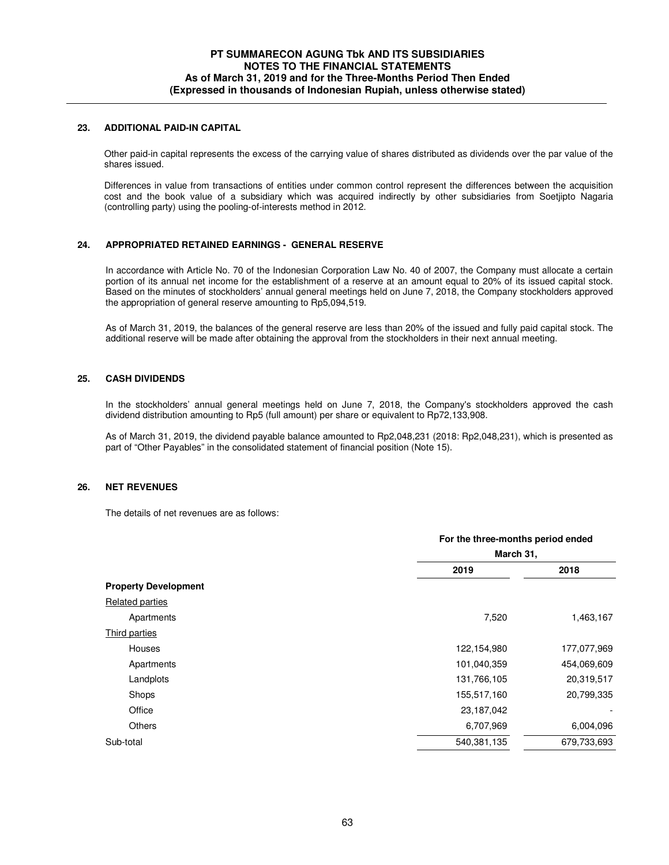### **23. ADDITIONAL PAID-IN CAPITAL**

Other paid-in capital represents the excess of the carrying value of shares distributed as dividends over the par value of the shares issued.

Differences in value from transactions of entities under common control represent the differences between the acquisition cost and the book value of a subsidiary which was acquired indirectly by other subsidiaries from Soetjipto Nagaria (controlling party) using the pooling-of-interests method in 2012.

### **24. APPROPRIATED RETAINED EARNINGS - GENERAL RESERVE**

In accordance with Article No. 70 of the Indonesian Corporation Law No. 40 of 2007, the Company must allocate a certain portion of its annual net income for the establishment of a reserve at an amount equal to 20% of its issued capital stock. Based on the minutes of stockholders' annual general meetings held on June 7, 2018, the Company stockholders approved the appropriation of general reserve amounting to Rp5,094,519.

 As of March 31, 2019, the balances of the general reserve are less than 20% of the issued and fully paid capital stock. The additional reserve will be made after obtaining the approval from the stockholders in their next annual meeting.

## **25. CASH DIVIDENDS**

In the stockholders' annual general meetings held on June 7, 2018, the Company's stockholders approved the cash dividend distribution amounting to Rp5 (full amount) per share or equivalent to Rp72,133,908.

As of March 31, 2019, the dividend payable balance amounted to Rp2,048,231 (2018: Rp2,048,231), which is presented as part of "Other Payables" in the consolidated statement of financial position (Note 15).

#### **26. NET REVENUES**

The details of net revenues are as follows:

|                             | For the three-months period ended |             |  |
|-----------------------------|-----------------------------------|-------------|--|
|                             | March 31,                         |             |  |
|                             | 2019                              | 2018        |  |
| <b>Property Development</b> |                                   |             |  |
| Related parties             |                                   |             |  |
| Apartments                  | 7,520                             | 1,463,167   |  |
| Third parties               |                                   |             |  |
| Houses                      | 122,154,980                       | 177,077,969 |  |
| Apartments                  | 101,040,359                       | 454,069,609 |  |
| Landplots                   | 131,766,105                       | 20,319,517  |  |
| Shops                       | 155,517,160                       | 20,799,335  |  |
| Office                      | 23,187,042                        |             |  |
| Others                      | 6,707,969                         | 6,004,096   |  |
| Sub-total                   | 540,381,135                       | 679,733,693 |  |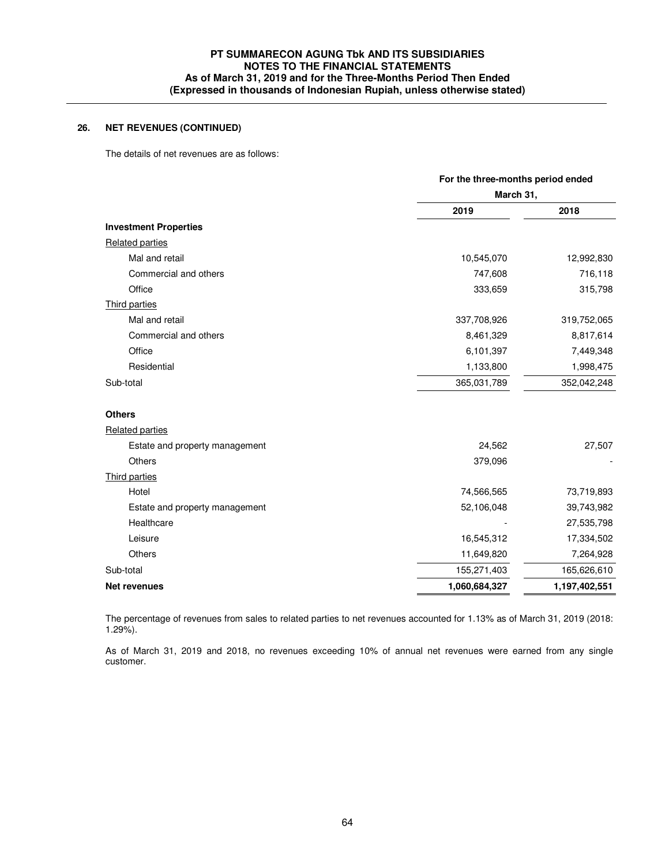## **26. NET REVENUES (CONTINUED)**

The details of net revenues are as follows:

|                                | For the three-months period ended |               |  |
|--------------------------------|-----------------------------------|---------------|--|
|                                | March 31,                         |               |  |
|                                | 2019                              | 2018          |  |
| <b>Investment Properties</b>   |                                   |               |  |
| Related parties                |                                   |               |  |
| Mal and retail                 | 10,545,070                        | 12,992,830    |  |
| Commercial and others          | 747,608                           | 716,118       |  |
| Office                         | 333,659                           | 315,798       |  |
| <b>Third parties</b>           |                                   |               |  |
| Mal and retail                 | 337,708,926                       | 319,752,065   |  |
| Commercial and others          | 8,461,329                         | 8,817,614     |  |
| Office                         | 6,101,397                         | 7,449,348     |  |
| Residential                    | 1,133,800                         | 1,998,475     |  |
| Sub-total                      | 365,031,789                       | 352,042,248   |  |
| <b>Others</b>                  |                                   |               |  |
| <b>Related parties</b>         |                                   |               |  |
| Estate and property management | 24,562                            | 27,507        |  |
| Others                         | 379,096                           |               |  |
| Third parties                  |                                   |               |  |
| Hotel                          | 74,566,565                        | 73,719,893    |  |
| Estate and property management | 52,106,048                        | 39,743,982    |  |
| Healthcare                     |                                   | 27,535,798    |  |
| Leisure                        | 16,545,312                        | 17,334,502    |  |
| Others                         | 11,649,820                        | 7,264,928     |  |
| Sub-total                      | 155,271,403                       | 165,626,610   |  |
| <b>Net revenues</b>            | 1,060,684,327                     | 1,197,402,551 |  |

 The percentage of revenues from sales to related parties to net revenues accounted for 1.13% as of March 31, 2019 (2018: 1.29%).

As of March 31, 2019 and 2018, no revenues exceeding 10% of annual net revenues were earned from any single customer.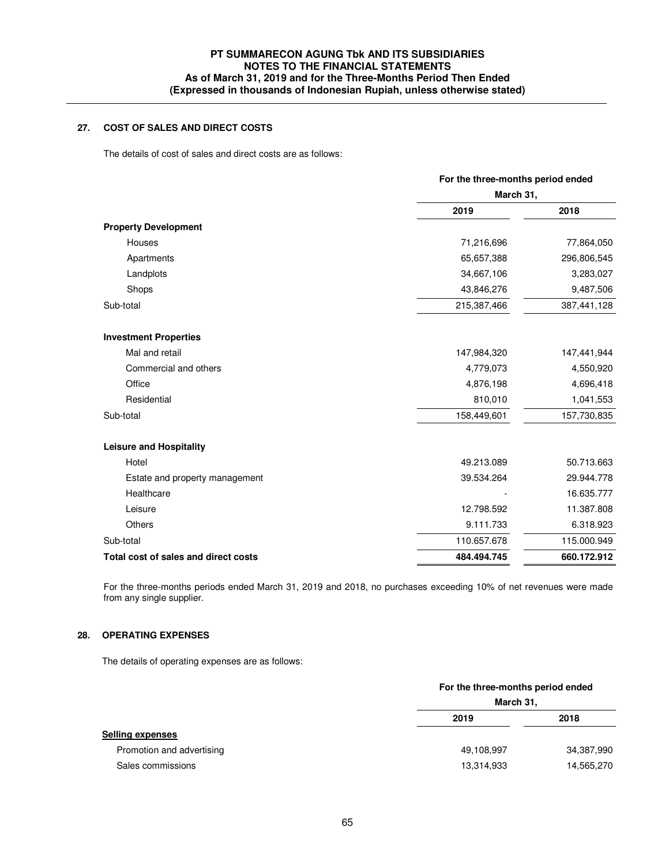# **27. COST OF SALES AND DIRECT COSTS**

The details of cost of sales and direct costs are as follows:

|                                      | For the three-months period ended |             |  |
|--------------------------------------|-----------------------------------|-------------|--|
|                                      | March 31,                         |             |  |
|                                      | 2019                              | 2018        |  |
| <b>Property Development</b>          |                                   |             |  |
| Houses                               | 71,216,696                        | 77,864,050  |  |
| Apartments                           | 65,657,388                        | 296,806,545 |  |
| Landplots                            | 34,667,106                        | 3,283,027   |  |
| Shops                                | 43,846,276                        | 9,487,506   |  |
| Sub-total                            | 215,387,466                       | 387,441,128 |  |
| <b>Investment Properties</b>         |                                   |             |  |
| Mal and retail                       | 147,984,320                       | 147,441,944 |  |
| Commercial and others                | 4,779,073                         | 4,550,920   |  |
| Office                               | 4,876,198                         | 4,696,418   |  |
| Residential                          | 810,010                           | 1,041,553   |  |
| Sub-total                            | 158,449,601                       | 157,730,835 |  |
| <b>Leisure and Hospitality</b>       |                                   |             |  |
| Hotel                                | 49.213.089                        | 50.713.663  |  |
| Estate and property management       | 39.534.264                        | 29.944.778  |  |
| Healthcare                           |                                   | 16.635.777  |  |
| Leisure                              | 12.798.592                        | 11.387.808  |  |
| Others                               | 9.111.733                         | 6.318.923   |  |
| Sub-total                            | 110.657.678                       | 115.000.949 |  |
| Total cost of sales and direct costs | 484.494.745                       | 660.172.912 |  |

 For the three-months periods ended March 31, 2019 and 2018, no purchases exceeding 10% of net revenues were made from any single supplier.

### **28. OPERATING EXPENSES**

The details of operating expenses are as follows:

|                           | For the three-months period ended<br>March 31, |            |
|---------------------------|------------------------------------------------|------------|
|                           |                                                |            |
|                           | 2019                                           | 2018       |
| <b>Selling expenses</b>   |                                                |            |
| Promotion and advertising | 49,108,997                                     | 34,387,990 |
| Sales commissions         | 13,314,933                                     | 14,565,270 |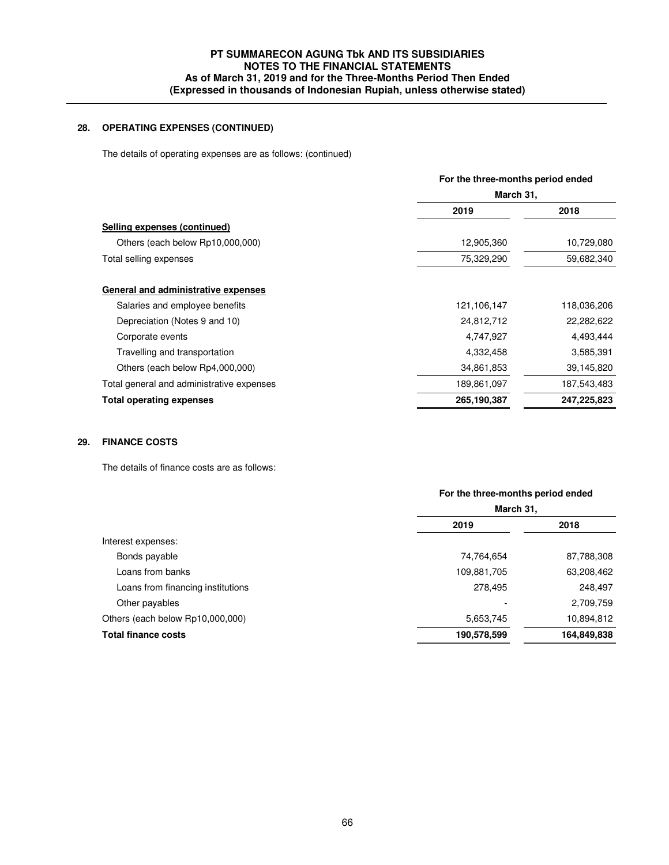## **28. OPERATING EXPENSES (CONTINUED)**

The details of operating expenses are as follows: (continued)

|                                           | For the three-months period ended<br>March 31, |             |  |
|-------------------------------------------|------------------------------------------------|-------------|--|
|                                           |                                                |             |  |
|                                           | 2019                                           | 2018        |  |
| Selling expenses (continued)              |                                                |             |  |
| Others (each below Rp10,000,000)          | 12,905,360                                     | 10,729,080  |  |
| Total selling expenses                    | 75,329,290                                     | 59,682,340  |  |
| General and administrative expenses       |                                                |             |  |
| Salaries and employee benefits            | 121,106,147                                    | 118,036,206 |  |
| Depreciation (Notes 9 and 10)             | 24,812,712                                     | 22,282,622  |  |
| Corporate events                          | 4,747,927                                      | 4,493,444   |  |
| Travelling and transportation             | 4,332,458                                      | 3,585,391   |  |
| Others (each below Rp4,000,000)           | 34,861,853                                     | 39,145,820  |  |
| Total general and administrative expenses | 189,861,097                                    | 187,543,483 |  |
| <b>Total operating expenses</b>           | 265,190,387                                    | 247,225,823 |  |
|                                           |                                                |             |  |

## **29. FINANCE COSTS**

The details of finance costs are as follows:

|                                   | For the three-months period ended |             |
|-----------------------------------|-----------------------------------|-------------|
|                                   | March 31,                         |             |
|                                   | 2019                              | 2018        |
| Interest expenses:                |                                   |             |
| Bonds payable                     | 74,764,654                        | 87,788,308  |
| Loans from banks                  | 109,881,705                       | 63,208,462  |
| Loans from financing institutions | 278,495                           | 248,497     |
| Other payables                    |                                   | 2,709,759   |
| Others (each below Rp10,000,000)  | 5,653,745                         | 10,894,812  |
| <b>Total finance costs</b>        | 190,578,599                       | 164,849,838 |
|                                   |                                   |             |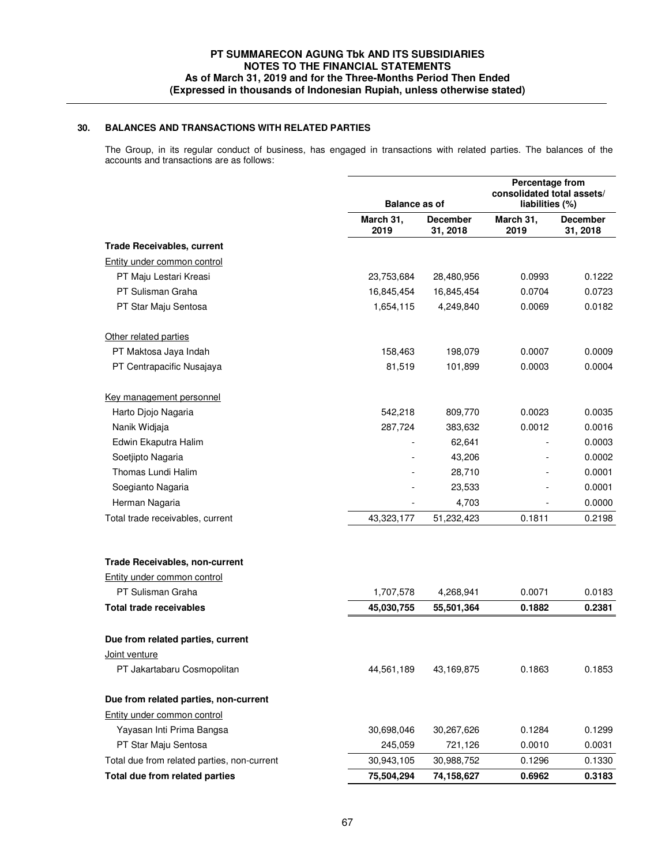### **30. BALANCES AND TRANSACTIONS WITH RELATED PARTIES**

The Group, in its regular conduct of business, has engaged in transactions with related parties. The balances of the accounts and transactions are as follows:

|                                             |                   | <b>Balance as of</b>        |                   | Percentage from<br>consolidated total assets/<br>liabilities (%) |  |
|---------------------------------------------|-------------------|-----------------------------|-------------------|------------------------------------------------------------------|--|
|                                             | March 31,<br>2019 | <b>December</b><br>31, 2018 | March 31,<br>2019 | <b>December</b><br>31, 2018                                      |  |
| <b>Trade Receivables, current</b>           |                   |                             |                   |                                                                  |  |
| Entity under common control                 |                   |                             |                   |                                                                  |  |
| PT Maju Lestari Kreasi                      | 23,753,684        | 28,480,956                  | 0.0993            | 0.1222                                                           |  |
| PT Sulisman Graha                           | 16,845,454        | 16,845,454                  | 0.0704            | 0.0723                                                           |  |
| PT Star Maju Sentosa                        | 1,654,115         | 4,249,840                   | 0.0069            | 0.0182                                                           |  |
| Other related parties                       |                   |                             |                   |                                                                  |  |
| PT Maktosa Jaya Indah                       | 158,463           | 198,079                     | 0.0007            | 0.0009                                                           |  |
| PT Centrapacific Nusajaya                   | 81,519            | 101,899                     | 0.0003            | 0.0004                                                           |  |
| Key management personnel                    |                   |                             |                   |                                                                  |  |
| Harto Djojo Nagaria                         | 542,218           | 809,770                     | 0.0023            | 0.0035                                                           |  |
| Nanik Widjaja                               | 287,724           | 383,632                     | 0.0012            | 0.0016                                                           |  |
| Edwin Ekaputra Halim                        |                   | 62,641                      |                   | 0.0003                                                           |  |
| Soetjipto Nagaria                           |                   | 43,206                      |                   | 0.0002                                                           |  |
| Thomas Lundi Halim                          |                   | 28,710                      |                   | 0.0001                                                           |  |
| Soegianto Nagaria                           |                   | 23,533                      |                   | 0.0001                                                           |  |
| Herman Nagaria                              |                   | 4,703                       |                   | 0.0000                                                           |  |
| Total trade receivables, current            | 43,323,177        | 51,232,423                  | 0.1811            | 0.2198                                                           |  |
| <b>Trade Receivables, non-current</b>       |                   |                             |                   |                                                                  |  |
| Entity under common control                 |                   |                             |                   |                                                                  |  |
| PT Sulisman Graha                           | 1,707,578         | 4,268,941                   | 0.0071            | 0.0183                                                           |  |
| <b>Total trade receivables</b>              | 45,030,755        | 55,501,364                  | 0.1882            | 0.2381                                                           |  |
| Due from related parties, current           |                   |                             |                   |                                                                  |  |
| Joint venture                               |                   |                             |                   |                                                                  |  |
| PT Jakartabaru Cosmopolitan                 | 44,561,189        | 43,169,875                  | 0.1863            | 0.1853                                                           |  |
| Due from related parties, non-current       |                   |                             |                   |                                                                  |  |
| Entity under common control                 |                   |                             |                   |                                                                  |  |
| Yayasan Inti Prima Bangsa                   | 30,698,046        | 30,267,626                  | 0.1284            | 0.1299                                                           |  |
| PT Star Maju Sentosa                        | 245,059           | 721,126                     | 0.0010            | 0.0031                                                           |  |
| Total due from related parties, non-current | 30,943,105        | 30,988,752                  | 0.1296            | 0.1330                                                           |  |
| Total due from related parties              | 75,504,294        | 74,158,627                  | 0.6962            | 0.3183                                                           |  |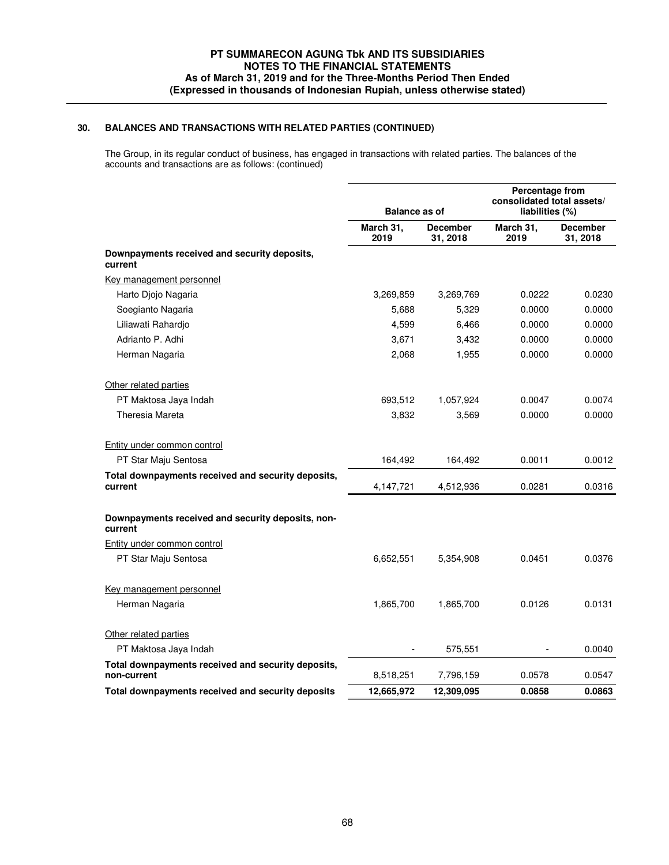## **30. BALANCES AND TRANSACTIONS WITH RELATED PARTIES (CONTINUED)**

The Group, in its regular conduct of business, has engaged in transactions with related parties. The balances of the accounts and transactions are as follows: (continued)

|                                                                   | <b>Balance as of</b> |                             | Percentage from<br>consolidated total assets/<br>liabilities (%) |                             |
|-------------------------------------------------------------------|----------------------|-----------------------------|------------------------------------------------------------------|-----------------------------|
|                                                                   | March 31,<br>2019    | <b>December</b><br>31, 2018 | March 31,<br>2019                                                | <b>December</b><br>31, 2018 |
| Downpayments received and security deposits,<br>current           |                      |                             |                                                                  |                             |
| Key management personnel                                          |                      |                             |                                                                  |                             |
| Harto Djojo Nagaria                                               | 3,269,859            | 3,269,769                   | 0.0222                                                           | 0.0230                      |
| Soegianto Nagaria                                                 | 5,688                | 5,329                       | 0.0000                                                           | 0.0000                      |
| Liliawati Rahardjo                                                | 4,599                | 6,466                       | 0.0000                                                           | 0.0000                      |
| Adrianto P. Adhi                                                  | 3,671                | 3,432                       | 0.0000                                                           | 0.0000                      |
| Herman Nagaria                                                    | 2,068                | 1,955                       | 0.0000                                                           | 0.0000                      |
| Other related parties                                             |                      |                             |                                                                  |                             |
| PT Maktosa Jaya Indah                                             | 693,512              | 1,057,924                   | 0.0047                                                           | 0.0074                      |
| Theresia Mareta                                                   | 3,832                | 3,569                       | 0.0000                                                           | 0.0000                      |
| Entity under common control                                       |                      |                             |                                                                  |                             |
| PT Star Maju Sentosa                                              | 164,492              | 164,492                     | 0.0011                                                           | 0.0012                      |
| Total downpayments received and security deposits,<br>current     | 4,147,721            | 4,512,936                   | 0.0281                                                           | 0.0316                      |
| Downpayments received and security deposits, non-<br>current      |                      |                             |                                                                  |                             |
| Entity under common control                                       |                      |                             |                                                                  |                             |
| PT Star Maju Sentosa                                              | 6,652,551            | 5,354,908                   | 0.0451                                                           | 0.0376                      |
| Key management personnel                                          |                      |                             |                                                                  |                             |
| Herman Nagaria                                                    | 1,865,700            | 1,865,700                   | 0.0126                                                           | 0.0131                      |
| Other related parties                                             |                      |                             |                                                                  |                             |
| PT Maktosa Jaya Indah                                             |                      | 575,551                     |                                                                  | 0.0040                      |
| Total downpayments received and security deposits,<br>non-current | 8,518,251            | 7,796,159                   | 0.0578                                                           | 0.0547                      |
| Total downpayments received and security deposits                 | 12,665,972           | 12,309,095                  | 0.0858                                                           | 0.0863                      |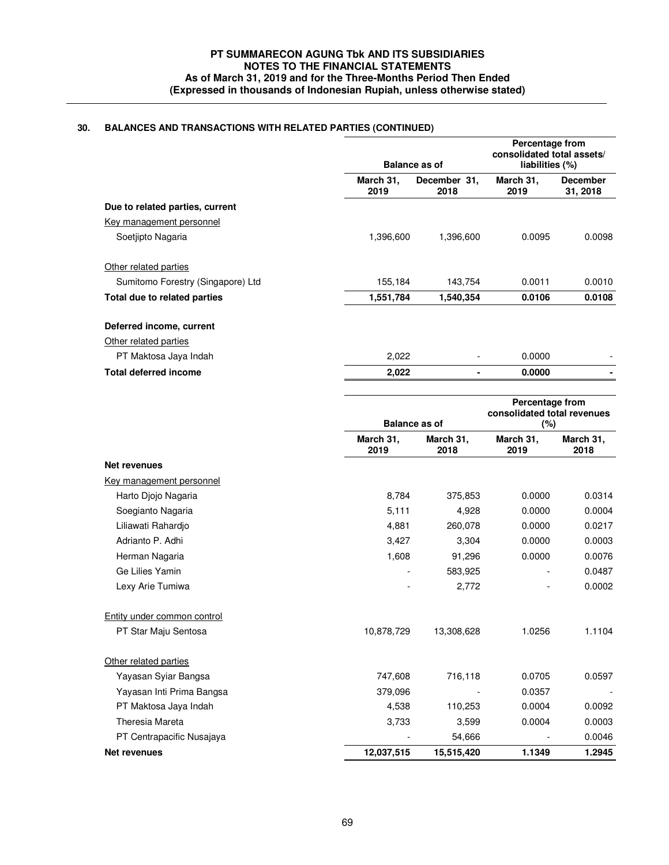# **30. BALANCES AND TRANSACTIONS WITH RELATED PARTIES (CONTINUED)**

|                                   |                   | Balance as of        | Percentage from<br>consolidated total assets/<br>liabilities (%) |                             |
|-----------------------------------|-------------------|----------------------|------------------------------------------------------------------|-----------------------------|
|                                   | March 31,<br>2019 | December 31,<br>2018 | March 31,<br>2019                                                | <b>December</b><br>31, 2018 |
| Due to related parties, current   |                   |                      |                                                                  |                             |
| Key management personnel          |                   |                      |                                                                  |                             |
| Soetjipto Nagaria                 | 1,396,600         | 1,396,600            | 0.0095                                                           | 0.0098                      |
| Other related parties             |                   |                      |                                                                  |                             |
| Sumitomo Forestry (Singapore) Ltd | 155,184           | 143,754              | 0.0011                                                           | 0.0010                      |
| Total due to related parties      | 1,551,784         | 1,540,354            | 0.0106                                                           | 0.0108                      |
| Deferred income, current          |                   |                      |                                                                  |                             |
| Other related parties             |                   |                      |                                                                  |                             |
| PT Maktosa Jaya Indah             | 2,022             |                      | 0.0000                                                           |                             |
| <b>Total deferred income</b>      | 2,022             |                      | 0.0000                                                           |                             |

|                             | <b>Balance as of</b> |                   | Percentage from<br>consolidated total revenues<br>(%) |                   |
|-----------------------------|----------------------|-------------------|-------------------------------------------------------|-------------------|
|                             | March 31,<br>2019    | March 31,<br>2018 | March 31,<br>2019                                     | March 31,<br>2018 |
| <b>Net revenues</b>         |                      |                   |                                                       |                   |
| Key management personnel    |                      |                   |                                                       |                   |
| Harto Djojo Nagaria         | 8,784                | 375,853           | 0.0000                                                | 0.0314            |
| Soegianto Nagaria           | 5,111                | 4,928             | 0.0000                                                | 0.0004            |
| Liliawati Rahardio          | 4,881                | 260.078           | 0.0000                                                | 0.0217            |
| Adrianto P. Adhi            | 3,427                | 3,304             | 0.0000                                                | 0.0003            |
| Herman Nagaria              | 1,608                | 91,296            | 0.0000                                                | 0.0076            |
| Ge Lilies Yamin             |                      | 583,925           |                                                       | 0.0487            |
| Lexy Arie Tumiwa            |                      | 2,772             |                                                       | 0.0002            |
| Entity under common control |                      |                   |                                                       |                   |
| PT Star Maju Sentosa        | 10,878,729           | 13,308,628        | 1.0256                                                | 1.1104            |
| Other related parties       |                      |                   |                                                       |                   |
| Yayasan Syiar Bangsa        | 747,608              | 716,118           | 0.0705                                                | 0.0597            |
| Yayasan Inti Prima Bangsa   | 379,096              |                   | 0.0357                                                |                   |
| PT Maktosa Jaya Indah       | 4,538                | 110,253           | 0.0004                                                | 0.0092            |
| Theresia Mareta             | 3,733                | 3,599             | 0.0004                                                | 0.0003            |
| PT Centrapacific Nusajaya   |                      | 54,666            |                                                       | 0.0046            |
| <b>Net revenues</b>         | 12,037,515           | 15,515,420        | 1.1349                                                | 1.2945            |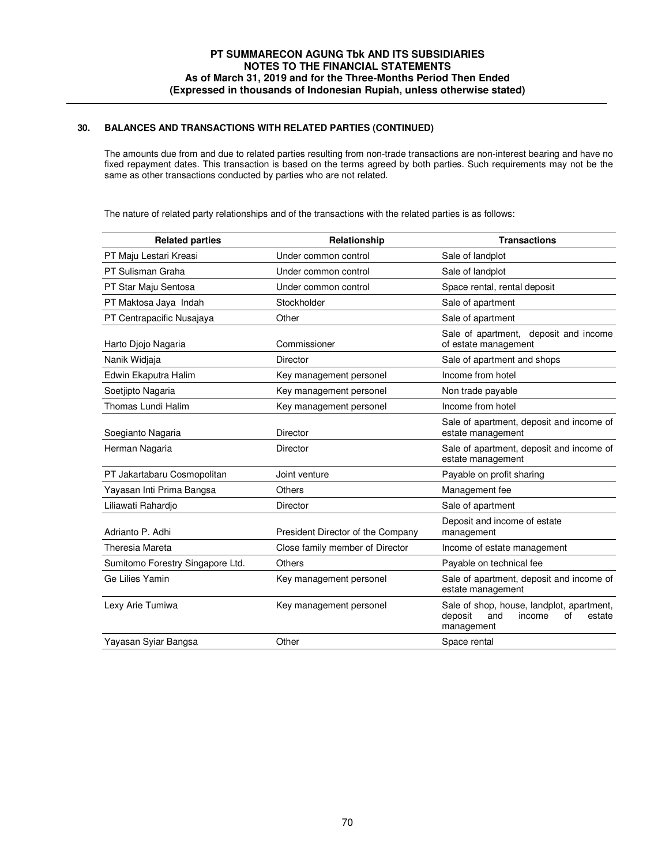## **30. BALANCES AND TRANSACTIONS WITH RELATED PARTIES (CONTINUED)**

 The amounts due from and due to related parties resulting from non-trade transactions are non-interest bearing and have no fixed repayment dates. This transaction is based on the terms agreed by both parties. Such requirements may not be the same as other transactions conducted by parties who are not related.

The nature of related party relationships and of the transactions with the related parties is as follows:

| <b>Related parties</b>           | Relationship                      | <b>Transactions</b>                                                                                 |
|----------------------------------|-----------------------------------|-----------------------------------------------------------------------------------------------------|
| PT Maju Lestari Kreasi           | Under common control              | Sale of landplot                                                                                    |
| PT Sulisman Graha                | Under common control              | Sale of landplot                                                                                    |
| PT Star Maju Sentosa             | Under common control              | Space rental, rental deposit                                                                        |
| PT Maktosa Jaya Indah            | Stockholder                       | Sale of apartment                                                                                   |
| PT Centrapacific Nusajaya        | Other                             | Sale of apartment                                                                                   |
| Harto Djojo Nagaria              | Commissioner                      | Sale of apartment, deposit and income<br>of estate management                                       |
| Nanik Widjaja                    | <b>Director</b>                   | Sale of apartment and shops                                                                         |
| Edwin Ekaputra Halim             | Key management personel           | Income from hotel                                                                                   |
| Soetjipto Nagaria                | Key management personel           | Non trade payable                                                                                   |
| Thomas Lundi Halim               | Key management personel           | Income from hotel                                                                                   |
| Soegianto Nagaria                | <b>Director</b>                   | Sale of apartment, deposit and income of<br>estate management                                       |
| Herman Nagaria                   | Director                          | Sale of apartment, deposit and income of<br>estate management                                       |
| PT Jakartabaru Cosmopolitan      | Joint venture                     | Payable on profit sharing                                                                           |
| Yayasan Inti Prima Bangsa        | Others                            | Management fee                                                                                      |
| Liliawati Rahardjo               | <b>Director</b>                   | Sale of apartment                                                                                   |
| Adrianto P. Adhi                 | President Director of the Company | Deposit and income of estate<br>management                                                          |
| <b>Theresia Mareta</b>           | Close family member of Director   | Income of estate management                                                                         |
| Sumitomo Forestry Singapore Ltd. | <b>Others</b>                     | Payable on technical fee                                                                            |
| Ge Lilies Yamin                  | Key management personel           | Sale of apartment, deposit and income of<br>estate management                                       |
| Lexy Arie Tumiwa                 | Key management personel           | Sale of shop, house, landplot, apartment,<br>deposit<br>and<br>income<br>of<br>estate<br>management |
| Yayasan Syiar Bangsa             | Other                             | Space rental                                                                                        |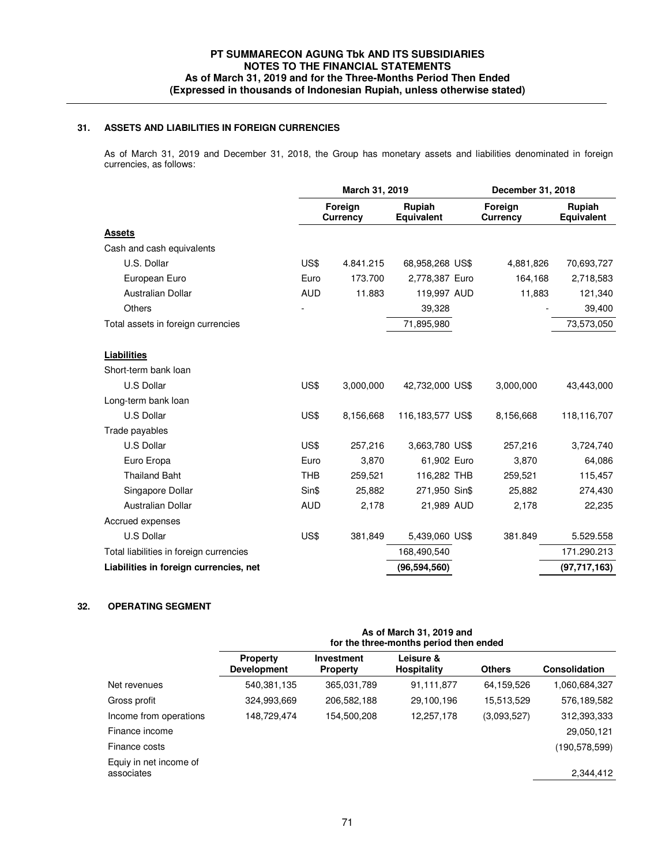# **31. ASSETS AND LIABILITIES IN FOREIGN CURRENCIES**

 As of March 31, 2019 and December 31, 2018, the Group has monetary assets and liabilities denominated in foreign currencies, as follows:

|                                         | March 31, 2019 |                            | December 31, 2018    |                            |                      |
|-----------------------------------------|----------------|----------------------------|----------------------|----------------------------|----------------------|
|                                         |                | Foreign<br><b>Currency</b> | Rupiah<br>Equivalent | Foreign<br><b>Currency</b> | Rupiah<br>Equivalent |
| <b>Assets</b>                           |                |                            |                      |                            |                      |
| Cash and cash equivalents               |                |                            |                      |                            |                      |
| U.S. Dollar                             | US\$           | 4.841.215                  | 68,958,268 US\$      | 4,881,826                  | 70,693,727           |
| European Euro                           | Euro           | 173.700                    | 2,778,387 Euro       | 164,168                    | 2,718,583            |
| Australian Dollar                       | <b>AUD</b>     | 11.883                     | 119,997 AUD          | 11,883                     | 121,340              |
| <b>Others</b>                           |                |                            | 39,328               |                            | 39,400               |
| Total assets in foreign currencies      |                |                            | 71,895,980           |                            | 73,573,050           |
| <b>Liabilities</b>                      |                |                            |                      |                            |                      |
| Short-term bank loan                    |                |                            |                      |                            |                      |
| U.S Dollar                              | US\$           | 3,000,000                  | 42,732,000 US\$      | 3,000,000                  | 43,443,000           |
| Long-term bank loan                     |                |                            |                      |                            |                      |
| <b>U.S Dollar</b>                       | US\$           | 8,156,668                  | 116,183,577 US\$     | 8,156,668                  | 118,116,707          |
| Trade payables                          |                |                            |                      |                            |                      |
| <b>U.S Dollar</b>                       | US\$           | 257,216                    | 3,663,780 US\$       | 257,216                    | 3,724,740            |
| Euro Eropa                              | Euro           | 3,870                      | 61,902 Euro          | 3,870                      | 64,086               |
| <b>Thailand Baht</b>                    | <b>THB</b>     | 259,521                    | 116,282 THB          | 259,521                    | 115,457              |
| Singapore Dollar                        | Sin\$          | 25,882                     | 271,950 Sin\$        | 25,882                     | 274,430              |
| Australian Dollar                       | <b>AUD</b>     | 2,178                      | 21,989 AUD           | 2,178                      | 22,235               |
| Accrued expenses                        |                |                            |                      |                            |                      |
| <b>U.S Dollar</b>                       | US\$           | 381,849                    | 5,439,060 US\$       | 381.849                    | 5.529.558            |
| Total liabilities in foreign currencies |                |                            | 168,490,540          |                            | 171.290.213          |
| Liabilities in foreign currencies, net  |                |                            | (96, 594, 560)       |                            | (97, 717, 163)       |
|                                         |                |                            |                      |                            |                      |

# **32. OPERATING SEGMENT**

|                                      | As of March 31, 2019 and<br>for the three-months period then ended |                                      |                                 |               |                 |  |
|--------------------------------------|--------------------------------------------------------------------|--------------------------------------|---------------------------------|---------------|-----------------|--|
|                                      | <b>Property</b><br><b>Development</b>                              | <b>Investment</b><br><b>Property</b> | Leisure &<br><b>Hospitality</b> | <b>Others</b> | Consolidation   |  |
| Net revenues                         | 540,381,135                                                        | 365,031,789                          | 91,111,877                      | 64,159,526    | 1,060,684,327   |  |
| Gross profit                         | 324,993,669                                                        | 206,582,188                          | 29,100,196                      | 15,513,529    | 576,189,582     |  |
| Income from operations               | 148,729,474                                                        | 154,500,208                          | 12,257,178                      | (3.093.527)   | 312,393,333     |  |
| Finance income                       |                                                                    |                                      |                                 |               | 29,050,121      |  |
| Finance costs                        |                                                                    |                                      |                                 |               | (190, 578, 599) |  |
| Equiy in net income of<br>associates |                                                                    |                                      |                                 |               | 2,344,412       |  |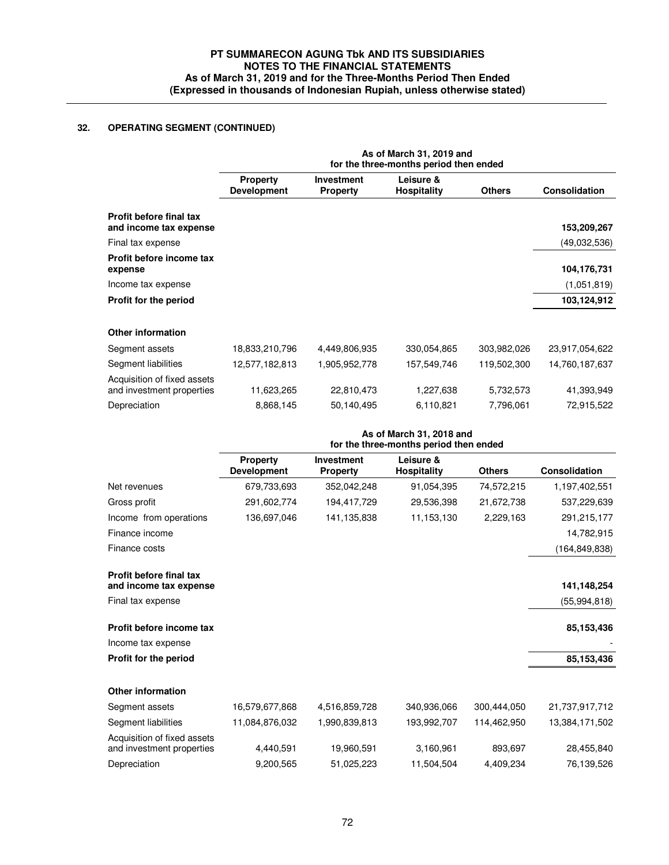# **32. OPERATING SEGMENT (CONTINUED)**

|                                                          | As of March 31, 2019 and<br>for the three-months period then ended |                                      |                                 |               |                      |  |
|----------------------------------------------------------|--------------------------------------------------------------------|--------------------------------------|---------------------------------|---------------|----------------------|--|
|                                                          | <b>Property</b><br><b>Development</b>                              | <b>Investment</b><br><b>Property</b> | Leisure &<br><b>Hospitality</b> | <b>Others</b> | <b>Consolidation</b> |  |
| <b>Profit before final tax</b><br>and income tax expense |                                                                    |                                      |                                 |               | 153,209,267          |  |
| Final tax expense                                        |                                                                    |                                      |                                 |               | (49,032,536)         |  |
| Profit before income tax<br>expense                      |                                                                    |                                      |                                 |               | 104,176,731          |  |
| Income tax expense                                       |                                                                    |                                      |                                 |               | (1,051,819)          |  |
| Profit for the period                                    |                                                                    |                                      |                                 |               | 103,124,912          |  |
| Other information                                        |                                                                    |                                      |                                 |               |                      |  |
| Segment assets                                           | 18,833,210,796                                                     | 4,449,806,935                        | 330,054,865                     | 303,982,026   | 23,917,054,622       |  |
| Segment liabilities                                      | 12,577,182,813                                                     | 1,905,952,778                        | 157,549,746                     | 119,502,300   | 14,760,187,637       |  |
| Acquisition of fixed assets<br>and investment properties | 11,623,265                                                         | 22,810,473                           | 1,227,638                       | 5,732,573     | 41,393,949           |  |
| Depreciation                                             | 8,868,145                                                          | 50,140,495                           | 6,110,821                       | 7,796,061     | 72,915,522           |  |
|                                                          | As of March 31, 2018 and<br>for the three-months period then ended |                                      |                                 |               |                      |  |
|                                                          | <b>Property</b><br><b>Development</b>                              | <b>Investment</b><br><b>Property</b> | Leisure &<br><b>Hospitality</b> | <b>Others</b> | <b>Consolidation</b> |  |
| Net revenues                                             | 679,733,693                                                        | 352,042,248                          | 91,054,395                      | 74,572,215    | 1,197,402,551        |  |
| Gross profit                                             | 291,602,774                                                        | 194,417,729                          | 29,536,398                      | 21,672,738    | 537,229,639          |  |
| Income from operations                                   | 136 697 046                                                        | $141$ 135 838                        | 11 153 130                      | 2229163       | 291 215 177          |  |

| mcome from operations                                    | 130,097,040    | 141,135,838   | 11,103,130  | 2,229,103   | 291,215,177     |
|----------------------------------------------------------|----------------|---------------|-------------|-------------|-----------------|
| Finance income                                           |                |               |             |             | 14,782,915      |
| Finance costs                                            |                |               |             |             | (164, 849, 838) |
| <b>Profit before final tax</b><br>and income tax expense |                |               |             |             | 141,148,254     |
| Final tax expense                                        |                |               |             |             | (55, 994, 818)  |
| Profit before income tax                                 |                |               |             |             | 85,153,436      |
| Income tax expense                                       |                |               |             |             |                 |
| Profit for the period                                    |                |               |             |             | 85,153,436      |
| <b>Other information</b>                                 |                |               |             |             |                 |
| Segment assets                                           | 16,579,677,868 | 4,516,859,728 | 340,936,066 | 300,444,050 | 21,737,917,712  |
| Segment liabilities                                      | 11,084,876,032 | 1,990,839,813 | 193,992,707 | 114,462,950 | 13,384,171,502  |
| Acquisition of fixed assets<br>and investment properties | 4,440,591      | 19,960,591    | 3,160,961   | 893,697     | 28,455,840      |
| Depreciation                                             | 9,200,565      | 51,025,223    | 11,504,504  | 4,409,234   | 76,139,526      |
|                                                          |                |               |             |             |                 |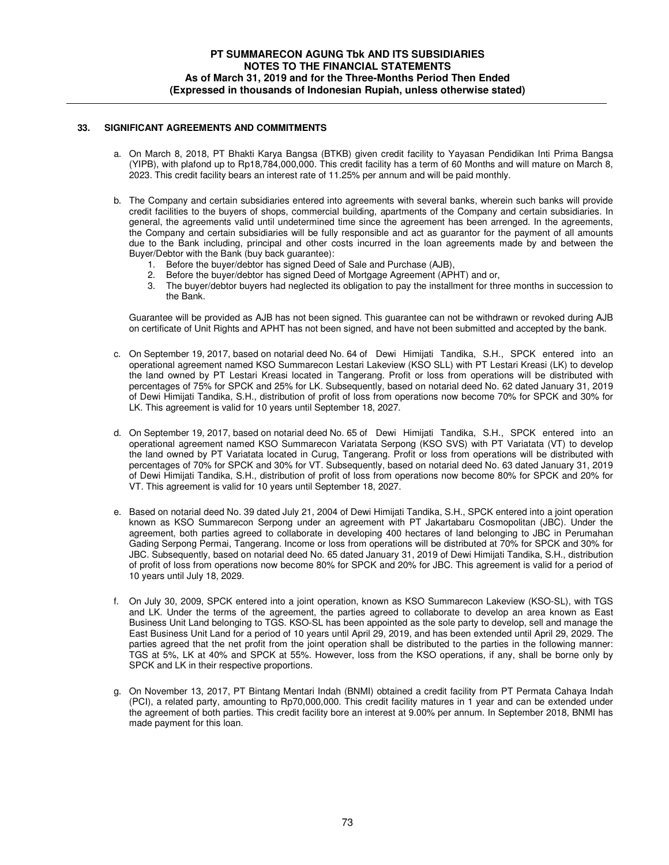## **33. SIGNIFICANT AGREEMENTS AND COMMITMENTS**

- a. On March 8, 2018, PT Bhakti Karya Bangsa (BTKB) given credit facility to Yayasan Pendidikan Inti Prima Bangsa (YIPB), with plafond up to Rp18,784,000,000. This credit facility has a term of 60 Months and will mature on March 8, 2023. This credit facility bears an interest rate of 11.25% per annum and will be paid monthly.
- b. The Company and certain subsidiaries entered into agreements with several banks, wherein such banks will provide credit facilities to the buyers of shops, commercial building, apartments of the Company and certain subsidiaries. In general, the agreements valid until undetermined time since the agreement has been arrenged. In the agreements, the Company and certain subsidiaries will be fully responsible and act as guarantor for the payment of all amounts due to the Bank including, principal and other costs incurred in the loan agreements made by and between the Buyer/Debtor with the Bank (buy back guarantee):
	- 1. Before the buyer/debtor has signed Deed of Sale and Purchase (AJB),
	- 2. Before the buyer/debtor has signed Deed of Mortgage Agreement (APHT) and or,
	- 3. The buyer/debtor buyers had neglected its obligation to pay the installment for three months in succession to the Bank.

Guarantee will be provided as AJB has not been signed. This guarantee can not be withdrawn or revoked during AJB on certificate of Unit Rights and APHT has not been signed, and have not been submitted and accepted by the bank.

- c. On September 19, 2017, based on notarial deed No. 64 of Dewi Himijati Tandika, S.H., SPCK entered into an operational agreement named KSO Summarecon Lestari Lakeview (KSO SLL) with PT Lestari Kreasi (LK) to develop the land owned by PT Lestari Kreasi located in Tangerang. Profit or loss from operations will be distributed with percentages of 75% for SPCK and 25% for LK. Subsequently, based on notarial deed No. 62 dated January 31, 2019 of Dewi Himijati Tandika, S.H., distribution of profit of loss from operations now become 70% for SPCK and 30% for LK. This agreement is valid for 10 years until September 18, 2027.
- d. On September 19, 2017, based on notarial deed No. 65 of Dewi Himijati Tandika, S.H., SPCK entered into an operational agreement named KSO Summarecon Variatata Serpong (KSO SVS) with PT Variatata (VT) to develop the land owned by PT Variatata located in Curug, Tangerang. Profit or loss from operations will be distributed with percentages of 70% for SPCK and 30% for VT. Subsequently, based on notarial deed No. 63 dated January 31, 2019 of Dewi Himijati Tandika, S.H., distribution of profit of loss from operations now become 80% for SPCK and 20% for VT. This agreement is valid for 10 years until September 18, 2027.
- e. Based on notarial deed No. 39 dated July 21, 2004 of Dewi Himijati Tandika, S.H., SPCK entered into a joint operation known as KSO Summarecon Serpong under an agreement with PT Jakartabaru Cosmopolitan (JBC). Under the agreement, both parties agreed to collaborate in developing 400 hectares of land belonging to JBC in Perumahan Gading Serpong Permai, Tangerang. Income or loss from operations will be distributed at 70% for SPCK and 30% for JBC. Subsequently, based on notarial deed No. 65 dated January 31, 2019 of Dewi Himijati Tandika, S.H., distribution of profit of loss from operations now become 80% for SPCK and 20% for JBC. This agreement is valid for a period of 10 years until July 18, 2029.
- f. On July 30, 2009, SPCK entered into a joint operation, known as KSO Summarecon Lakeview (KSO-SL), with TGS and LK. Under the terms of the agreement, the parties agreed to collaborate to develop an area known as East Business Unit Land belonging to TGS. KSO-SL has been appointed as the sole party to develop, sell and manage the East Business Unit Land for a period of 10 years until April 29, 2019, and has been extended until April 29, 2029. The parties agreed that the net profit from the joint operation shall be distributed to the parties in the following manner: TGS at 5%, LK at 40% and SPCK at 55%. However, loss from the KSO operations, if any, shall be borne only by SPCK and LK in their respective proportions.
- g. On November 13, 2017, PT Bintang Mentari Indah (BNMI) obtained a credit facility from PT Permata Cahaya Indah (PCI), a related party, amounting to Rp70,000,000. This credit facility matures in 1 year and can be extended under the agreement of both parties. This credit facility bore an interest at 9.00% per annum. In September 2018, BNMI has made payment for this loan.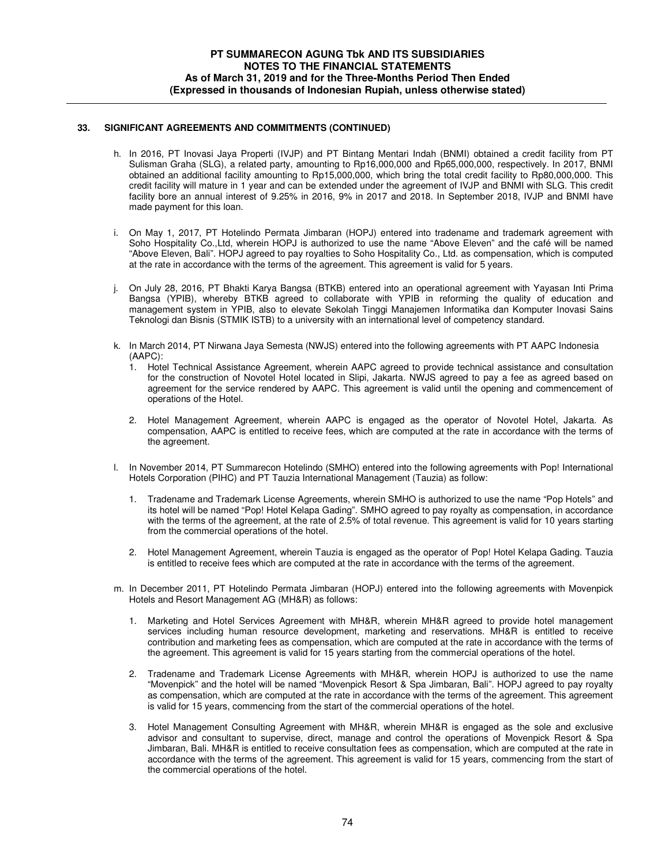## **33. SIGNIFICANT AGREEMENTS AND COMMITMENTS (CONTINUED)**

- h. In 2016, PT Inovasi Jaya Properti (IVJP) and PT Bintang Mentari Indah (BNMI) obtained a credit facility from PT Sulisman Graha (SLG), a related party, amounting to Rp16,000,000 and Rp65,000,000, respectively. In 2017, BNMI obtained an additional facility amounting to Rp15,000,000, which bring the total credit facility to Rp80,000,000. This credit facility will mature in 1 year and can be extended under the agreement of IVJP and BNMI with SLG. This credit facility bore an annual interest of 9.25% in 2016, 9% in 2017 and 2018. In September 2018, IVJP and BNMI have made payment for this loan.
- i. On May 1, 2017, PT Hotelindo Permata Jimbaran (HOPJ) entered into tradename and trademark agreement with Soho Hospitality Co.,Ltd, wherein HOPJ is authorized to use the name "Above Eleven" and the café will be named "Above Eleven, Bali". HOPJ agreed to pay royalties to Soho Hospitality Co., Ltd. as compensation, which is computed at the rate in accordance with the terms of the agreement. This agreement is valid for 5 years.
- j. On July 28, 2016, PT Bhakti Karya Bangsa (BTKB) entered into an operational agreement with Yayasan Inti Prima Bangsa (YPIB), whereby BTKB agreed to collaborate with YPIB in reforming the quality of education and management system in YPIB, also to elevate Sekolah Tinggi Manajemen Informatika dan Komputer Inovasi Sains Teknologi dan Bisnis (STMIK ISTB) to a university with an international level of competency standard.
- k. In March 2014, PT Nirwana Jaya Semesta (NWJS) entered into the following agreements with PT AAPC Indonesia (AAPC):
	- 1. Hotel Technical Assistance Agreement, wherein AAPC agreed to provide technical assistance and consultation for the construction of Novotel Hotel located in Slipi, Jakarta. NWJS agreed to pay a fee as agreed based on agreement for the service rendered by AAPC. This agreement is valid until the opening and commencement of operations of the Hotel.
	- 2. Hotel Management Agreement, wherein AAPC is engaged as the operator of Novotel Hotel, Jakarta. As compensation, AAPC is entitled to receive fees, which are computed at the rate in accordance with the terms of the agreement.
- l. In November 2014, PT Summarecon Hotelindo (SMHO) entered into the following agreements with Pop! International Hotels Corporation (PIHC) and PT Tauzia International Management (Tauzia) as follow:
	- 1. Tradename and Trademark License Agreements, wherein SMHO is authorized to use the name "Pop Hotels" and its hotel will be named "Pop! Hotel Kelapa Gading". SMHO agreed to pay royalty as compensation, in accordance with the terms of the agreement, at the rate of 2.5% of total revenue. This agreement is valid for 10 years starting from the commercial operations of the hotel.
	- 2. Hotel Management Agreement, wherein Tauzia is engaged as the operator of Pop! Hotel Kelapa Gading. Tauzia is entitled to receive fees which are computed at the rate in accordance with the terms of the agreement.
- m. In December 2011, PT Hotelindo Permata Jimbaran (HOPJ) entered into the following agreements with Movenpick Hotels and Resort Management AG (MH&R) as follows:
	- 1. Marketing and Hotel Services Agreement with MH&R, wherein MH&R agreed to provide hotel management services including human resource development, marketing and reservations. MH&R is entitled to receive contribution and marketing fees as compensation, which are computed at the rate in accordance with the terms of the agreement. This agreement is valid for 15 years starting from the commercial operations of the hotel.
	- 2. Tradename and Trademark License Agreements with MH&R, wherein HOPJ is authorized to use the name "Movenpick" and the hotel will be named "Movenpick Resort & Spa Jimbaran, Bali". HOPJ agreed to pay royalty as compensation, which are computed at the rate in accordance with the terms of the agreement. This agreement is valid for 15 years, commencing from the start of the commercial operations of the hotel.
	- 3. Hotel Management Consulting Agreement with MH&R, wherein MH&R is engaged as the sole and exclusive advisor and consultant to supervise, direct, manage and control the operations of Movenpick Resort & Spa Jimbaran, Bali. MH&R is entitled to receive consultation fees as compensation, which are computed at the rate in accordance with the terms of the agreement. This agreement is valid for 15 years, commencing from the start of the commercial operations of the hotel.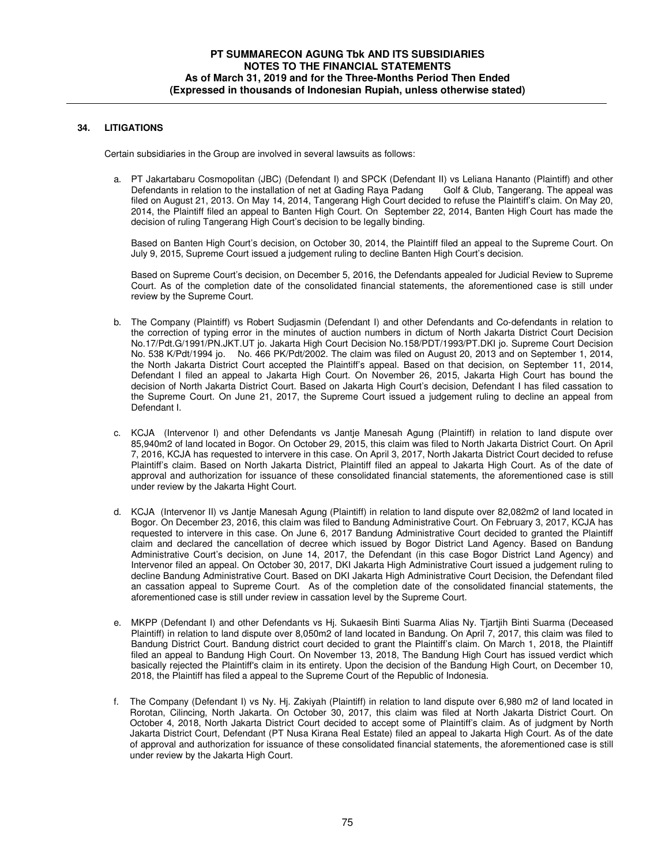# **34. LITIGATIONS**

Certain subsidiaries in the Group are involved in several lawsuits as follows:

 a. PT Jakartabaru Cosmopolitan (JBC) (Defendant I) and SPCK (Defendant II) vs Leliana Hananto (Plaintiff) and other Defendants in relation to the installation of net at Gading Raya Padang Golf & Club, Tangerang. The appeal was filed on August 21, 2013. On May 14, 2014, Tangerang High Court decided to refuse the Plaintiff's claim. On May 20, 2014, the Plaintiff filed an appeal to Banten High Court. On September 22, 2014, Banten High Court has made the decision of ruling Tangerang High Court's decision to be legally binding.

Based on Banten High Court's decision, on October 30, 2014, the Plaintiff filed an appeal to the Supreme Court. On July 9, 2015, Supreme Court issued a judgement ruling to decline Banten High Court's decision.

Based on Supreme Court's decision, on December 5, 2016, the Defendants appealed for Judicial Review to Supreme Court. As of the completion date of the consolidated financial statements, the aforementioned case is still under review by the Supreme Court.

- b. The Company (Plaintiff) vs Robert Sudjasmin (Defendant I) and other Defendants and Co-defendants in relation to the correction of typing error in the minutes of auction numbers in dictum of North Jakarta District Court Decision No.17/Pdt.G/1991/PN.JKT.UT jo. Jakarta High Court Decision No.158/PDT/1993/PT.DKI jo. Supreme Court Decision No. 538 K/Pdt/1994 jo. No. 466 PK/Pdt/2002. The claim was filed on August 20, 2013 and on September 1, 2014, the North Jakarta District Court accepted the Plaintiff's appeal. Based on that decision, on September 11, 2014, Defendant I filed an appeal to Jakarta High Court. On November 26, 2015, Jakarta High Court has bound the decision of North Jakarta District Court. Based on Jakarta High Court's decision, Defendant I has filed cassation to the Supreme Court. On June 21, 2017, the Supreme Court issued a judgement ruling to decline an appeal from Defendant I.
- c. KCJA (Intervenor I) and other Defendants vs Jantje Manesah Agung (Plaintiff) in relation to land dispute over 85,940m2 of land located in Bogor. On October 29, 2015, this claim was filed to North Jakarta District Court. On April 7, 2016, KCJA has requested to intervere in this case. On April 3, 2017, North Jakarta District Court decided to refuse Plaintiff's claim. Based on North Jakarta District, Plaintiff filed an appeal to Jakarta High Court. As of the date of approval and authorization for issuance of these consolidated financial statements, the aforementioned case is still under review by the Jakarta Hight Court.
- d. KCJA (Intervenor II) vs Jantje Manesah Agung (Plaintiff) in relation to land dispute over 82,082m2 of land located in Bogor. On December 23, 2016, this claim was filed to Bandung Administrative Court. On February 3, 2017, KCJA has requested to intervere in this case. On June 6, 2017 Bandung Administrative Court decided to granted the Plaintiff claim and declared the cancellation of decree which issued by Bogor District Land Agency. Based on Bandung Administrative Court's decision, on June 14, 2017, the Defendant (in this case Bogor District Land Agency) and Intervenor filed an appeal. On October 30, 2017, DKI Jakarta High Administrative Court issued a judgement ruling to decline Bandung Administrative Court. Based on DKI Jakarta High Administrative Court Decision, the Defendant filed an cassation appeal to Supreme Court. As of the completion date of the consolidated financial statements, the aforementioned case is still under review in cassation level by the Supreme Court.
- e. MKPP (Defendant I) and other Defendants vs Hj. Sukaesih Binti Suarma Alias Ny. Tjartjih Binti Suarma (Deceased Plaintiff) in relation to land dispute over 8,050m2 of land located in Bandung. On April 7, 2017, this claim was filed to Bandung District Court. Bandung district court decided to grant the Plaintiff's claim. On March 1, 2018, the Plaintiff filed an appeal to Bandung High Court. On November 13, 2018, The Bandung High Court has issued verdict which basically rejected the Plaintiff's claim in its entirety. Upon the decision of the Bandung High Court, on December 10, 2018, the Plaintiff has filed a appeal to the Supreme Court of the Republic of Indonesia.
- f. The Company (Defendant I) vs Ny. Hj. Zakiyah (Plaintiff) in relation to land dispute over 6,980 m2 of land located in Rorotan, Cilincing, North Jakarta. On October 30, 2017, this claim was filed at North Jakarta District Court. On October 4, 2018, North Jakarta District Court decided to accept some of Plaintiff's claim. As of judgment by North Jakarta District Court, Defendant (PT Nusa Kirana Real Estate) filed an appeal to Jakarta High Court. As of the date of approval and authorization for issuance of these consolidated financial statements, the aforementioned case is still under review by the Jakarta High Court.